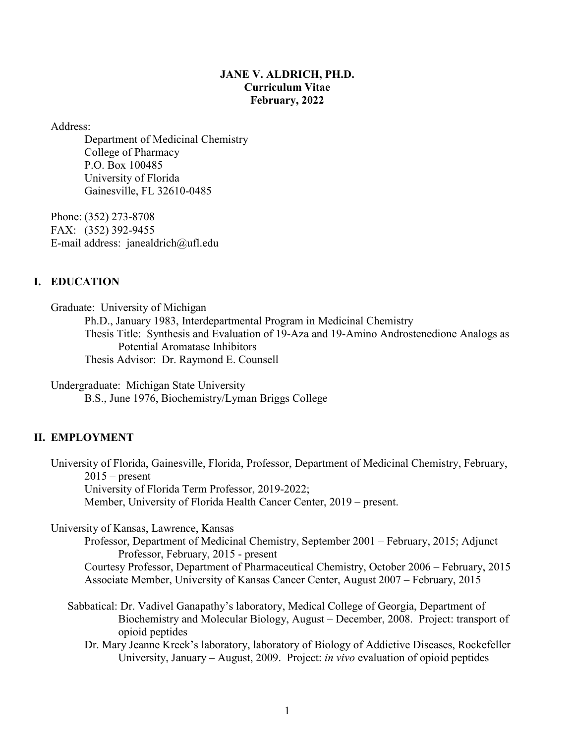## **JANE V. ALDRICH, PH.D. Curriculum Vitae February, 2022**

Address:

Department of Medicinal Chemistry College of Pharmacy P.O. Box 100485 University of Florida Gainesville, FL 32610-0485

Phone: (352) 273-8708 FAX: (352) 392-9455 E-mail address: janealdrich@ufl.edu

# **I. EDUCATION**

Graduate: University of Michigan Ph.D., January 1983, Interdepartmental Program in Medicinal Chemistry Thesis Title: Synthesis and Evaluation of 19-Aza and 19-Amino Androstenedione Analogs as Potential Aromatase Inhibitors Thesis Advisor: Dr. Raymond E. Counsell

Undergraduate: Michigan State University B.S., June 1976, Biochemistry/Lyman Briggs College

# **II. EMPLOYMENT**

University of Florida, Gainesville, Florida, Professor, Department of Medicinal Chemistry, February,  $2015$  – present University of Florida Term Professor, 2019-2022; Member, University of Florida Health Cancer Center, 2019 – present.

University of Kansas, Lawrence, Kansas

Professor, Department of Medicinal Chemistry, September 2001 – February, 2015; Adjunct Professor, February, 2015 - present Courtesy Professor, Department of Pharmaceutical Chemistry, October 2006 – February, 2015

Associate Member, University of Kansas Cancer Center, August 2007 – February, 2015

Sabbatical: Dr. Vadivel Ganapathy's laboratory, Medical College of Georgia, Department of Biochemistry and Molecular Biology, August – December, 2008. Project: transport of opioid peptides

Dr. Mary Jeanne Kreek's laboratory, laboratory of Biology of Addictive Diseases, Rockefeller University, January – August, 2009. Project: *in vivo* evaluation of opioid peptides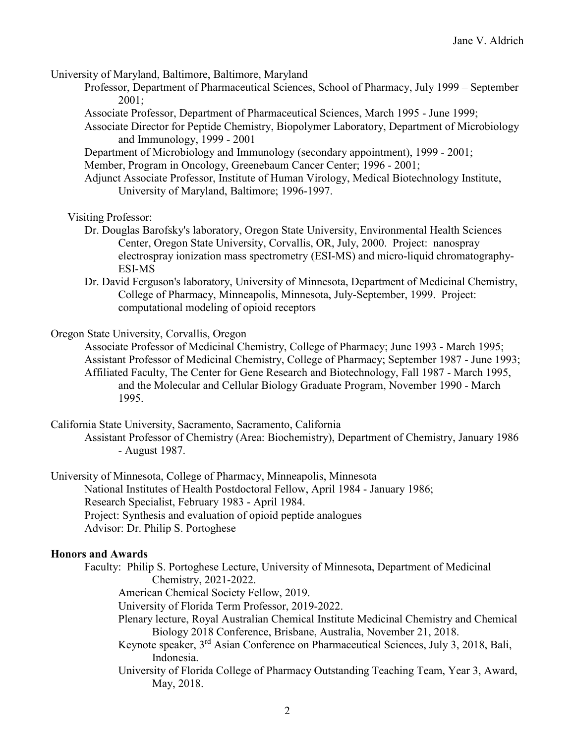University of Maryland, Baltimore, Baltimore, Maryland

- Professor, Department of Pharmaceutical Sciences, School of Pharmacy, July 1999 September 2001;
- Associate Professor, Department of Pharmaceutical Sciences, March 1995 June 1999;
- Associate Director for Peptide Chemistry, Biopolymer Laboratory, Department of Microbiology and Immunology, 1999 - 2001
- Department of Microbiology and Immunology (secondary appointment), 1999 2001;

Member, Program in Oncology, Greenebaum Cancer Center; 1996 - 2001;

Adjunct Associate Professor, Institute of Human Virology, Medical Biotechnology Institute, University of Maryland, Baltimore; 1996-1997.

Visiting Professor:

- Dr. Douglas Barofsky's laboratory, Oregon State University, Environmental Health Sciences Center, Oregon State University, Corvallis, OR, July, 2000. Project: nanospray electrospray ionization mass spectrometry (ESI-MS) and micro-liquid chromatography-ESI-MS
- Dr. David Ferguson's laboratory, University of Minnesota, Department of Medicinal Chemistry, College of Pharmacy, Minneapolis, Minnesota, July-September, 1999. Project: computational modeling of opioid receptors

Oregon State University, Corvallis, Oregon

- Associate Professor of Medicinal Chemistry, College of Pharmacy; June 1993 March 1995; Assistant Professor of Medicinal Chemistry, College of Pharmacy; September 1987 - June 1993; Affiliated Faculty, The Center for Gene Research and Biotechnology, Fall 1987 - March 1995, and the Molecular and Cellular Biology Graduate Program, November 1990 - March 1995.
- California State University, Sacramento, Sacramento, California
	- Assistant Professor of Chemistry (Area: Biochemistry), Department of Chemistry, January 1986 - August 1987.

University of Minnesota, College of Pharmacy, Minneapolis, Minnesota National Institutes of Health Postdoctoral Fellow, April 1984 - January 1986; Research Specialist, February 1983 - April 1984. Project: Synthesis and evaluation of opioid peptide analogues Advisor: Dr. Philip S. Portoghese

#### **Honors and Awards**

- Faculty: Philip S. Portoghese Lecture, University of Minnesota, Department of Medicinal Chemistry, 2021-2022.
	- American Chemical Society Fellow, 2019.
	- University of Florida Term Professor, 2019-2022.
	- Plenary lecture, Royal Australian Chemical Institute Medicinal Chemistry and Chemical Biology 2018 Conference, Brisbane, Australia, November 21, 2018.
	- Keynote speaker, 3rd Asian Conference on Pharmaceutical Sciences, July 3, 2018, Bali, Indonesia.
	- University of Florida College of Pharmacy Outstanding Teaching Team, Year 3, Award, May, 2018.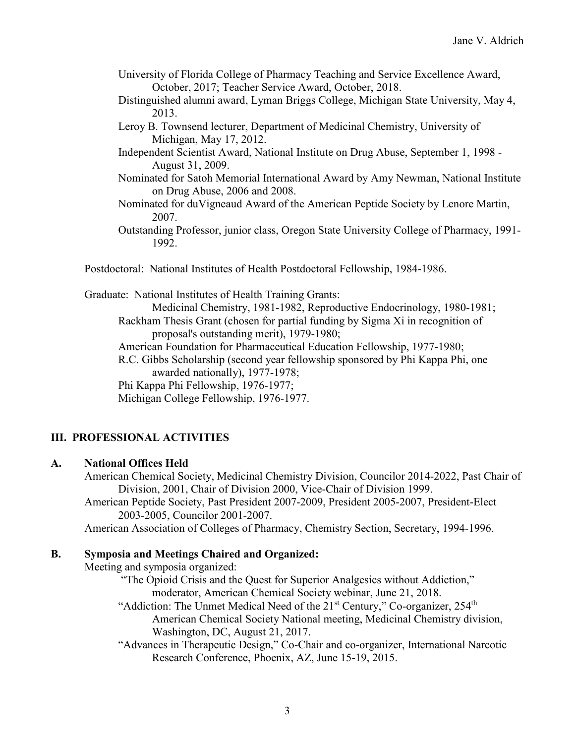- University of Florida College of Pharmacy Teaching and Service Excellence Award, October, 2017; Teacher Service Award, October, 2018.
- Distinguished alumni award, Lyman Briggs College, Michigan State University, May 4, 2013.
- Leroy B. Townsend lecturer, Department of Medicinal Chemistry, University of Michigan, May 17, 2012.
- Independent Scientist Award, National Institute on Drug Abuse, September 1, 1998 August 31, 2009.
- Nominated for Satoh Memorial International Award by Amy Newman, National Institute on Drug Abuse, 2006 and 2008.
- Nominated for duVigneaud Award of the American Peptide Society by Lenore Martin, 2007.
- Outstanding Professor, junior class, Oregon State University College of Pharmacy, 1991- 1992.
- Postdoctoral: National Institutes of Health Postdoctoral Fellowship, 1984-1986.

Graduate: National Institutes of Health Training Grants:

Medicinal Chemistry, 1981-1982, Reproductive Endocrinology, 1980-1981; Rackham Thesis Grant (chosen for partial funding by Sigma Xi in recognition of proposal's outstanding merit), 1979-1980;

American Foundation for Pharmaceutical Education Fellowship, 1977-1980;

R.C. Gibbs Scholarship (second year fellowship sponsored by Phi Kappa Phi, one awarded nationally), 1977-1978;

Phi Kappa Phi Fellowship, 1976-1977;

Michigan College Fellowship, 1976-1977.

# **III. PROFESSIONAL ACTIVITIES**

## **A. National Offices Held**

American Chemical Society, Medicinal Chemistry Division, Councilor 2014-2022, Past Chair of Division, 2001, Chair of Division 2000, Vice-Chair of Division 1999.

American Peptide Society, Past President 2007-2009, President 2005-2007, President-Elect 2003-2005, Councilor 2001-2007.

American Association of Colleges of Pharmacy, Chemistry Section, Secretary, 1994-1996.

## **B. Symposia and Meetings Chaired and Organized:**

Meeting and symposia organized:

"The Opioid Crisis and the Quest for Superior Analgesics without Addiction," moderator, American Chemical Society webinar, June 21, 2018.

"Addiction: The Unmet Medical Need of the  $21<sup>st</sup>$  Century," Co-organizer,  $254<sup>th</sup>$ American Chemical Society National meeting, Medicinal Chemistry division, Washington, DC, August 21, 2017.

"Advances in Therapeutic Design," Co-Chair and co-organizer, International Narcotic Research Conference, Phoenix, AZ, June 15-19, 2015.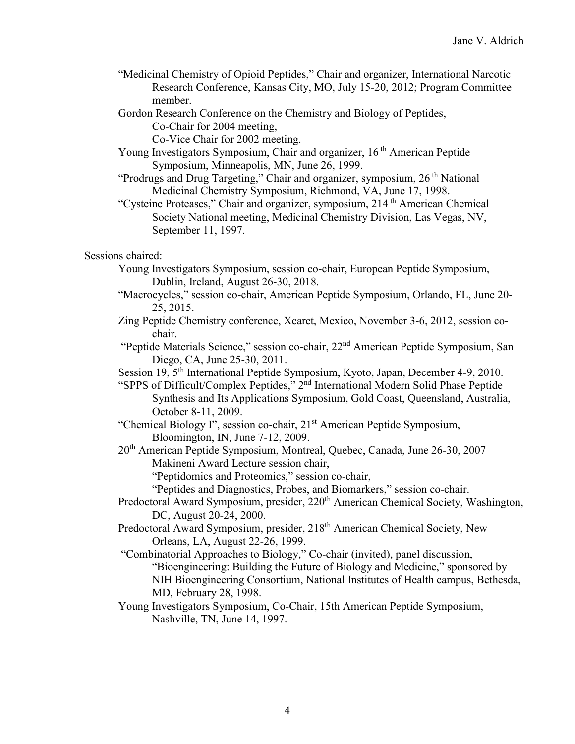- "Medicinal Chemistry of Opioid Peptides," Chair and organizer, International Narcotic Research Conference, Kansas City, MO, July 15-20, 2012; Program Committee member.
- Gordon Research Conference on the Chemistry and Biology of Peptides, Co-Chair for 2004 meeting,

Co-Vice Chair for 2002 meeting.

- Young Investigators Symposium, Chair and organizer, 16<sup>th</sup> American Peptide Symposium, Minneapolis, MN, June 26, 1999.
- "Prodrugs and Drug Targeting," Chair and organizer, symposium, 26<sup>th</sup> National Medicinal Chemistry Symposium, Richmond, VA, June 17, 1998.
- "Cysteine Proteases," Chair and organizer, symposium, 214<sup>th</sup> American Chemical Society National meeting, Medicinal Chemistry Division, Las Vegas, NV, September 11, 1997.

# Sessions chaired:

- Young Investigators Symposium, session co-chair, European Peptide Symposium, Dublin, Ireland, August 26-30, 2018.
- "Macrocycles," session co-chair, American Peptide Symposium, Orlando, FL, June 20- 25, 2015.
- Zing Peptide Chemistry conference, Xcaret, Mexico, November 3-6, 2012, session cochair.
- "Peptide Materials Science," session co-chair, 22nd American Peptide Symposium, San Diego, CA, June 25-30, 2011.
- Session 19, 5<sup>th</sup> International Peptide Symposium, Kyoto, Japan, December 4-9, 2010.
- "SPPS of Difficult/Complex Peptides," 2nd International Modern Solid Phase Peptide Synthesis and Its Applications Symposium, Gold Coast, Queensland, Australia, October 8-11, 2009.
- "Chemical Biology I", session co-chair, 21st American Peptide Symposium, Bloomington, IN, June 7-12, 2009.
- 20th American Peptide Symposium, Montreal, Quebec, Canada, June 26-30, 2007 Makineni Award Lecture session chair,
	- "Peptidomics and Proteomics," session co-chair,
	- "Peptides and Diagnostics, Probes, and Biomarkers," session co-chair.
- Predoctoral Award Symposium, presider, 220<sup>th</sup> American Chemical Society, Washington, DC, August 20-24, 2000.
- Predoctoral Award Symposium, presider, 218<sup>th</sup> American Chemical Society, New Orleans, LA, August 22-26, 1999.
- "Combinatorial Approaches to Biology," Co-chair (invited), panel discussion, "Bioengineering: Building the Future of Biology and Medicine," sponsored by NIH Bioengineering Consortium, National Institutes of Health campus, Bethesda, MD, February 28, 1998.
- Young Investigators Symposium, Co-Chair, 15th American Peptide Symposium, Nashville, TN, June 14, 1997.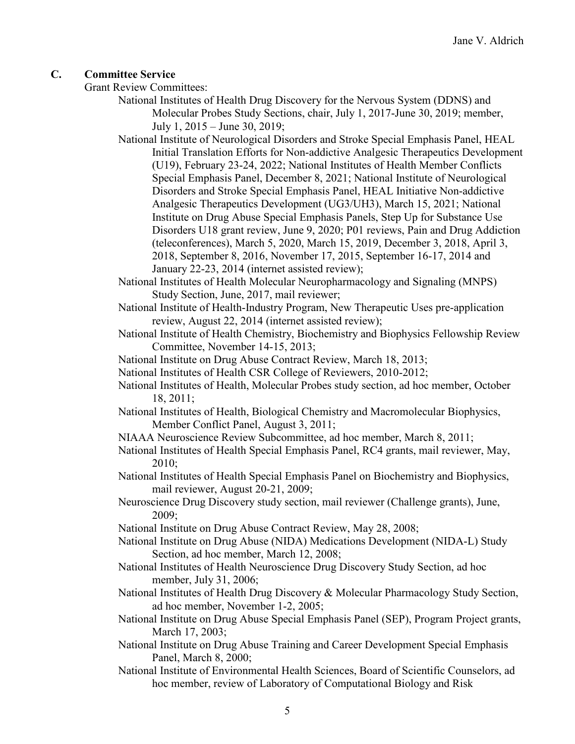## **C. Committee Service**

Grant Review Committees:

National Institutes of Health Drug Discovery for the Nervous System (DDNS) and Molecular Probes Study Sections, chair, July 1, 2017-June 30, 2019; member, July 1, 2015 – June 30, 2019;

National Institute of Neurological Disorders and Stroke Special Emphasis Panel, HEAL Initial Translation Efforts for Non-addictive Analgesic Therapeutics Development (U19), February 23-24, 2022; National Institutes of Health Member Conflicts Special Emphasis Panel, December 8, 2021; National Institute of Neurological Disorders and Stroke Special Emphasis Panel, HEAL Initiative Non-addictive Analgesic Therapeutics Development (UG3/UH3), March 15, 2021; National Institute on Drug Abuse Special Emphasis Panels, Step Up for Substance Use Disorders U18 grant review, June 9, 2020; P01 reviews, Pain and Drug Addiction (teleconferences), March 5, 2020, March 15, 2019, December 3, 2018, April 3, 2018, September 8, 2016, November 17, 2015, September 16-17, 2014 and January 22-23, 2014 (internet assisted review);

National Institutes of Health Molecular Neuropharmacology and Signaling (MNPS) Study Section, June, 2017, mail reviewer;

- National Institute of Health-Industry Program, New Therapeutic Uses pre-application review, August 22, 2014 (internet assisted review);
- National Institute of Health Chemistry, Biochemistry and Biophysics Fellowship Review Committee, November 14-15, 2013;
- National Institute on Drug Abuse Contract Review, March 18, 2013;
- National Institutes of Health CSR College of Reviewers, 2010-2012;
- National Institutes of Health, Molecular Probes study section, ad hoc member, October 18, 2011;
- National Institutes of Health, Biological Chemistry and Macromolecular Biophysics, Member Conflict Panel, August 3, 2011;
- NIAAA Neuroscience Review Subcommittee, ad hoc member, March 8, 2011;
- National Institutes of Health Special Emphasis Panel, RC4 grants, mail reviewer, May, 2010;
- National Institutes of Health Special Emphasis Panel on Biochemistry and Biophysics, mail reviewer, August 20-21, 2009;
- Neuroscience Drug Discovery study section, mail reviewer (Challenge grants), June, 2009;
- National Institute on Drug Abuse Contract Review, May 28, 2008;
- National Institute on Drug Abuse (NIDA) Medications Development (NIDA-L) Study Section, ad hoc member, March 12, 2008;
- National Institutes of Health Neuroscience Drug Discovery Study Section, ad hoc member, July 31, 2006;
- National Institutes of Health Drug Discovery & Molecular Pharmacology Study Section, ad hoc member, November 1-2, 2005;
- National Institute on Drug Abuse Special Emphasis Panel (SEP), Program Project grants, March 17, 2003;
- National Institute on Drug Abuse Training and Career Development Special Emphasis Panel, March 8, 2000;
- National Institute of Environmental Health Sciences, Board of Scientific Counselors, ad hoc member, review of Laboratory of Computational Biology and Risk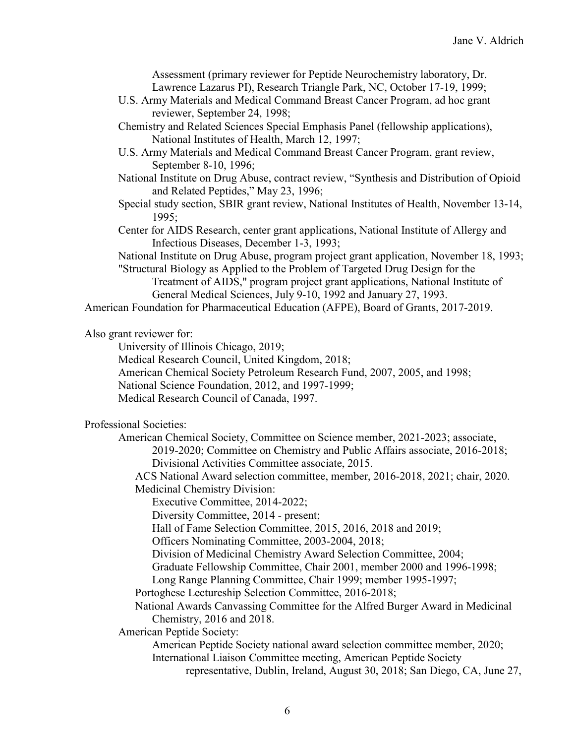Assessment (primary reviewer for Peptide Neurochemistry laboratory, Dr. Lawrence Lazarus PI), Research Triangle Park, NC, October 17-19, 1999;

- U.S. Army Materials and Medical Command Breast Cancer Program, ad hoc grant reviewer, September 24, 1998;
- Chemistry and Related Sciences Special Emphasis Panel (fellowship applications), National Institutes of Health, March 12, 1997;
- U.S. Army Materials and Medical Command Breast Cancer Program, grant review, September 8-10, 1996;
- National Institute on Drug Abuse, contract review, "Synthesis and Distribution of Opioid and Related Peptides," May 23, 1996;
- Special study section, SBIR grant review, National Institutes of Health, November 13-14, 1995;
- Center for AIDS Research, center grant applications, National Institute of Allergy and Infectious Diseases, December 1-3, 1993;

National Institute on Drug Abuse, program project grant application, November 18, 1993;

"Structural Biology as Applied to the Problem of Targeted Drug Design for the Treatment of AIDS," program project grant applications, National Institute of General Medical Sciences, July 9-10, 1992 and January 27, 1993.

American Foundation for Pharmaceutical Education (AFPE), Board of Grants, 2017-2019.

Also grant reviewer for:

University of Illinois Chicago, 2019;

Medical Research Council, United Kingdom, 2018;

American Chemical Society Petroleum Research Fund, 2007, 2005, and 1998;

National Science Foundation, 2012, and 1997-1999;

Medical Research Council of Canada, 1997.

Professional Societies:

American Chemical Society, Committee on Science member, 2021-2023; associate, 2019-2020; Committee on Chemistry and Public Affairs associate, 2016-2018; Divisional Activities Committee associate, 2015.

ACS National Award selection committee, member, 2016-2018, 2021; chair, 2020. Medicinal Chemistry Division:

Executive Committee, 2014-2022;

Diversity Committee, 2014 - present;

Hall of Fame Selection Committee, 2015, 2016, 2018 and 2019;

Officers Nominating Committee, 2003-2004, 2018;

Division of Medicinal Chemistry Award Selection Committee, 2004;

Graduate Fellowship Committee, Chair 2001, member 2000 and 1996-1998;

Long Range Planning Committee, Chair 1999; member 1995-1997;

Portoghese Lectureship Selection Committee, 2016-2018;

National Awards Canvassing Committee for the Alfred Burger Award in Medicinal Chemistry, 2016 and 2018.

American Peptide Society:

American Peptide Society national award selection committee member, 2020; International Liaison Committee meeting, American Peptide Society

representative, Dublin, Ireland, August 30, 2018; San Diego, CA, June 27,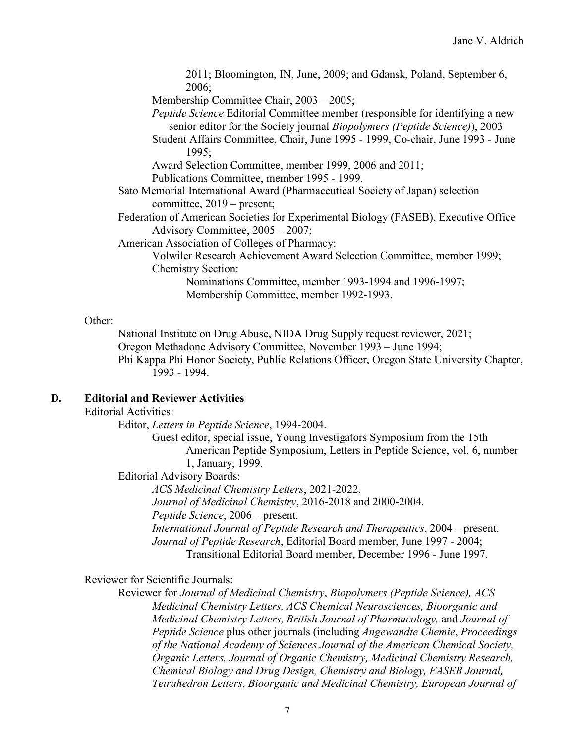2011; Bloomington, IN, June, 2009; and Gdansk, Poland, September 6, 2006;

Membership Committee Chair, 2003 – 2005;

*Peptide Science* Editorial Committee member (responsible for identifying a new senior editor for the Society journal *Biopolymers (Peptide Science)*), 2003

Student Affairs Committee, Chair, June 1995 - 1999, Co-chair, June 1993 - June 1995;

Award Selection Committee, member 1999, 2006 and 2011;

Publications Committee, member 1995 - 1999.

Sato Memorial International Award (Pharmaceutical Society of Japan) selection committee, 2019 – present;

Federation of American Societies for Experimental Biology (FASEB), Executive Office Advisory Committee, 2005 – 2007;

American Association of Colleges of Pharmacy:

Volwiler Research Achievement Award Selection Committee, member 1999;

Chemistry Section:

Nominations Committee, member 1993-1994 and 1996-1997; Membership Committee, member 1992-1993.

#### Other:

National Institute on Drug Abuse, NIDA Drug Supply request reviewer, 2021; Oregon Methadone Advisory Committee, November 1993 – June 1994; Phi Kappa Phi Honor Society, Public Relations Officer, Oregon State University Chapter, 1993 - 1994.

# **D. Editorial and Reviewer Activities**

## Editorial Activities:

Editor, *Letters in Peptide Science*, 1994-2004.

Guest editor, special issue, Young Investigators Symposium from the 15th American Peptide Symposium, Letters in Peptide Science, vol. 6, number 1, January, 1999.

Editorial Advisory Boards:

*ACS Medicinal Chemistry Letters*, 2021-2022. *Journal of Medicinal Chemistry*, 2016-2018 and 2000-2004. *Peptide Science*, 2006 – present. *International Journal of Peptide Research and Therapeutics*, 2004 – present. *Journal of Peptide Research*, Editorial Board member, June 1997 - 2004;

Transitional Editorial Board member, December 1996 - June 1997.

## Reviewer for Scientific Journals:

Reviewer for *Journal of Medicinal Chemistry*, *Biopolymers (Peptide Science), ACS Medicinal Chemistry Letters, ACS Chemical Neurosciences, Bioorganic and Medicinal Chemistry Letters, British Journal of Pharmacology,* and *Journal of Peptide Science* plus other journals (including *Angewandte Chemie*, *Proceedings of the National Academy of Sciences Journal of the American Chemical Society, Organic Letters, Journal of Organic Chemistry, Medicinal Chemistry Research, Chemical Biology and Drug Design, Chemistry and Biology, FASEB Journal, Tetrahedron Letters, Bioorganic and Medicinal Chemistry, European Journal of*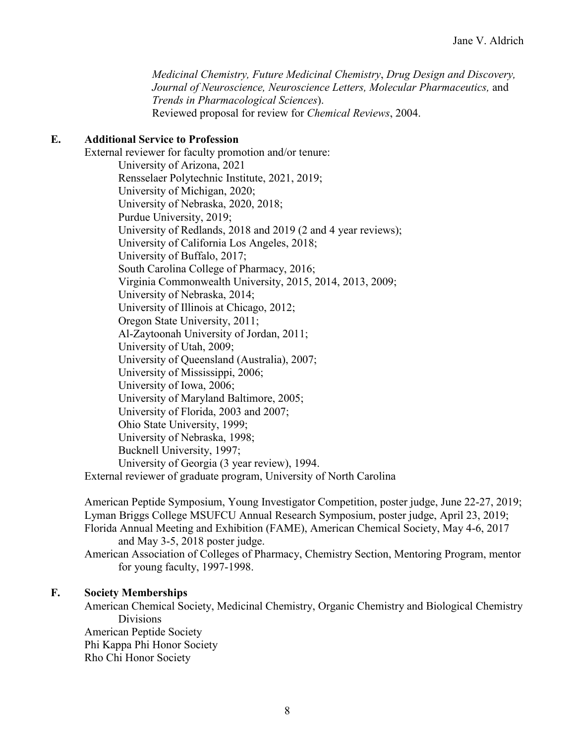*Medicinal Chemistry, Future Medicinal Chemistry*, *Drug Design and Discovery, Journal of Neuroscience, Neuroscience Letters, Molecular Pharmaceutics,* and *Trends in Pharmacological Sciences*). Reviewed proposal for review for *Chemical Reviews*, 2004.

## **E. Additional Service to Profession**

External reviewer for faculty promotion and/or tenure: University of Arizona, 2021 Rensselaer Polytechnic Institute, 2021, 2019; University of Michigan, 2020; University of Nebraska, 2020, 2018; Purdue University, 2019; University of Redlands, 2018 and 2019 (2 and 4 year reviews); University of California Los Angeles, 2018; University of Buffalo, 2017; South Carolina College of Pharmacy, 2016; Virginia Commonwealth University, 2015, 2014, 2013, 2009; University of Nebraska, 2014; University of Illinois at Chicago, 2012; Oregon State University, 2011; Al-Zaytoonah University of Jordan, 2011; University of Utah, 2009; University of Queensland (Australia), 2007; University of Mississippi, 2006; University of Iowa, 2006; University of Maryland Baltimore, 2005; University of Florida, 2003 and 2007; Ohio State University, 1999; University of Nebraska, 1998; Bucknell University, 1997; University of Georgia (3 year review), 1994. External reviewer of graduate program, University of North Carolina

American Peptide Symposium, Young Investigator Competition, poster judge, June 22-27, 2019; Lyman Briggs College MSUFCU Annual Research Symposium, poster judge, April 23, 2019; Florida Annual Meeting and Exhibition (FAME), American Chemical Society, May 4-6, 2017 and May 3-5, 2018 poster judge.

American Association of Colleges of Pharmacy, Chemistry Section, Mentoring Program, mentor for young faculty, 1997-1998.

## **F. Society Memberships**

American Chemical Society, Medicinal Chemistry, Organic Chemistry and Biological Chemistry Divisions American Peptide Society Phi Kappa Phi Honor Society Rho Chi Honor Society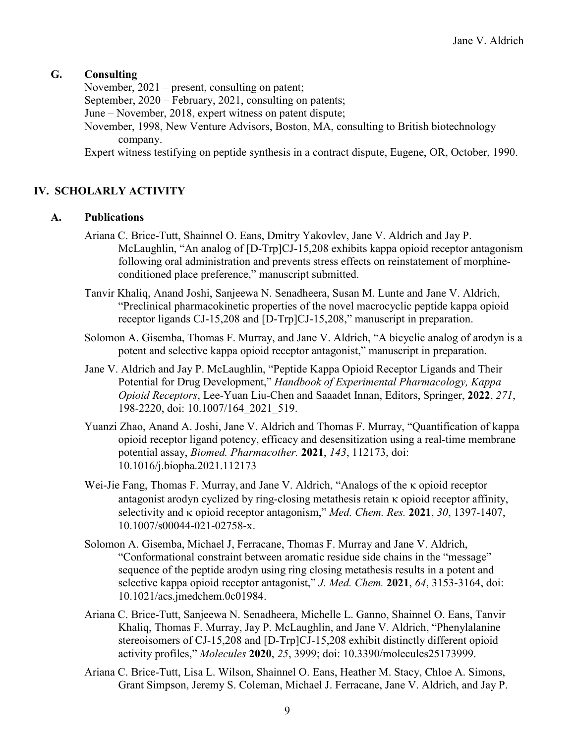## **G. Consulting**

November, 2021 – present, consulting on patent; September, 2020 – February, 2021, consulting on patents; June – November, 2018, expert witness on patent dispute; November, 1998, New Venture Advisors, Boston, MA, consulting to British biotechnology company. Expert witness testifying on peptide synthesis in a contract dispute, Eugene, OR, October, 1990.

# **IV. SCHOLARLY ACTIVITY**

## **A. Publications**

- Ariana C. Brice-Tutt, Shainnel O. Eans, Dmitry Yakovlev, Jane V. Aldrich and Jay P. McLaughlin, "An analog of [D-Trp]CJ-15,208 exhibits kappa opioid receptor antagonism following oral administration and prevents stress effects on reinstatement of morphineconditioned place preference," manuscript submitted.
- Tanvir Khaliq, Anand Joshi, Sanjeewa N. Senadheera, Susan M. Lunte and Jane V. Aldrich, "Preclinical pharmacokinetic properties of the novel macrocyclic peptide kappa opioid receptor ligands CJ-15,208 and [D-Trp]CJ-15,208," manuscript in preparation.
- Solomon A. Gisemba, Thomas F. Murray, and Jane V. Aldrich, "A bicyclic analog of arodyn is a potent and selective kappa opioid receptor antagonist," manuscript in preparation.
- Jane V. Aldrich and Jay P. McLaughlin, "Peptide Kappa Opioid Receptor Ligands and Their Potential for Drug Development," *Handbook of Experimental Pharmacology, Kappa Opioid Receptors*, Lee-Yuan Liu-Chen and Saaadet Innan, Editors, Springer, **2022**, *271*, 198-2220, doi: 10.1007/164\_2021\_519.
- Yuanzi Zhao, Anand A. Joshi, Jane V. Aldrich and Thomas F. Murray, "Quantification of kappa opioid receptor ligand potency, efficacy and desensitization using a real-time membrane potential assay, *Biomed. Pharmacother.* **2021**, *143*, 112173, doi: 10.1016/j.biopha.2021.112173
- Wei-Jie Fang, Thomas F. Murray, and Jane V. Aldrich, "Analogs of the κ opioid receptor antagonist arodyn cyclized by ring-closing metathesis retain κ opioid receptor affinity, selectivity and κ opioid receptor antagonism," *Med. Chem. Res.* **2021**, *30*, 1397-1407, 10.1007/s00044-021-02758-x.
- Solomon A. Gisemba, Michael J, Ferracane, Thomas F. Murray and Jane V. Aldrich, "Conformational constraint between aromatic residue side chains in the "message" sequence of the peptide arodyn using ring closing metathesis results in a potent and selective kappa opioid receptor antagonist," *J. Med. Chem.* **2021**, *64*, 3153-3164, doi: 10.1021/acs.jmedchem.0c01984.
- Ariana C. Brice-Tutt, Sanjeewa N. Senadheera, Michelle L. Ganno, Shainnel O. Eans, Tanvir Khaliq, Thomas F. Murray, Jay P. McLaughlin, and Jane V. Aldrich, "Phenylalanine stereoisomers of CJ-15,208 and [D-Trp]CJ-15,208 exhibit distinctly different opioid activity profiles," *Molecules* **2020**, *25*, 3999; doi: 10.3390/molecules25173999.
- Ariana C. Brice-Tutt, Lisa L. Wilson, Shainnel O. Eans, Heather M. Stacy, Chloe A. Simons, Grant Simpson, Jeremy S. Coleman, Michael J. Ferracane, Jane V. Aldrich, and Jay P.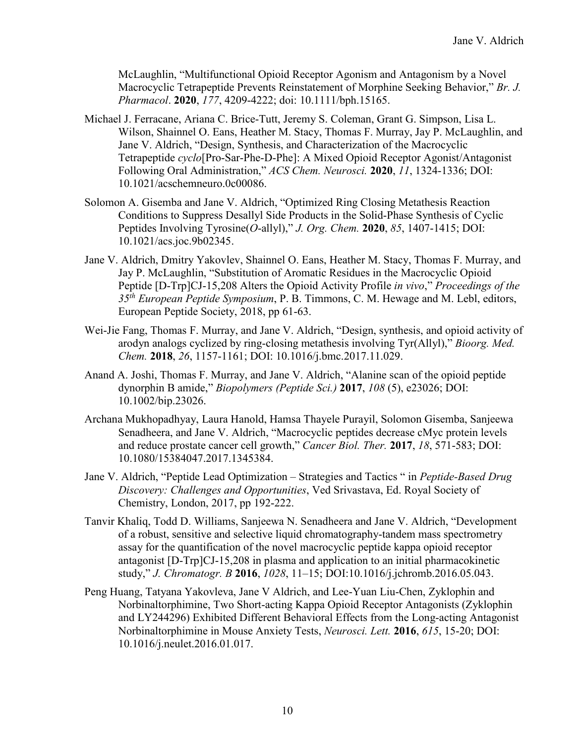McLaughlin, "Multifunctional Opioid Receptor Agonism and Antagonism by a Novel Macrocyclic Tetrapeptide Prevents Reinstatement of Morphine Seeking Behavior," *Br. J. Pharmacol*. **2020**, *177*, 4209-4222; doi: 10.1111/bph.15165.

- Michael J. Ferracane, Ariana C. Brice-Tutt, Jeremy S. Coleman, Grant G. Simpson, Lisa L. Wilson, Shainnel O. Eans, Heather M. Stacy, Thomas F. Murray, Jay P. McLaughlin, and Jane V. Aldrich, "Design, Synthesis, and Characterization of the Macrocyclic Tetrapeptide *cyclo*[Pro-Sar-Phe-D-Phe]: A Mixed Opioid Receptor Agonist/Antagonist Following Oral Administration," *ACS Chem. Neurosci.* **2020**, *11*, 1324-1336; DOI: 10.1021/acschemneuro.0c00086.
- Solomon A. Gisemba and Jane V. Aldrich, "Optimized Ring Closing Metathesis Reaction Conditions to Suppress Desallyl Side Products in the Solid-Phase Synthesis of Cyclic Peptides Involving Tyrosine(*O*-allyl)," *J. Org. Chem.* **2020**, *85*, 1407-1415; DOI: 10.1021/acs.joc.9b02345.
- Jane V. Aldrich, Dmitry Yakovlev, Shainnel O. Eans, Heather M. Stacy, Thomas F. Murray, and Jay P. McLaughlin, "Substitution of Aromatic Residues in the Macrocyclic Opioid Peptide [D-Trp]CJ-15,208 Alters the Opioid Activity Profile *in vivo*," *Proceedings of the 35th European Peptide Symposium*, P. B. Timmons, C. M. Hewage and M. Lebl, editors, European Peptide Society, 2018, pp 61-63.
- Wei-Jie Fang, Thomas F. Murray, and Jane V. Aldrich, "Design, synthesis, and opioid activity of arodyn analogs cyclized by ring-closing metathesis involving Tyr(Allyl)," *Bioorg. Med. Chem.* **2018**, *26*, 1157-1161; DOI: 10.1016/j.bmc.2017.11.029.
- Anand A. Joshi, Thomas F. Murray, and Jane V. Aldrich, "Alanine scan of the opioid peptide dynorphin B amide," *Biopolymers (Peptide Sci.)* **2017**, *108* (5), e23026; DOI: 10.1002/bip.23026.
- Archana Mukhopadhyay, Laura Hanold, Hamsa Thayele Purayil, Solomon Gisemba, Sanjeewa Senadheera, and Jane V. Aldrich, "Macrocyclic peptides decrease cMyc protein levels and reduce prostate cancer cell growth," *Cancer Biol. Ther.* **2017**, *18*, 571-583; DOI: 10.1080/15384047.2017.1345384.
- Jane V. Aldrich, "Peptide Lead Optimization Strategies and Tactics " in *Peptide-Based Drug Discovery: Challenges and Opportunities*, Ved Srivastava, Ed. Royal Society of Chemistry, London, 2017, pp 192-222.
- Tanvir Khaliq, Todd D. Williams, Sanjeewa N. Senadheera and Jane V. Aldrich, "Development of a robust, sensitive and selective liquid chromatography-tandem mass spectrometry assay for the quantification of the novel macrocyclic peptide kappa opioid receptor antagonist [D-Trp]CJ-15,208 in plasma and application to an initial pharmacokinetic study," *J. Chromatogr. B* **2016**, *1028*, 11–15; DOI:10.1016/j.jchromb.2016.05.043.
- Peng Huang, Tatyana Yakovleva, Jane V Aldrich, and Lee-Yuan Liu-Chen, Zyklophin and Norbinaltorphimine, Two Short-acting Kappa Opioid Receptor Antagonists (Zyklophin and LY244296) Exhibited Different Behavioral Effects from the Long-acting Antagonist Norbinaltorphimine in Mouse Anxiety Tests, *Neurosci. Lett.* **2016**, *615*, 15-20; DOI: 10.1016/j.neulet.2016.01.017.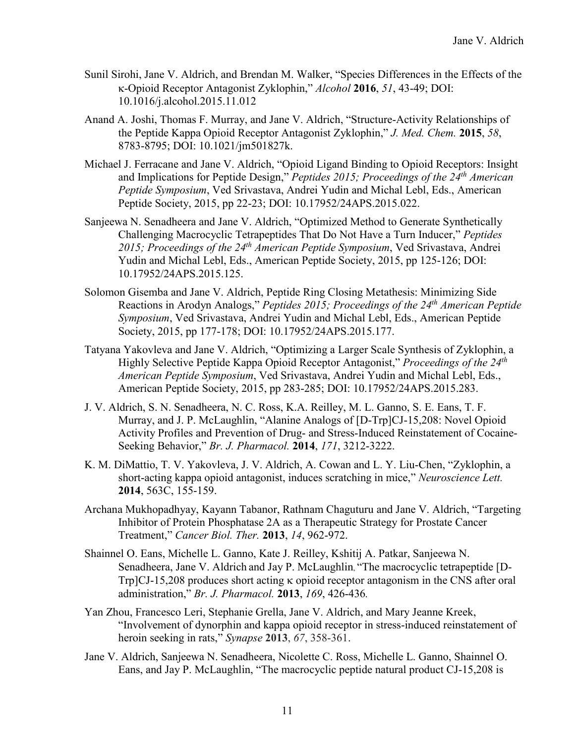- Sunil Sirohi, Jane V. Aldrich, and Brendan M. Walker, "Species Differences in the Effects of the κ-Opioid Receptor Antagonist Zyklophin," *Alcohol* **2016**, *51*, 43-49; DOI: 10.1016/j.alcohol.2015.11.012
- Anand A. Joshi, Thomas F. Murray, and Jane V. Aldrich, "Structure-Activity Relationships of the Peptide Kappa Opioid Receptor Antagonist Zyklophin," *J. Med. Chem.* **2015**, *58*, 8783-8795; DOI: 10.1021/jm501827k.
- Michael J. Ferracane and Jane V. Aldrich, "Opioid Ligand Binding to Opioid Receptors: Insight and Implications for Peptide Design," *Peptides 2015; Proceedings of the 24th American Peptide Symposium*, Ved Srivastava, Andrei Yudin and Michal Lebl, Eds., American Peptide Society, 2015, pp 22-23; DOI: 10.17952/24APS.2015.022.
- Sanjeewa N. Senadheera and Jane V. Aldrich, "Optimized Method to Generate Synthetically Challenging Macrocyclic Tetrapeptides That Do Not Have a Turn Inducer," *Peptides 2015; Proceedings of the 24th American Peptide Symposium*, Ved Srivastava, Andrei Yudin and Michal Lebl, Eds., American Peptide Society, 2015, pp 125-126; DOI: 10.17952/24APS.2015.125.
- Solomon Gisemba and Jane V. Aldrich, Peptide Ring Closing Metathesis: Minimizing Side Reactions in Arodyn Analogs," *Peptides 2015; Proceedings of the 24th American Peptide Symposium*, Ved Srivastava, Andrei Yudin and Michal Lebl, Eds., American Peptide Society, 2015, pp 177-178; DOI: 10.17952/24APS.2015.177.
- Tatyana Yakovleva and Jane V. Aldrich, "Optimizing a Larger Scale Synthesis of Zyklophin, a Highly Selective Peptide Kappa Opioid Receptor Antagonist," *Proceedings of the 24th American Peptide Symposium*, Ved Srivastava, Andrei Yudin and Michal Lebl, Eds., American Peptide Society, 2015, pp 283-285; DOI: 10.17952/24APS.2015.283.
- J. V. Aldrich, S. N. Senadheera, N. C. Ross, K.A. Reilley, M. L. Ganno, S. E. Eans, T. F. Murray, and J. P. McLaughlin, "Alanine Analogs of [D-Trp]CJ-15,208: Novel Opioid Activity Profiles and Prevention of Drug- and Stress-Induced Reinstatement of Cocaine-Seeking Behavior," *Br. J. Pharmacol.* **2014**, *171*, 3212-3222.
- K. M. DiMattio, T. V. Yakovleva, J. V. Aldrich, A. Cowan and L. Y. Liu-Chen, "Zyklophin, a short-acting kappa opioid antagonist, induces scratching in mice," *Neuroscience Lett.* **2014**, 563C, 155-159.
- Archana Mukhopadhyay, Kayann Tabanor, Rathnam Chaguturu and Jane V. Aldrich, "Targeting Inhibitor of Protein Phosphatase 2A as a Therapeutic Strategy for Prostate Cancer Treatment," *Cancer Biol. Ther.* **2013**, *14*, 962-972.
- Shainnel O. Eans, Michelle L. Ganno, Kate J. Reilley, Kshitij A. Patkar, Sanjeewa N. Senadheera, Jane V. Aldrich and Jay P. McLaughlin, "The macrocyclic tetrapeptide [D-Trp]CJ-15,208 produces short acting κ opioid receptor antagonism in the CNS after oral administration," *Br. J. Pharmacol.* **2013**, *169*, 426-436*.*
- Yan Zhou, Francesco Leri, Stephanie Grella, Jane V. Aldrich, and Mary Jeanne Kreek, "Involvement of dynorphin and kappa opioid receptor in stress-induced reinstatement of heroin seeking in rats," *Synapse* **2013**, *67*, 358-361.
- Jane V. Aldrich, Sanjeewa N. Senadheera, Nicolette C. Ross, Michelle L. Ganno, Shainnel O. Eans, and Jay P. McLaughlin, "The macrocyclic peptide natural product CJ-15,208 is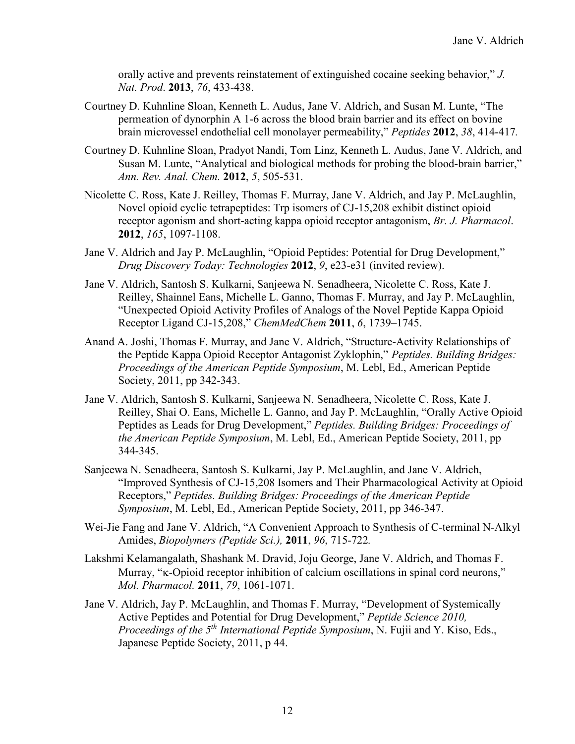orally active and prevents reinstatement of extinguished cocaine seeking behavior," *J. Nat. Prod*. **2013**, *76*, 433-438.

- Courtney D. Kuhnline Sloan, Kenneth L. Audus, Jane V. Aldrich, and Susan M. Lunte, "The permeation of dynorphin A 1-6 across the blood brain barrier and its effect on bovine brain microvessel endothelial cell monolayer permeability," *Peptides* **2012**, *38*, 414-417*.*
- Courtney D. Kuhnline Sloan, Pradyot Nandi, Tom Linz, Kenneth L. Audus, Jane V. Aldrich, and Susan M. Lunte, "Analytical and biological methods for probing the blood-brain barrier," *Ann. Rev. Anal. Chem.* **2012**, *5*, 505-531.
- Nicolette C. Ross, Kate J. Reilley, Thomas F. Murray, Jane V. Aldrich, and Jay P. McLaughlin, Novel opioid cyclic tetrapeptides: Trp isomers of CJ-15,208 exhibit distinct opioid receptor agonism and short-acting kappa opioid receptor antagonism, *Br. J. Pharmacol*. **2012**, *165*, 1097-1108.
- Jane V. Aldrich and Jay P. McLaughlin, "Opioid Peptides: Potential for Drug Development," *Drug Discovery Today: Technologies* **2012**, *9*, e23-e31 (invited review).
- Jane V. Aldrich, Santosh S. Kulkarni, Sanjeewa N. Senadheera, Nicolette C. Ross, Kate J. Reilley, Shainnel Eans, Michelle L. Ganno, Thomas F. Murray, and Jay P. McLaughlin, "Unexpected Opioid Activity Profiles of Analogs of the Novel Peptide Kappa Opioid Receptor Ligand CJ-15,208," *ChemMedChem* **2011**, *6*, 1739–1745.
- Anand A. Joshi, Thomas F. Murray, and Jane V. Aldrich, "Structure-Activity Relationships of the Peptide Kappa Opioid Receptor Antagonist Zyklophin," *Peptides. Building Bridges: Proceedings of the American Peptide Symposium*, M. Lebl, Ed., American Peptide Society, 2011, pp 342-343.
- Jane V. Aldrich, Santosh S. Kulkarni, Sanjeewa N. Senadheera, Nicolette C. Ross, Kate J. Reilley, Shai O. Eans, Michelle L. Ganno, and Jay P. McLaughlin, "Orally Active Opioid Peptides as Leads for Drug Development," *Peptides. Building Bridges: Proceedings of the American Peptide Symposium*, M. Lebl, Ed., American Peptide Society, 2011, pp 344-345.
- Sanjeewa N. Senadheera, Santosh S. Kulkarni, Jay P. McLaughlin, and Jane V. Aldrich, "Improved Synthesis of CJ-15,208 Isomers and Their Pharmacological Activity at Opioid Receptors," *Peptides. Building Bridges: Proceedings of the American Peptide Symposium*, M. Lebl, Ed., American Peptide Society, 2011, pp 346-347.
- Wei-Jie Fang and Jane V. Aldrich, "A Convenient Approach to Synthesis of C-terminal N-Alkyl Amides, *Biopolymers (Peptide Sci.),* **2011**, *96*, 715-722*.*
- Lakshmi Kelamangalath, Shashank M. Dravid, Joju George, Jane V. Aldrich, and Thomas F. Murray, "κ-Opioid receptor inhibition of calcium oscillations in spinal cord neurons," *Mol. Pharmacol.* **2011**, *79*, 1061-1071.
- Jane V. Aldrich, Jay P. McLaughlin, and Thomas F. Murray, "Development of Systemically Active Peptides and Potential for Drug Development," *Peptide Science 2010, Proceedings of the 5th International Peptide Symposium*, N. Fujii and Y. Kiso, Eds., Japanese Peptide Society, 2011, p 44.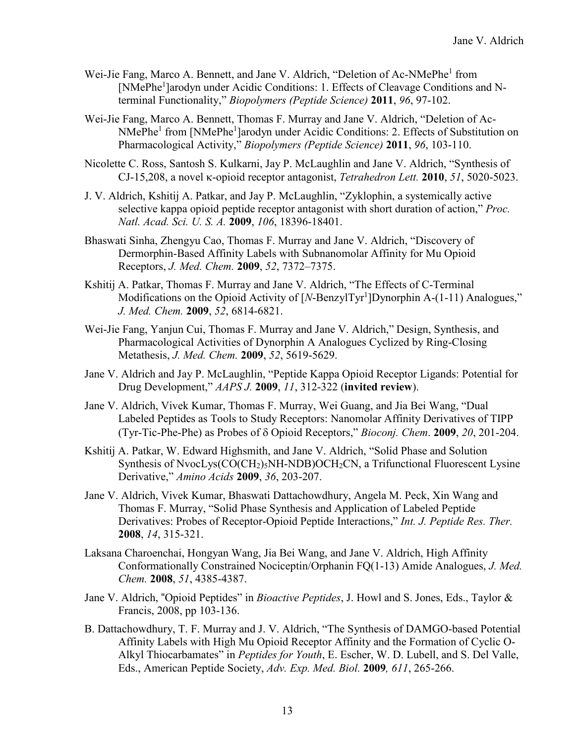- Wei-Jie Fang, Marco A. Bennett, and Jane V. Aldrich, "Deletion of Ac-NMePhe<sup>1</sup> from [NMePhe<sup>1</sup>]arodyn under Acidic Conditions: 1. Effects of Cleavage Conditions and Nterminal Functionality," *Biopolymers (Peptide Science)* **2011**, *96*, 97-102.
- Wei-Jie Fang, Marco A. Bennett, Thomas F. Murray and Jane V. Aldrich, "Deletion of Ac-NMePhe<sup>1</sup> from [NMePhe<sup>1</sup>]arodyn under Acidic Conditions: 2. Effects of Substitution on Pharmacological Activity," *Biopolymers (Peptide Science)* **2011**, *96*, 103-110.
- Nicolette C. Ross, Santosh S. Kulkarni, Jay P. McLaughlin and Jane V. Aldrich, "Synthesis of CJ-15,208, a novel κ-opioid receptor antagonist, *Tetrahedron Lett.* **2010**, *51*, 5020-5023.
- J. V. Aldrich, Kshitij A. Patkar, and Jay P. McLaughlin, "Zyklophin, a systemically active selective kappa opioid peptide receptor antagonist with short duration of action," *Proc. Natl. Acad. Sci. U. S. A.* **2009**, *106*, 18396-18401.
- Bhaswati Sinha, Zhengyu Cao, Thomas F. Murray and Jane V. Aldrich, "Discovery of Dermorphin-Based Affinity Labels with Subnanomolar Affinity for Mu Opioid Receptors, *J. Med. Chem.* **2009**, *52*, 7372–7375.
- Kshitij A. Patkar, Thomas F. Murray and Jane V. Aldrich, "The Effects of C-Terminal Modifications on the Opioid Activity of [*N*-BenzylTyr<sup>1</sup>]Dynorphin A-(1-11) Analogues," *J. Med. Chem.* **2009**, *52*, 6814-6821.
- Wei-Jie Fang, Yanjun Cui, Thomas F. Murray and Jane V. Aldrich," Design, Synthesis, and Pharmacological Activities of Dynorphin A Analogues Cyclized by Ring-Closing Metathesis, *J. Med. Chem.* **2009**, *52*, 5619-5629.
- Jane V. Aldrich and Jay P. McLaughlin, "Peptide Kappa Opioid Receptor Ligands: Potential for Drug Development," *AAPS J.* **2009**, *11*, 312-322 (**invited review**).
- Jane V. Aldrich, Vivek Kumar, Thomas F. Murray, Wei Guang, and Jia Bei Wang, "Dual Labeled Peptides as Tools to Study Receptors: Nanomolar Affinity Derivatives of TIPP (Tyr-Tic-Phe-Phe) as Probes of δ Opioid Receptors," *Bioconj. Chem*. **2009**, *20*, 201-204.
- Kshitij A. Patkar, W. Edward Highsmith, and Jane V. Aldrich, "Solid Phase and Solution Synthesis of NvocLys(CO(CH<sub>2</sub>)<sub>5</sub>NH-NDB)OCH<sub>2</sub>CN, a Trifunctional Fluorescent Lysine Derivative," *Amino Acids* **2009**, *36*, 203-207.
- Jane V. Aldrich, Vivek Kumar, Bhaswati Dattachowdhury, Angela M. Peck, Xin Wang and Thomas F. Murray, "Solid Phase Synthesis and Application of Labeled Peptide Derivatives: Probes of Receptor-Opioid Peptide Interactions," *Int. J. Peptide Res. Ther.* **2008**, *14*, 315-321.
- Laksana Charoenchai, Hongyan Wang, Jia Bei Wang, and Jane V. Aldrich, High Affinity Conformationally Constrained Nociceptin/Orphanin FQ(1-13) Amide Analogues, *J. Med. Chem.* **2008**, *51*, 4385-4387.
- Jane V. Aldrich, "Opioid Peptides" in *Bioactive Peptides*, J. Howl and S. Jones, Eds., Taylor & Francis, 2008, pp 103-136.
- B. Dattachowdhury, T. F. Murray and J. V. Aldrich, "The Synthesis of DAMGO-based Potential Affinity Labels with High Mu Opioid Receptor Affinity and the Formation of Cyclic O-Alkyl Thiocarbamates" in *Peptides for Youth*, E. Escher, W. D. Lubell, and S. Del Valle, Eds., American Peptide Society, *Adv. Exp. Med. Biol.* **2009***, 611*, 265-266.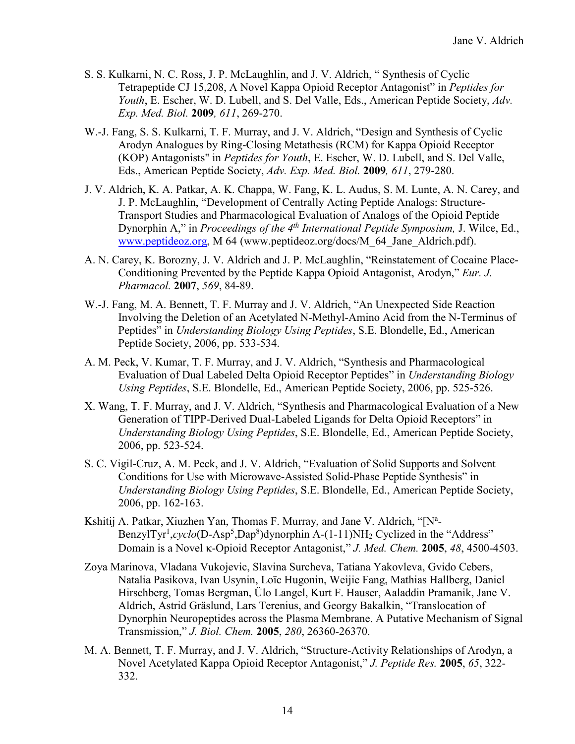- S. S. Kulkarni, N. C. Ross, J. P. McLaughlin, and J. V. Aldrich, " Synthesis of Cyclic Tetrapeptide CJ 15,208, A Novel Kappa Opioid Receptor Antagonist" in *Peptides for Youth*, E. Escher, W. D. Lubell, and S. Del Valle, Eds., American Peptide Society, *Adv. Exp. Med. Biol.* **2009***, 611*, 269-270.
- W.-J. Fang, S. S. Kulkarni, T. F. Murray, and J. V. Aldrich, "Design and Synthesis of Cyclic Arodyn Analogues by Ring-Closing Metathesis (RCM) for Kappa Opioid Receptor (KOP) Antagonists" in *Peptides for Youth*, E. Escher, W. D. Lubell, and S. Del Valle, Eds., American Peptide Society, *Adv. Exp. Med. Biol.* **2009***, 611*, 279-280.
- J. V. Aldrich, K. A. Patkar, A. K. Chappa, W. Fang, K. L. Audus, S. M. Lunte, A. N. Carey, and J. P. McLaughlin, "Development of Centrally Acting Peptide Analogs: Structure-Transport Studies and Pharmacological Evaluation of Analogs of the Opioid Peptide Dynorphin A," in *Proceedings of the 4th International Peptide Symposium,* J. Wilce, Ed., [www.peptideoz.org,](http://www.peptideoz.org/) M 64 (www.peptideoz.org/docs/M\_64\_Jane\_Aldrich.pdf).
- A. N. Carey, K. Borozny, J. V. Aldrich and J. P. McLaughlin, "Reinstatement of Cocaine Place-Conditioning Prevented by the Peptide Kappa Opioid Antagonist, Arodyn," *Eur. J. Pharmacol.* **2007**, *569*, 84-89.
- W.-J. Fang, M. A. Bennett, T. F. Murray and J. V. Aldrich, "An Unexpected Side Reaction Involving the Deletion of an Acetylated N-Methyl-Amino Acid from the N-Terminus of Peptides" in *Understanding Biology Using Peptides*, S.E. Blondelle, Ed., American Peptide Society, 2006, pp. 533-534.
- A. M. Peck, V. Kumar, T. F. Murray, and J. V. Aldrich, "Synthesis and Pharmacological Evaluation of Dual Labeled Delta Opioid Receptor Peptides" in *Understanding Biology Using Peptides*, S.E. Blondelle, Ed., American Peptide Society, 2006, pp. 525-526.
- X. Wang, T. F. Murray, and J. V. Aldrich, "Synthesis and Pharmacological Evaluation of a New Generation of TIPP-Derived Dual-Labeled Ligands for Delta Opioid Receptors" in *Understanding Biology Using Peptides*, S.E. Blondelle, Ed., American Peptide Society, 2006, pp. 523-524.
- S. C. Vigil-Cruz, A. M. Peck, and J. V. Aldrich, "Evaluation of Solid Supports and Solvent Conditions for Use with Microwave-Assisted Solid-Phase Peptide Synthesis" in *Understanding Biology Using Peptides*, S.E. Blondelle, Ed., American Peptide Society, 2006, pp. 162-163.
- Kshitij A. Patkar, Xiuzhen Yan, Thomas F. Murray, and Jane V. Aldrich, "[N<sup>a</sup>-BenzylTyr<sup>1</sup>,cyclo(D-Asp<sup>5</sup>,Dap<sup>8</sup>)dynorphin A-(1-11)NH<sub>2</sub> Cyclized in the "Address" Domain is a Novel κ-Opioid Receptor Antagonist," *J. Med. Chem.* **2005**, *48*, 4500-4503.
- Zoya Marinova, Vladana Vukojevic, Slavina Surcheva, Tatiana Yakovleva, Gvido Cebers, Natalia Pasikova, Ivan Usynin, Loïc Hugonin, Weijie Fang, Mathias Hallberg, Daniel Hirschberg, Tomas Bergman, Ülo Langel, Kurt F. Hauser, Aaladdin Pramanik, Jane V. Aldrich, Astrid Gräslund, Lars Terenius, and Georgy Bakalkin, "Translocation of Dynorphin Neuropeptides across the Plasma Membrane. A Putative Mechanism of Signal Transmission," *J. Biol. Chem.* **2005**, *280*, 26360-26370.
- M. A. Bennett, T. F. Murray, and J. V. Aldrich, "Structure-Activity Relationships of Arodyn, a Novel Acetylated Kappa Opioid Receptor Antagonist," *J. Peptide Res.* **2005**, *65*, 322- 332.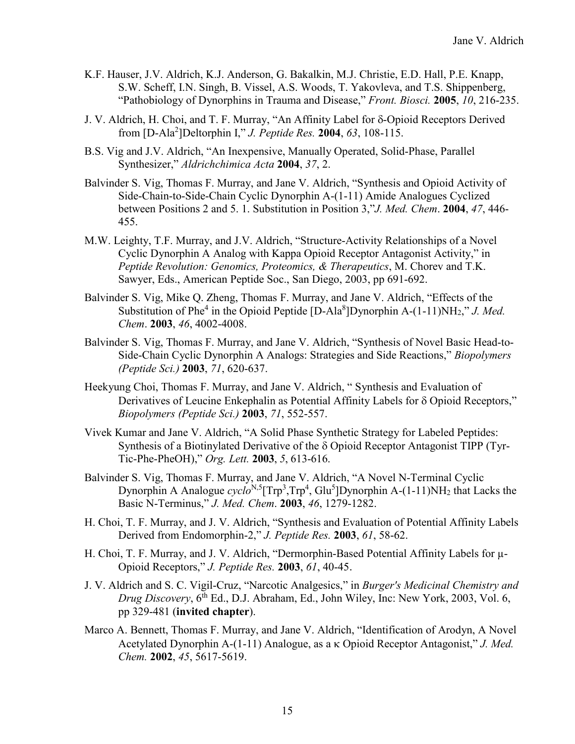- K.F. Hauser, J.V. Aldrich, K.J. Anderson, G. Bakalkin, M.J. Christie, E.D. Hall, P.E. Knapp, S.W. Scheff, I.N. Singh, B. Vissel, A.S. Woods, T. Yakovleva, and T.S. Shippenberg, "Pathobiology of Dynorphins in Trauma and Disease," *Front. Biosci.* **2005**, *10*, 216-235.
- J. V. Aldrich, H. Choi, and T. F. Murray, "An Affinity Label for δ-Opioid Receptors Derived from [D-Ala2 ]Deltorphin I," *J. Peptide Res.* **2004**, *63*, 108-115.
- B.S. Vig and J.V. Aldrich, "An Inexpensive, Manually Operated, Solid-Phase, Parallel Synthesizer," *Aldrichchimica Acta* **2004**, *37*, 2.
- Balvinder S. Vig, Thomas F. Murray, and Jane V. Aldrich, "Synthesis and Opioid Activity of Side-Chain-to-Side-Chain Cyclic Dynorphin A-(1-11) Amide Analogues Cyclized between Positions 2 and 5. 1. Substitution in Position 3,"*J. Med. Chem*. **2004**, *47*, 446- 455.
- M.W. Leighty, T.F. Murray, and J.V. Aldrich, "Structure-Activity Relationships of a Novel Cyclic Dynorphin A Analog with Kappa Opioid Receptor Antagonist Activity," in *Peptide Revolution: Genomics, Proteomics, & Therapeutics*, M. Chorev and T.K. Sawyer, Eds., American Peptide Soc., San Diego, 2003, pp 691-692.
- Balvinder S. Vig, Mike Q. Zheng, Thomas F. Murray, and Jane V. Aldrich, "Effects of the Substitution of Phe<sup>4</sup> in the Opioid Peptide [D-Ala<sup>8</sup>]Dynorphin A-(1-11)NH<sub>2</sub>," *J. Med. Chem*. **2003**, *46*, 4002-4008.
- Balvinder S. Vig, Thomas F. Murray, and Jane V. Aldrich, "Synthesis of Novel Basic Head-to-Side-Chain Cyclic Dynorphin A Analogs: Strategies and Side Reactions," *Biopolymers (Peptide Sci.)* **2003**, *71*, 620-637.
- Heekyung Choi, Thomas F. Murray, and Jane V. Aldrich, " Synthesis and Evaluation of Derivatives of Leucine Enkephalin as Potential Affinity Labels for δ Opioid Receptors," *Biopolymers (Peptide Sci.)* **2003**, *71*, 552-557.
- Vivek Kumar and Jane V. Aldrich, "A Solid Phase Synthetic Strategy for Labeled Peptides: Synthesis of a Biotinylated Derivative of the δ Opioid Receptor Antagonist TIPP (Tyr-Tic-Phe-PheOH)," *Org. Lett.* **2003**, *5*, 613-616.
- Balvinder S. Vig, Thomas F. Murray, and Jane V. Aldrich, "A Novel N-Terminal Cyclic Dynorphin A Analogue *cyclo*<sup>N,5</sup>[Trp<sup>3</sup>,Trp<sup>4</sup>, Glu<sup>5</sup>]Dynorphin A-(1-11)NH<sub>2</sub> that Lacks the Basic N-Terminus," *J. Med. Chem*. **2003**, *46*, 1279-1282.
- H. Choi, T. F. Murray, and J. V. Aldrich, "Synthesis and Evaluation of Potential Affinity Labels Derived from Endomorphin-2," *J. Peptide Res.* **2003**, *61*, 58-62.
- H. Choi, T. F. Murray, and J. V. Aldrich, "Dermorphin-Based Potential Affinity Labels for  $\mu$ -Opioid Receptors," *J. Peptide Res.* **2003**, *61*, 40-45.
- J. V. Aldrich and S. C. Vigil-Cruz, "Narcotic Analgesics," in *Burger's Medicinal Chemistry and Drug Discovery*, 6th Ed., D.J. Abraham, Ed., John Wiley, Inc: New York, 2003, Vol. 6, pp 329-481 (**invited chapter**).
- Marco A. Bennett, Thomas F. Murray, and Jane V. Aldrich, "Identification of Arodyn, A Novel Acetylated Dynorphin A-(1-11) Analogue, as a κ Opioid Receptor Antagonist," *J. Med. Chem.* **2002**, *45*, 5617-5619.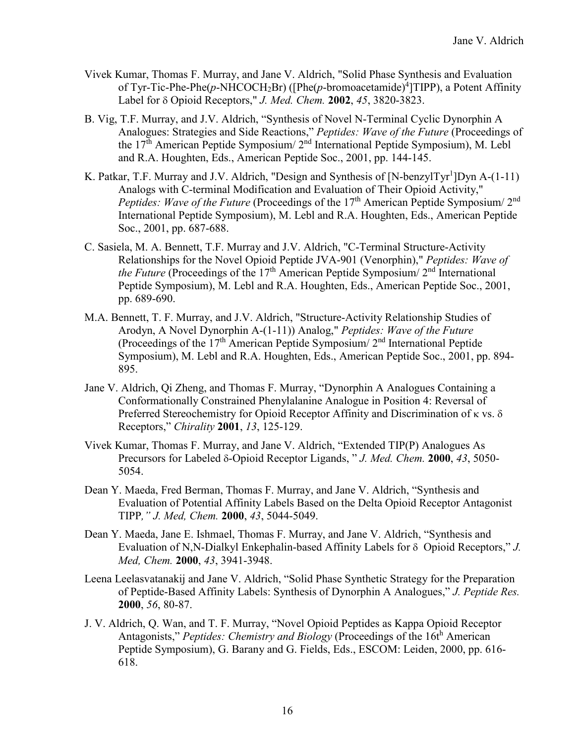- Vivek Kumar, Thomas F. Murray, and Jane V. Aldrich, "Solid Phase Synthesis and Evaluation of Tyr-Tic-Phe-Phe(p-NHCOCH<sub>2</sub>Br) ([Phe(p-bromoacetamide)<sup>4</sup>]TIPP), a Potent Affinity Label for δ Opioid Receptors," *J. Med. Chem.* **2002**, *45*, 3820-3823.
- B. Vig, T.F. Murray, and J.V. Aldrich, "Synthesis of Novel N-Terminal Cyclic Dynorphin A Analogues: Strategies and Side Reactions," *Peptides: Wave of the Future* (Proceedings of the 17th American Peptide Symposium/ 2nd International Peptide Symposium), M. Lebl and R.A. Houghten, Eds., American Peptide Soc., 2001, pp. 144-145.
- K. Patkar, T.F. Murray and J.V. Aldrich, "Design and Synthesis of [N-benzylTyr<sup>1</sup>]Dyn A-(1-11) Analogs with C-terminal Modification and Evaluation of Their Opioid Activity," *Peptides: Wave of the Future* (Proceedings of the 17<sup>th</sup> American Peptide Symposium/ 2<sup>nd</sup> International Peptide Symposium), M. Lebl and R.A. Houghten, Eds., American Peptide Soc., 2001, pp. 687-688.
- C. Sasiela, M. A. Bennett, T.F. Murray and J.V. Aldrich, "C-Terminal Structure-Activity Relationships for the Novel Opioid Peptide JVA-901 (Venorphin)," *Peptides: Wave of the Future* (Proceedings of the 17<sup>th</sup> American Peptide Symposium/ 2<sup>nd</sup> International Peptide Symposium), M. Lebl and R.A. Houghten, Eds., American Peptide Soc., 2001, pp. 689-690.
- M.A. Bennett, T. F. Murray, and J.V. Aldrich, "Structure-Activity Relationship Studies of Arodyn, A Novel Dynorphin A-(1-11)) Analog," *Peptides: Wave of the Future* (Proceedings of the  $17<sup>th</sup>$  American Peptide Symposium/  $2<sup>nd</sup>$  International Peptide Symposium), M. Lebl and R.A. Houghten, Eds., American Peptide Soc., 2001, pp. 894- 895.
- Jane V. Aldrich, Qi Zheng, and Thomas F. Murray, "Dynorphin A Analogues Containing a Conformationally Constrained Phenylalanine Analogue in Position 4: Reversal of Preferred Stereochemistry for Opioid Receptor Affinity and Discrimination of κ vs. δ Receptors," *Chirality* **2001**, *13*, 125-129.
- Vivek Kumar, Thomas F. Murray, and Jane V. Aldrich, "Extended TIP(P) Analogues As Precursors for Labeled δ-Opioid Receptor Ligands, " *J. Med. Chem.* **2000**, *43*, 5050- 5054.
- Dean Y. Maeda, Fred Berman, Thomas F. Murray, and Jane V. Aldrich, "Synthesis and Evaluation of Potential Affinity Labels Based on the Delta Opioid Receptor Antagonist TIPP*," J. Med, Chem.* **2000**, *43*, 5044-5049.
- Dean Y. Maeda, Jane E. Ishmael, Thomas F. Murray, and Jane V. Aldrich, "Synthesis and Evaluation of N,N-Dialkyl Enkephalin-based Affinity Labels for δ Opioid Receptors," *J. Med, Chem.* **2000**, *43*, 3941-3948.
- Leena Leelasvatanakij and Jane V. Aldrich, "Solid Phase Synthetic Strategy for the Preparation of Peptide-Based Affinity Labels: Synthesis of Dynorphin A Analogues," *J. Peptide Res.*  **2000**, *56*, 80-87.
- J. V. Aldrich, Q. Wan, and T. F. Murray, "Novel Opioid Peptides as Kappa Opioid Receptor Antagonists," *Peptides: Chemistry and Biology* (Proceedings of the 16t<sup>h</sup> American Peptide Symposium), G. Barany and G. Fields, Eds., ESCOM: Leiden, 2000, pp. 616- 618.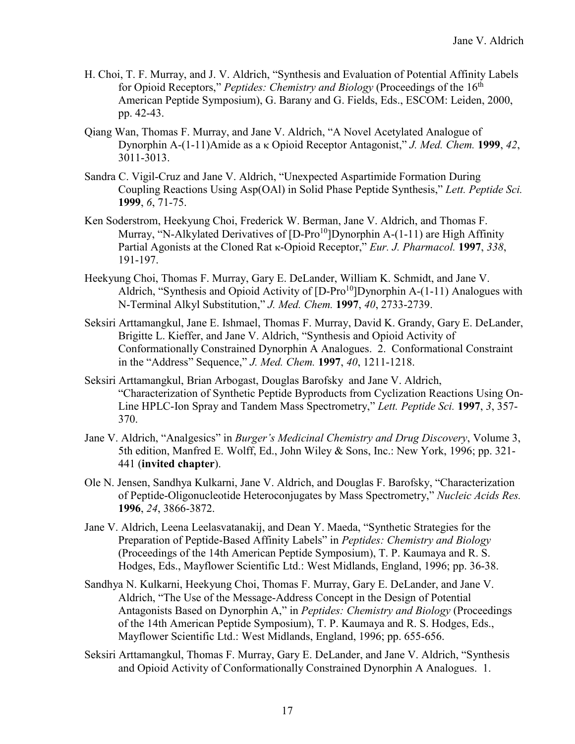- H. Choi, T. F. Murray, and J. V. Aldrich, "Synthesis and Evaluation of Potential Affinity Labels for Opioid Receptors," *Peptides: Chemistry and Biology* (Proceedings of the 16<sup>th</sup> American Peptide Symposium), G. Barany and G. Fields, Eds., ESCOM: Leiden, 2000, pp. 42-43.
- Qiang Wan, Thomas F. Murray, and Jane V. Aldrich, "A Novel Acetylated Analogue of Dynorphin A-(1-11)Amide as a κ Opioid Receptor Antagonist," *J. Med. Chem.* **1999**, *42*, 3011-3013.
- Sandra C. Vigil-Cruz and Jane V. Aldrich, "Unexpected Aspartimide Formation During Coupling Reactions Using Asp(OAl) in Solid Phase Peptide Synthesis," *Lett. Peptide Sci.* **1999**, *6*, 71-75.
- Ken Soderstrom, Heekyung Choi, Frederick W. Berman, Jane V. Aldrich, and Thomas F. Murray, "N-Alkylated Derivatives of  $[D-Pro<sup>10</sup>]$ Dynorphin A-(1-11) are High Affinity Partial Agonists at the Cloned Rat κ-Opioid Receptor," *Eur. J. Pharmacol.* **1997**, *338*, 191-197.
- Heekyung Choi, Thomas F. Murray, Gary E. DeLander, William K. Schmidt, and Jane V. Aldrich, "Synthesis and Opioid Activity of  $[D-Pro<sup>10</sup>]$ Dynorphin A-(1-11) Analogues with N-Terminal Alkyl Substitution," *J. Med. Chem.* **1997**, *40*, 2733-2739.
- Seksiri Arttamangkul, Jane E. Ishmael, Thomas F. Murray, David K. Grandy, Gary E. DeLander, Brigitte L. Kieffer, and Jane V. Aldrich, "Synthesis and Opioid Activity of Conformationally Constrained Dynorphin A Analogues. 2. Conformational Constraint in the "Address" Sequence," *J. Med. Chem.* **1997**, *40*, 1211-1218.
- Seksiri Arttamangkul, Brian Arbogast, Douglas Barofsky and Jane V. Aldrich, "Characterization of Synthetic Peptide Byproducts from Cyclization Reactions Using On-Line HPLC-Ion Spray and Tandem Mass Spectrometry," *Lett. Peptide Sci.* **1997**, *3*, 357- 370.
- Jane V. Aldrich, "Analgesics" in *Burger's Medicinal Chemistry and Drug Discovery*, Volume 3, 5th edition, Manfred E. Wolff, Ed., John Wiley & Sons, Inc.: New York, 1996; pp. 321- 441 (**invited chapter**).
- Ole N. Jensen, Sandhya Kulkarni, Jane V. Aldrich, and Douglas F. Barofsky, "Characterization of Peptide-Oligonucleotide Heteroconjugates by Mass Spectrometry," *Nucleic Acids Res.*  **1996**, *24*, 3866-3872.
- Jane V. Aldrich, Leena Leelasvatanakij, and Dean Y. Maeda, "Synthetic Strategies for the Preparation of Peptide-Based Affinity Labels" in *Peptides: Chemistry and Biology* (Proceedings of the 14th American Peptide Symposium), T. P. Kaumaya and R. S. Hodges, Eds., Mayflower Scientific Ltd.: West Midlands, England, 1996; pp. 36-38.
- Sandhya N. Kulkarni, Heekyung Choi, Thomas F. Murray, Gary E. DeLander, and Jane V. Aldrich, "The Use of the Message-Address Concept in the Design of Potential Antagonists Based on Dynorphin A," in *Peptides: Chemistry and Biology* (Proceedings of the 14th American Peptide Symposium), T. P. Kaumaya and R. S. Hodges, Eds., Mayflower Scientific Ltd.: West Midlands, England, 1996; pp. 655-656.
- Seksiri Arttamangkul, Thomas F. Murray, Gary E. DeLander, and Jane V. Aldrich, "Synthesis and Opioid Activity of Conformationally Constrained Dynorphin A Analogues. 1.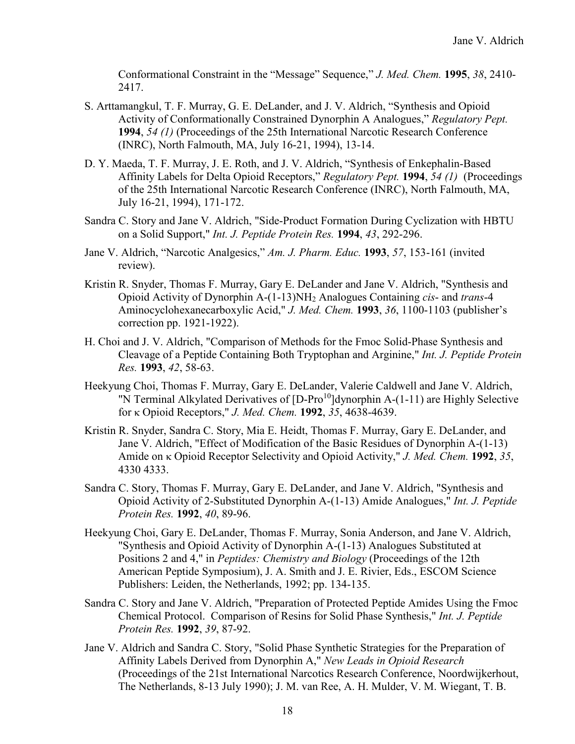Conformational Constraint in the "Message" Sequence," *J. Med. Chem.* **1995**, *38*, 2410- 2417.

- S. Arttamangkul, T. F. Murray, G. E. DeLander, and J. V. Aldrich, "Synthesis and Opioid Activity of Conformationally Constrained Dynorphin A Analogues," *Regulatory Pept.* **1994**, *54 (1)* (Proceedings of the 25th International Narcotic Research Conference (INRC), North Falmouth, MA, July 16-21, 1994), 13-14.
- D. Y. Maeda, T. F. Murray, J. E. Roth, and J. V. Aldrich, "Synthesis of Enkephalin-Based Affinity Labels for Delta Opioid Receptors," *Regulatory Pept.* **1994**, *54 (1)* (Proceedings of the 25th International Narcotic Research Conference (INRC), North Falmouth, MA, July 16-21, 1994), 171-172.
- Sandra C. Story and Jane V. Aldrich, "Side-Product Formation During Cyclization with HBTU on a Solid Support," *Int. J. Peptide Protein Res.* **1994**, *43*, 292-296.
- Jane V. Aldrich, "Narcotic Analgesics," *Am. J. Pharm. Educ.* **1993**, *57*, 153-161 (invited review).
- Kristin R. Snyder, Thomas F. Murray, Gary E. DeLander and Jane V. Aldrich, "Synthesis and Opioid Activity of Dynorphin A-(1-13)NH2 Analogues Containing *cis*- and *trans*-4 Aminocyclohexanecarboxylic Acid," *J. Med. Chem.* **1993**, *36*, 1100-1103 (publisher's correction pp. 1921-1922).
- H. Choi and J. V. Aldrich, "Comparison of Methods for the Fmoc Solid-Phase Synthesis and Cleavage of a Peptide Containing Both Tryptophan and Arginine," *Int. J. Peptide Protein Res.* **1993**, *42*, 58-63.
- Heekyung Choi, Thomas F. Murray, Gary E. DeLander, Valerie Caldwell and Jane V. Aldrich, "N Terminal Alkylated Derivatives of [D-Pro<sup>10</sup>]dynorphin A-(1-11) are Highly Selective for κ Opioid Receptors," *J. Med. Chem.* **1992**, *35*, 4638-4639.
- Kristin R. Snyder, Sandra C. Story, Mia E. Heidt, Thomas F. Murray, Gary E. DeLander, and Jane V. Aldrich, "Effect of Modification of the Basic Residues of Dynorphin A-(1-13) Amide on κ Opioid Receptor Selectivity and Opioid Activity," *J. Med. Chem.* **1992**, *35*, 4330 4333.
- Sandra C. Story, Thomas F. Murray, Gary E. DeLander, and Jane V. Aldrich, "Synthesis and Opioid Activity of 2-Substituted Dynorphin A-(1-13) Amide Analogues," *Int. J. Peptide Protein Res.* **1992**, *40*, 89-96.
- Heekyung Choi, Gary E. DeLander, Thomas F. Murray, Sonia Anderson, and Jane V. Aldrich, "Synthesis and Opioid Activity of Dynorphin A-(1-13) Analogues Substituted at Positions 2 and 4," in *Peptides: Chemistry and Biology* (Proceedings of the 12th American Peptide Symposium), J. A. Smith and J. E. Rivier, Eds., ESCOM Science Publishers: Leiden, the Netherlands, 1992; pp. 134-135.
- Sandra C. Story and Jane V. Aldrich, "Preparation of Protected Peptide Amides Using the Fmoc Chemical Protocol. Comparison of Resins for Solid Phase Synthesis," *Int. J. Peptide Protein Res.* **1992**, *39*, 87-92.
- Jane V. Aldrich and Sandra C. Story, "Solid Phase Synthetic Strategies for the Preparation of Affinity Labels Derived from Dynorphin A," *New Leads in Opioid Research* (Proceedings of the 21st International Narcotics Research Conference, Noordwijkerhout, The Netherlands, 8-13 July 1990); J. M. van Ree, A. H. Mulder, V. M. Wiegant, T. B.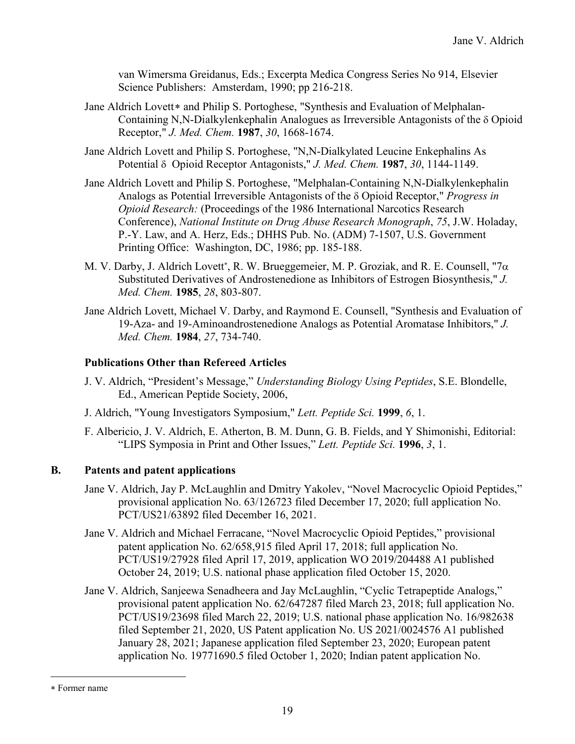van Wimersma Greidanus, Eds.; Excerpta Medica Congress Series No 914, Elsevier Science Publishers: Amsterdam, 1990; pp 216-218.

- Jane Aldrich Lovett\* and Philip S. Portoghese, "Synthesis and Evaluation of Melphalan-Containing N,N-Dialkylenkephalin Analogues as Irreversible Antagonists of the δ Opioid Receptor," *J. Med. Chem.* **1987**, *30*, 1668-1674.
- Jane Aldrich Lovett and Philip S. Portoghese, "N,N-Dialkylated Leucine Enkephalins As Potential δ Opioid Receptor Antagonists," *J. Med. Chem.* **1987**, *30*, 1144-1149.
- Jane Aldrich Lovett and Philip S. Portoghese, "Melphalan-Containing N,N-Dialkylenkephalin Analogs as Potential Irreversible Antagonists of the δ Opioid Receptor," *Progress in Opioid Research:* (Proceedings of the 1986 International Narcotics Research Conference), *National Institute on Drug Abuse Research Monograph*, *75*, J.W. Holaday, P.-Y. Law, and A. Herz, Eds.; DHHS Pub. No. (ADM) 7-1507, U.S. Government Printing Office: Washington, DC, 1986; pp. 185-188.
- M. V. Darby, J. Aldrich Lovett<sup>∗</sup> , R. W. Brueggemeier, M. P. Groziak, and R. E. Counsell, "7α Substituted Derivatives of Androstenedione as Inhibitors of Estrogen Biosynthesis," *J. Med. Chem.* **1985**, *28*, 803-807.
- Jane Aldrich Lovett, Michael V. Darby, and Raymond E. Counsell, "Synthesis and Evaluation of 19-Aza- and 19-Aminoandrostenedione Analogs as Potential Aromatase Inhibitors," *J. Med. Chem.* **1984**, *27*, 734-740.

# **Publications Other than Refereed Articles**

- J. V. Aldrich, "President's Message," *Understanding Biology Using Peptides*, S.E. Blondelle, Ed., American Peptide Society, 2006,
- J. Aldrich, "Young Investigators Symposium," *Lett. Peptide Sci.* **1999**, *6*, 1.
- F. Albericio, J. V. Aldrich, E. Atherton, B. M. Dunn, G. B. Fields, and Y Shimonishi, Editorial: "LIPS Symposia in Print and Other Issues," *Lett. Peptide Sci.* **1996**, *3*, 1.

# **B. Patents and patent applications**

- Jane V. Aldrich, Jay P. McLaughlin and Dmitry Yakolev, "Novel Macrocyclic Opioid Peptides," provisional application No. 63/126723 filed December 17, 2020; full application No. PCT/US21/63892 filed December 16, 2021.
- Jane V. Aldrich and Michael Ferracane, "Novel Macrocyclic Opioid Peptides," provisional patent application No. 62/658,915 filed April 17, 2018; full application No. PCT/US19/27928 filed April 17, 2019, application WO 2019/204488 A1 published October 24, 2019; U.S. national phase application filed October 15, 2020.
- Jane V. Aldrich, Sanjeewa Senadheera and Jay McLaughlin, "Cyclic Tetrapeptide Analogs," provisional patent application No. 62/647287 filed March 23, 2018; full application No. PCT/US19/23698 filed March 22, 2019; U.S. national phase application No. 16/982638 filed September 21, 2020, US Patent application No. US 2021/0024576 A1 published January 28, 2021; Japanese application filed September 23, 2020; European patent application No. 19771690.5 filed October 1, 2020; Indian patent application No.

 $\overline{a}$ 

<sup>∗</sup> Former name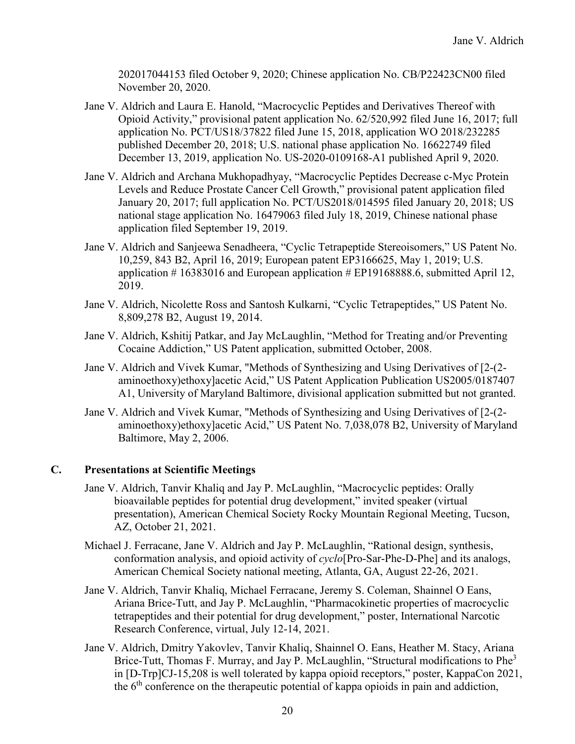202017044153 filed October 9, 2020; Chinese application No. CB/P22423CN00 filed November 20, 2020.

- Jane V. Aldrich and Laura E. Hanold, "Macrocyclic Peptides and Derivatives Thereof with Opioid Activity," provisional patent application No. 62/520,992 filed June 16, 2017; full application No. PCT/US18/37822 filed June 15, 2018, application WO 2018/232285 published December 20, 2018; U.S. national phase application No. 16622749 filed December 13, 2019, application No. US-2020-0109168-A1 published April 9, 2020.
- Jane V. Aldrich and Archana Mukhopadhyay, "Macrocyclic Peptides Decrease c-Myc Protein Levels and Reduce Prostate Cancer Cell Growth," provisional patent application filed January 20, 2017; full application No. PCT/US2018/014595 filed January 20, 2018; US national stage application No. 16479063 filed July 18, 2019, Chinese national phase application filed September 19, 2019.
- Jane V. Aldrich and Sanjeewa Senadheera, "Cyclic Tetrapeptide Stereoisomers," US Patent No. 10,259, 843 B2, April 16, 2019; European patent EP3166625, May 1, 2019; U.S. application # 16383016 and European application # EP19168888.6, submitted April 12, 2019.
- Jane V. Aldrich, Nicolette Ross and Santosh Kulkarni, "Cyclic Tetrapeptides," US Patent No. 8,809,278 B2, August 19, 2014.
- Jane V. Aldrich, Kshitij Patkar, and Jay McLaughlin, "Method for Treating and/or Preventing Cocaine Addiction," US Patent application, submitted October, 2008.
- Jane V. Aldrich and Vivek Kumar, "Methods of Synthesizing and Using Derivatives of [2-(2 aminoethoxy)ethoxy]acetic Acid," US Patent Application Publication US2005/0187407 A1, University of Maryland Baltimore, divisional application submitted but not granted.
- Jane V. Aldrich and Vivek Kumar, "Methods of Synthesizing and Using Derivatives of [2-(2 aminoethoxy)ethoxy]acetic Acid," US Patent No. 7,038,078 B2, University of Maryland Baltimore, May 2, 2006.

## **C. Presentations at Scientific Meetings**

- Jane V. Aldrich, Tanvir Khaliq and Jay P. McLaughlin, "Macrocyclic peptides: Orally bioavailable peptides for potential drug development," invited speaker (virtual presentation), American Chemical Society Rocky Mountain Regional Meeting, Tucson, AZ, October 21, 2021.
- Michael J. Ferracane, Jane V. Aldrich and Jay P. McLaughlin, "Rational design, synthesis, conformation analysis, and opioid activity of *cyclo*[Pro-Sar-Phe-D-Phe] and its analogs, American Chemical Society national meeting, Atlanta, GA, August 22-26, 2021.
- Jane V. Aldrich, Tanvir Khaliq, Michael Ferracane, Jeremy S. Coleman, Shainnel O Eans, Ariana Brice-Tutt, and Jay P. McLaughlin, "Pharmacokinetic properties of macrocyclic tetrapeptides and their potential for drug development," poster, International Narcotic Research Conference, virtual, July 12-14, 2021.
- Jane V. Aldrich, Dmitry Yakovlev, Tanvir Khaliq, Shainnel O. Eans, Heather M. Stacy, Ariana Brice-Tutt, Thomas F. Murray, and Jay P. McLaughlin, "Structural modifications to Phe<sup>3</sup> in [D-Trp]CJ-15,208 is well tolerated by kappa opioid receptors," poster, KappaCon 2021, the  $6<sup>th</sup>$  conference on the therapeutic potential of kappa opioids in pain and addiction,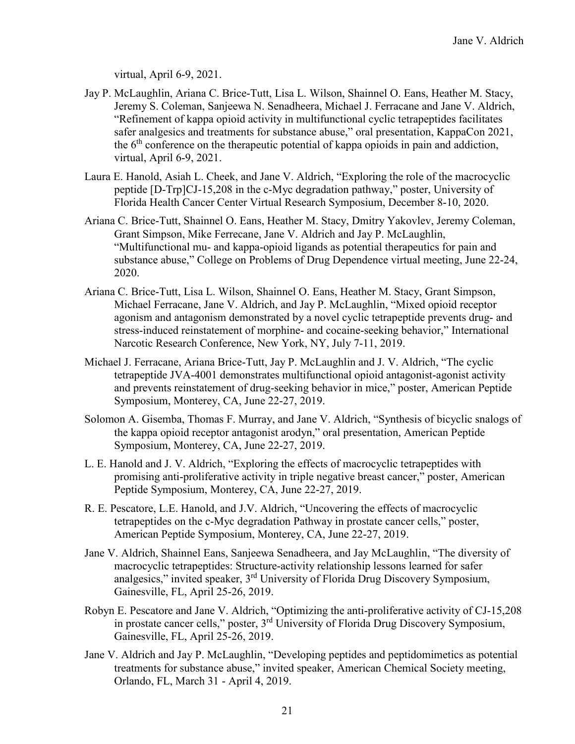virtual, April 6-9, 2021.

- Jay P. McLaughlin, Ariana C. Brice-Tutt, Lisa L. Wilson, Shainnel O. Eans, Heather M. Stacy, Jeremy S. Coleman, Sanjeewa N. Senadheera, Michael J. Ferracane and Jane V. Aldrich, "Refinement of kappa opioid activity in multifunctional cyclic tetrapeptides facilitates safer analgesics and treatments for substance abuse," oral presentation, KappaCon 2021, the 6<sup>th</sup> conference on the therapeutic potential of kappa opioids in pain and addiction, virtual, April 6-9, 2021.
- Laura E. Hanold, Asiah L. Cheek, and Jane V. Aldrich, "Exploring the role of the macrocyclic peptide [D-Trp]CJ-15,208 in the c-Myc degradation pathway," poster, University of Florida Health Cancer Center Virtual Research Symposium, December 8-10, 2020.
- Ariana C. Brice-Tutt, Shainnel O. Eans, Heather M. Stacy, Dmitry Yakovlev, Jeremy Coleman, Grant Simpson, Mike Ferrecane, Jane V. Aldrich and Jay P. McLaughlin, "Multifunctional mu- and kappa-opioid ligands as potential therapeutics for pain and substance abuse," College on Problems of Drug Dependence virtual meeting, June 22-24, 2020.
- Ariana C. Brice-Tutt, Lisa L. Wilson, Shainnel O. Eans, Heather M. Stacy, Grant Simpson, Michael Ferracane, Jane V. Aldrich, and Jay P. McLaughlin, "Mixed opioid receptor agonism and antagonism demonstrated by a novel cyclic tetrapeptide prevents drug- and stress-induced reinstatement of morphine- and cocaine-seeking behavior," International Narcotic Research Conference, New York, NY, July 7-11, 2019.
- Michael J. Ferracane, Ariana Brice-Tutt, Jay P. McLaughlin and J. V. Aldrich, "The cyclic tetrapeptide JVA-4001 demonstrates multifunctional opioid antagonist-agonist activity and prevents reinstatement of drug-seeking behavior in mice," poster, American Peptide Symposium, Monterey, CA, June 22-27, 2019.
- Solomon A. Gisemba, Thomas F. Murray, and Jane V. Aldrich, "Synthesis of bicyclic snalogs of the kappa opioid receptor antagonist arodyn," oral presentation, American Peptide Symposium, Monterey, CA, June 22-27, 2019.
- L. E. Hanold and J. V. Aldrich, "Exploring the effects of macrocyclic tetrapeptides with promising anti-proliferative activity in triple negative breast cancer," poster, American Peptide Symposium, Monterey, CA, June 22-27, 2019.
- R. E. Pescatore, L.E. Hanold, and J.V. Aldrich, "Uncovering the effects of macrocyclic tetrapeptides on the c-Myc degradation Pathway in prostate cancer cells," poster, American Peptide Symposium, Monterey, CA, June 22-27, 2019.
- Jane V. Aldrich, Shainnel Eans, Sanjeewa Senadheera, and Jay McLaughlin, "The diversity of macrocyclic tetrapeptides: Structure-activity relationship lessons learned for safer analgesics," invited speaker, 3rd University of Florida Drug Discovery Symposium, Gainesville, FL, April 25-26, 2019.
- Robyn E. Pescatore and Jane V. Aldrich, "Optimizing the anti-proliferative activity of CJ-15,208 in prostate cancer cells," poster, 3<sup>rd</sup> University of Florida Drug Discovery Symposium, Gainesville, FL, April 25-26, 2019.
- Jane V. Aldrich and Jay P. McLaughlin, "Developing peptides and peptidomimetics as potential treatments for substance abuse," invited speaker, American Chemical Society meeting, Orlando, FL, March 31 - April 4, 2019.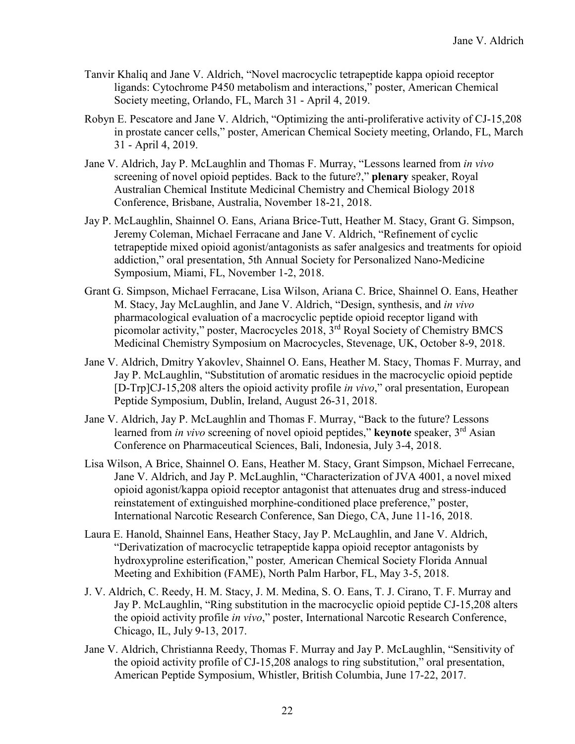- Tanvir Khaliq and Jane V. Aldrich, "Novel macrocyclic tetrapeptide kappa opioid receptor ligands: Cytochrome P450 metabolism and interactions," poster, American Chemical Society meeting, Orlando, FL, March 31 - April 4, 2019.
- Robyn E. Pescatore and Jane V. Aldrich, "Optimizing the anti-proliferative activity of CJ-15,208 in prostate cancer cells," poster, American Chemical Society meeting, Orlando, FL, March 31 - April 4, 2019.
- Jane V. Aldrich, Jay P. McLaughlin and Thomas F. Murray, "Lessons learned from *in vivo* screening of novel opioid peptides. Back to the future?," **plenary** speaker, Royal Australian Chemical Institute Medicinal Chemistry and Chemical Biology 2018 Conference, Brisbane, Australia, November 18-21, 2018.
- Jay P. McLaughlin, Shainnel O. Eans, Ariana Brice-Tutt, Heather M. Stacy, Grant G. Simpson, Jeremy Coleman, Michael Ferracane and Jane V. Aldrich, "Refinement of cyclic tetrapeptide mixed opioid agonist/antagonists as safer analgesics and treatments for opioid addiction," oral presentation, 5th Annual Society for Personalized Nano-Medicine Symposium, Miami, FL, November 1-2, 2018.
- Grant G. Simpson, Michael Ferracane, Lisa Wilson, Ariana C. Brice, Shainnel O. Eans, Heather M. Stacy, Jay McLaughlin, and Jane V. Aldrich, "Design, synthesis, and *in vivo*  pharmacological evaluation of a macrocyclic peptide opioid receptor ligand with picomolar activity," poster, Macrocycles 2018, 3rd Royal Society of Chemistry BMCS Medicinal Chemistry Symposium on Macrocycles, Stevenage, UK, October 8-9, 2018.
- Jane V. Aldrich, Dmitry Yakovlev, Shainnel O. Eans, Heather M. Stacy, Thomas F. Murray, and Jay P. McLaughlin, "Substitution of aromatic residues in the macrocyclic opioid peptide [D-Trp]CJ-15,208 alters the opioid activity profile *in vivo*," oral presentation, European Peptide Symposium, Dublin, Ireland, August 26-31, 2018.
- Jane V. Aldrich, Jay P. McLaughlin and Thomas F. Murray, "Back to the future? Lessons learned from *in vivo* screening of novel opioid peptides," **keynote** speaker, 3<sup>rd</sup> Asian Conference on Pharmaceutical Sciences, Bali, Indonesia, July 3-4, 2018.
- Lisa Wilson, A Brice, Shainnel O. Eans, Heather M. Stacy, Grant Simpson, Michael Ferrecane, Jane V. Aldrich, and Jay P. McLaughlin, "Characterization of JVA 4001, a novel mixed opioid agonist/kappa opioid receptor antagonist that attenuates drug and stress-induced reinstatement of extinguished morphine-conditioned place preference," poster, International Narcotic Research Conference, San Diego, CA, June 11-16, 2018.
- Laura E. Hanold, Shainnel Eans, Heather Stacy, Jay P. McLaughlin, and Jane V. Aldrich, "Derivatization of macrocyclic tetrapeptide kappa opioid receptor antagonists by hydroxyproline esterification," poster*,* American Chemical Society Florida Annual Meeting and Exhibition (FAME), North Palm Harbor, FL, May 3-5, 2018.
- J. V. Aldrich, C. Reedy, H. M. Stacy, J. M. Medina, S. O. Eans, T. J. Cirano, T. F. Murray and Jay P. McLaughlin, "Ring substitution in the macrocyclic opioid peptide CJ-15,208 alters the opioid activity profile *in vivo*," poster, International Narcotic Research Conference, Chicago, IL, July 9-13, 2017.
- Jane V. Aldrich, Christianna Reedy, Thomas F. Murray and Jay P. McLaughlin, "Sensitivity of the opioid activity profile of CJ-15,208 analogs to ring substitution," oral presentation, American Peptide Symposium, Whistler, British Columbia, June 17-22, 2017.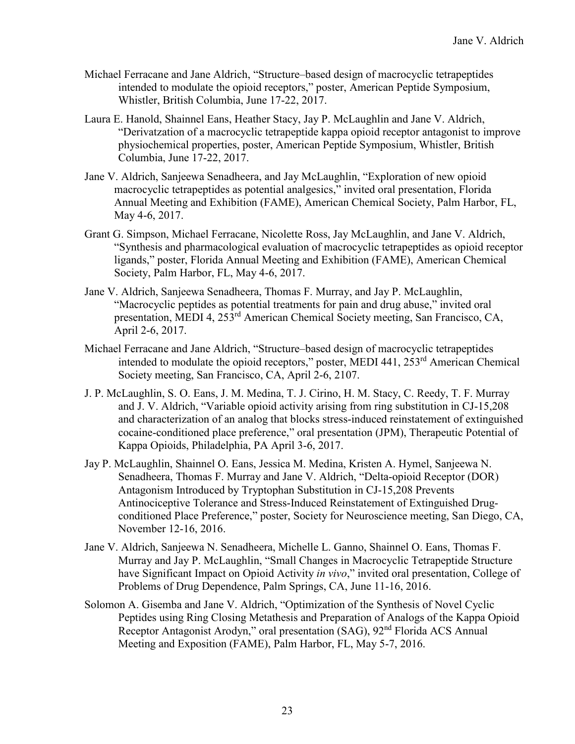- Michael Ferracane and Jane Aldrich, "Structure–based design of macrocyclic tetrapeptides intended to modulate the opioid receptors," poster, American Peptide Symposium, Whistler, British Columbia, June 17-22, 2017.
- Laura E. Hanold, Shainnel Eans, Heather Stacy, Jay P. McLaughlin and Jane V. Aldrich, "Derivatzation of a macrocyclic tetrapeptide kappa opioid receptor antagonist to improve physiochemical properties, poster, American Peptide Symposium, Whistler, British Columbia, June 17-22, 2017.
- Jane V. Aldrich, Sanjeewa Senadheera, and Jay McLaughlin, "Exploration of new opioid macrocyclic tetrapeptides as potential analgesics," invited oral presentation, Florida Annual Meeting and Exhibition (FAME), American Chemical Society, Palm Harbor, FL, May 4-6, 2017.
- Grant G. Simpson, Michael Ferracane, Nicolette Ross, Jay McLaughlin, and Jane V. Aldrich, "Synthesis and pharmacological evaluation of macrocyclic tetrapeptides as opioid receptor ligands," poster, Florida Annual Meeting and Exhibition (FAME), American Chemical Society, Palm Harbor, FL, May 4-6, 2017.
- Jane V. Aldrich, Sanjeewa Senadheera, Thomas F. Murray, and Jay P. McLaughlin, "Macrocyclic peptides as potential treatments for pain and drug abuse," invited oral presentation, MEDI 4, 253rd American Chemical Society meeting, San Francisco, CA, April 2-6, 2017.
- Michael Ferracane and Jane Aldrich, "Structure–based design of macrocyclic tetrapeptides intended to modulate the opioid receptors," poster, MEDI 441, 253rd American Chemical Society meeting, San Francisco, CA, April 2-6, 2107.
- J. P. McLaughlin, S. O. Eans, J. M. Medina, T. J. Cirino, H. M. Stacy, C. Reedy, T. F. Murray and J. V. Aldrich, "Variable opioid activity arising from ring substitution in CJ-15,208 and characterization of an analog that blocks stress-induced reinstatement of extinguished cocaine-conditioned place preference," oral presentation (JPM), Therapeutic Potential of Kappa Opioids, Philadelphia, PA April 3-6, 2017.
- Jay P. McLaughlin, Shainnel O. Eans, Jessica M. Medina, Kristen A. Hymel, Sanjeewa N. Senadheera, Thomas F. Murray and Jane V. Aldrich, "Delta-opioid Receptor (DOR) Antagonism Introduced by Tryptophan Substitution in CJ-15,208 Prevents Antinociceptive Tolerance and Stress-Induced Reinstatement of Extinguished Drugconditioned Place Preference," poster, Society for Neuroscience meeting, San Diego, CA, November 12-16, 2016.
- Jane V. Aldrich, Sanjeewa N. Senadheera, Michelle L. Ganno, Shainnel O. Eans, Thomas F. Murray and Jay P. McLaughlin, "Small Changes in Macrocyclic Tetrapeptide Structure have Significant Impact on Opioid Activity *in vivo*," invited oral presentation, College of Problems of Drug Dependence, Palm Springs, CA, June 11-16, 2016.
- Solomon A. Gisemba and Jane V. Aldrich, "Optimization of the Synthesis of Novel Cyclic Peptides using Ring Closing Metathesis and Preparation of Analogs of the Kappa Opioid Receptor Antagonist Arodyn," oral presentation (SAG), 92nd Florida ACS Annual Meeting and Exposition (FAME), Palm Harbor, FL, May 5-7, 2016.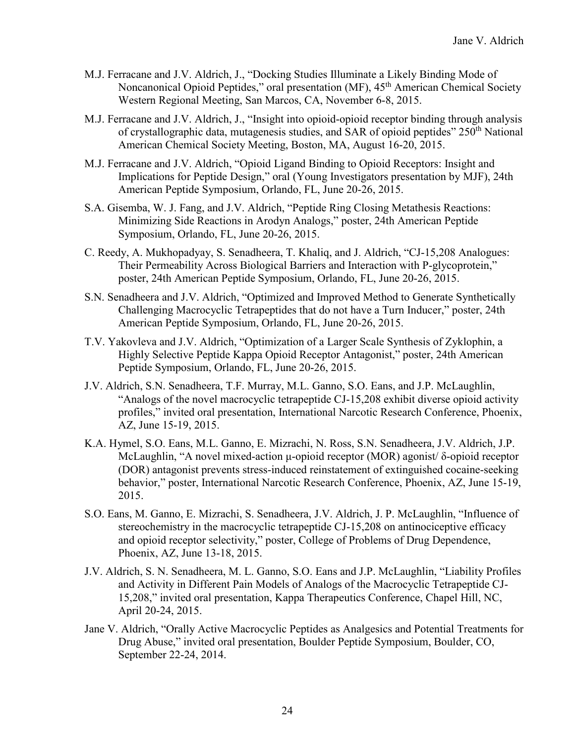- M.J. Ferracane and J.V. Aldrich, J., "Docking Studies Illuminate a Likely Binding Mode of Noncanonical Opioid Peptides," oral presentation (MF),  $45<sup>th</sup>$  American Chemical Society Western Regional Meeting, San Marcos, CA, November 6-8, 2015.
- M.J. Ferracane and J.V. Aldrich, J., "Insight into opioid-opioid receptor binding through analysis of crystallographic data, mutagenesis studies, and SAR of opioid peptides" 250<sup>th</sup> National American Chemical Society Meeting, Boston, MA, August 16-20, 2015.
- M.J. Ferracane and J.V. Aldrich, "Opioid Ligand Binding to Opioid Receptors: Insight and Implications for Peptide Design," oral (Young Investigators presentation by MJF), 24th American Peptide Symposium, Orlando, FL, June 20-26, 2015.
- S.A. Gisemba, W. J. Fang, and J.V. Aldrich, "Peptide Ring Closing Metathesis Reactions: Minimizing Side Reactions in Arodyn Analogs," poster, 24th American Peptide Symposium, Orlando, FL, June 20-26, 2015.
- C. Reedy, A. Mukhopadyay, S. Senadheera, T. Khaliq, and J. Aldrich, "CJ-15,208 Analogues: Their Permeability Across Biological Barriers and Interaction with P-glycoprotein," poster, 24th American Peptide Symposium, Orlando, FL, June 20-26, 2015.
- S.N. Senadheera and J.V. Aldrich, "Optimized and Improved Method to Generate Synthetically Challenging Macrocyclic Tetrapeptides that do not have a Turn Inducer," poster, 24th American Peptide Symposium, Orlando, FL, June 20-26, 2015.
- T.V. Yakovleva and J.V. Aldrich, "Optimization of a Larger Scale Synthesis of Zyklophin, a Highly Selective Peptide Kappa Opioid Receptor Antagonist," poster, 24th American Peptide Symposium, Orlando, FL, June 20-26, 2015.
- J.V. Aldrich, S.N. Senadheera, T.F. Murray, M.L. Ganno, S.O. Eans, and J.P. McLaughlin, "Analogs of the novel macrocyclic tetrapeptide CJ-15,208 exhibit diverse opioid activity profiles," invited oral presentation, International Narcotic Research Conference, Phoenix, AZ, June 15-19, 2015.
- K.A. Hymel, S.O. Eans, M.L. Ganno, E. Mizrachi, N. Ross, S.N. Senadheera, J.V. Aldrich, J.P. McLaughlin, "A novel mixed-action μ-opioid receptor (MOR) agonist/ δ-opioid receptor (DOR) antagonist prevents stress-induced reinstatement of extinguished cocaine-seeking behavior," poster, International Narcotic Research Conference, Phoenix, AZ, June 15-19, 2015.
- S.O. Eans, M. Ganno, E. Mizrachi, S. Senadheera, J.V. Aldrich, J. P. McLaughlin, "Influence of stereochemistry in the macrocyclic tetrapeptide CJ-15,208 on antinociceptive efficacy and opioid receptor selectivity," poster, College of Problems of Drug Dependence, Phoenix, AZ, June 13-18, 2015.
- J.V. Aldrich, S. N. Senadheera, M. L. Ganno, S.O. Eans and J.P. McLaughlin, "Liability Profiles and Activity in Different Pain Models of Analogs of the Macrocyclic Tetrapeptide CJ-15,208," invited oral presentation, Kappa Therapeutics Conference, Chapel Hill, NC, April 20-24, 2015.
- Jane V. Aldrich, "Orally Active Macrocyclic Peptides as Analgesics and Potential Treatments for Drug Abuse," invited oral presentation, Boulder Peptide Symposium, Boulder, CO, September 22-24, 2014.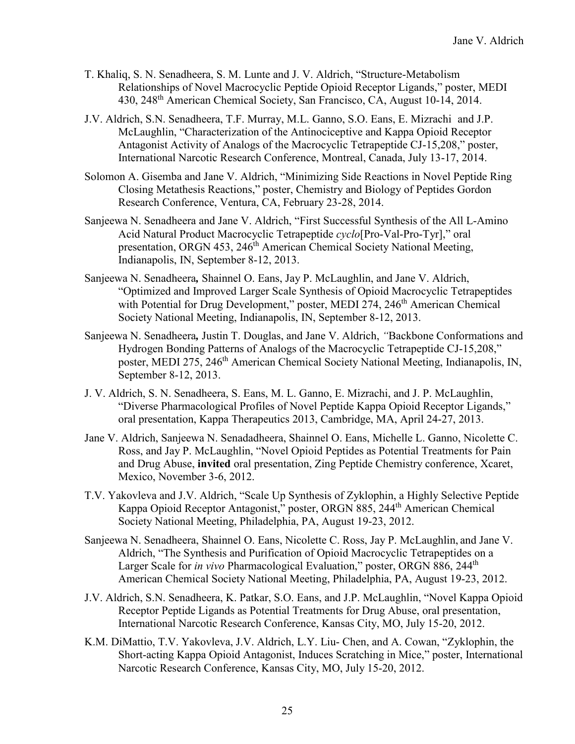- T. Khaliq, S. N. Senadheera, S. M. Lunte and J. V. Aldrich, "Structure-Metabolism Relationships of Novel Macrocyclic Peptide Opioid Receptor Ligands," poster, MEDI 430, 248th American Chemical Society, San Francisco, CA, August 10-14, 2014.
- J.V. Aldrich, S.N. Senadheera, T.F. Murray, M.L. Ganno, S.O. Eans, E. Mizrachi and J.P. McLaughlin, "Characterization of the Antinociceptive and Kappa Opioid Receptor Antagonist Activity of Analogs of the Macrocyclic Tetrapeptide CJ-15,208," poster, International Narcotic Research Conference, Montreal, Canada, July 13-17, 2014.
- Solomon A. Gisemba and Jane V. Aldrich, "Minimizing Side Reactions in Novel Peptide Ring Closing Metathesis Reactions," poster, Chemistry and Biology of Peptides Gordon Research Conference, Ventura, CA, February 23-28, 2014.
- Sanjeewa N. Senadheera and Jane V. Aldrich, "First Successful Synthesis of the All L-Amino Acid Natural Product Macrocyclic Tetrapeptide *cyclo*[Pro-Val-Pro-Tyr]," oral presentation, ORGN 453, 246<sup>th</sup> American Chemical Society National Meeting, Indianapolis, IN, September 8-12, 2013.
- Sanjeewa N. Senadheera*,* Shainnel O. Eans, Jay P. McLaughlin, and Jane V. Aldrich, "Optimized and Improved Larger Scale Synthesis of Opioid Macrocyclic Tetrapeptides with Potential for Drug Development," poster, MEDI 274, 246<sup>th</sup> American Chemical Society National Meeting, Indianapolis, IN, September 8-12, 2013.
- Sanjeewa N. Senadheera*,* Justin T. Douglas, and Jane V. Aldrich, *"*Backbone Conformations and Hydrogen Bonding Patterns of Analogs of the Macrocyclic Tetrapeptide CJ-15,208," poster, MEDI 275, 246<sup>th</sup> American Chemical Society National Meeting, Indianapolis, IN, September 8-12, 2013.
- J. V. Aldrich, S. N. Senadheera, S. Eans, M. L. Ganno, E. Mizrachi, and J. P. McLaughlin, "Diverse Pharmacological Profiles of Novel Peptide Kappa Opioid Receptor Ligands," oral presentation, Kappa Therapeutics 2013, Cambridge, MA, April 24-27, 2013.
- Jane V. Aldrich, Sanjeewa N. Senadadheera, Shainnel O. Eans, Michelle L. Ganno, Nicolette C. Ross, and Jay P. McLaughlin, "Novel Opioid Peptides as Potential Treatments for Pain and Drug Abuse, **invited** oral presentation, Zing Peptide Chemistry conference, Xcaret, Mexico, November 3-6, 2012.
- T.V. Yakovleva and J.V. Aldrich, "Scale Up Synthesis of Zyklophin, a Highly Selective Peptide Kappa Opioid Receptor Antagonist," poster, ORGN 885, 244th American Chemical Society National Meeting, Philadelphia, PA, August 19-23, 2012.
- Sanjeewa N. Senadheera, Shainnel O. Eans, Nicolette C. Ross, Jay P. McLaughlin, and Jane V. Aldrich, "The Synthesis and Purification of Opioid Macrocyclic Tetrapeptides on a Larger Scale for *in vivo* Pharmacological Evaluation," poster, ORGN 886, 244<sup>th</sup> American Chemical Society National Meeting, Philadelphia, PA, August 19-23, 2012.
- J.V. Aldrich, S.N. Senadheera, K. Patkar, S.O. Eans, and J.P. McLaughlin, "Novel Kappa Opioid Receptor Peptide Ligands as Potential Treatments for Drug Abuse, oral presentation, International Narcotic Research Conference, Kansas City, MO, July 15-20, 2012.
- K.M. DiMattio, T.V. Yakovleva, J.V. Aldrich, L.Y. Liu- Chen, and A. Cowan, "Zyklophin, the Short-acting Kappa Opioid Antagonist, Induces Scratching in Mice," poster, International Narcotic Research Conference, Kansas City, MO, July 15-20, 2012.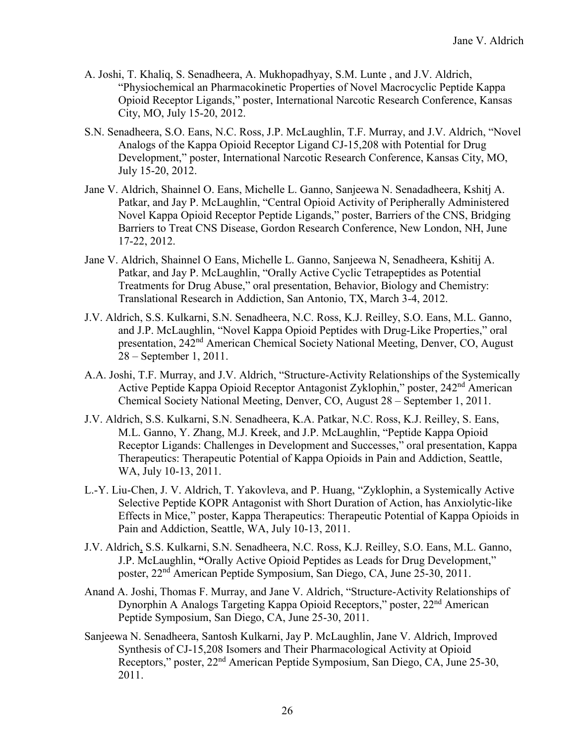- A. Joshi, T. Khaliq, S. Senadheera, A. Mukhopadhyay, S.M. Lunte , and J.V. Aldrich, "Physiochemical an Pharmacokinetic Properties of Novel Macrocyclic Peptide Kappa Opioid Receptor Ligands," poster, International Narcotic Research Conference, Kansas City, MO, July 15-20, 2012.
- S.N. Senadheera, S.O. Eans, N.C. Ross, J.P. McLaughlin, T.F. Murray, and J.V. Aldrich, "Novel Analogs of the Kappa Opioid Receptor Ligand CJ-15,208 with Potential for Drug Development," poster, International Narcotic Research Conference, Kansas City, MO, July 15-20, 2012.
- Jane V. Aldrich, Shainnel O. Eans, Michelle L. Ganno, Sanjeewa N. Senadadheera, Kshitj A. Patkar, and Jay P. McLaughlin, "Central Opioid Activity of Peripherally Administered Novel Kappa Opioid Receptor Peptide Ligands," poster, Barriers of the CNS, Bridging Barriers to Treat CNS Disease, Gordon Research Conference, New London, NH, June 17-22, 2012.
- Jane V. Aldrich, Shainnel O Eans, Michelle L. Ganno, Sanjeewa N, Senadheera, Kshitij A. Patkar, and Jay P. McLaughlin, "Orally Active Cyclic Tetrapeptides as Potential Treatments for Drug Abuse," oral presentation, Behavior, Biology and Chemistry: Translational Research in Addiction, San Antonio, TX, March 3-4, 2012.
- J.V. Aldrich, S.S. Kulkarni, S.N. Senadheera, N.C. Ross, K.J. Reilley, S.O. Eans, M.L. Ganno, and J.P. McLaughlin, "Novel Kappa Opioid Peptides with Drug-Like Properties," oral presentation, 242nd American Chemical Society National Meeting, Denver, CO, August 28 – September 1, 2011.
- A.A. Joshi, T.F. Murray, and J.V. Aldrich, "Structure-Activity Relationships of the Systemically Active Peptide Kappa Opioid Receptor Antagonist Zyklophin," poster, 242nd American Chemical Society National Meeting, Denver, CO, August 28 – September 1, 2011.
- J.V. Aldrich, S.S. Kulkarni, S.N. Senadheera, K.A. Patkar, N.C. Ross, K.J. Reilley, S. Eans, M.L. Ganno, Y. Zhang, M.J. Kreek, and J.P. McLaughlin, "Peptide Kappa Opioid Receptor Ligands: Challenges in Development and Successes," oral presentation, Kappa Therapeutics: Therapeutic Potential of Kappa Opioids in Pain and Addiction, Seattle, WA, July 10-13, 2011.
- L.-Y. Liu-Chen, J. V. Aldrich, T. Yakovleva, and P. Huang, "Zyklophin, a Systemically Active Selective Peptide KOPR Antagonist with Short Duration of Action, has Anxiolytic-like Effects in Mice," poster, Kappa Therapeutics: Therapeutic Potential of Kappa Opioids in Pain and Addiction, Seattle, WA, July 10-13, 2011.
- J.V. Aldrich, S.S. Kulkarni, S.N. Senadheera, N.C. Ross, K.J. Reilley, S.O. Eans, M.L. Ganno, J.P. McLaughlin, **"**Orally Active Opioid Peptides as Leads for Drug Development," poster, 22nd American Peptide Symposium, San Diego, CA, June 25-30, 2011.
- Anand A. Joshi, Thomas F. Murray, and Jane V. Aldrich, "Structure-Activity Relationships of Dynorphin A Analogs Targeting Kappa Opioid Receptors," poster, 22<sup>nd</sup> American Peptide Symposium, San Diego, CA, June 25-30, 2011.
- Sanjeewa N. Senadheera, Santosh Kulkarni, Jay P. McLaughlin, Jane V. Aldrich, Improved Synthesis of CJ-15,208 Isomers and Their Pharmacological Activity at Opioid Receptors," poster, 22nd American Peptide Symposium, San Diego, CA, June 25-30, 2011.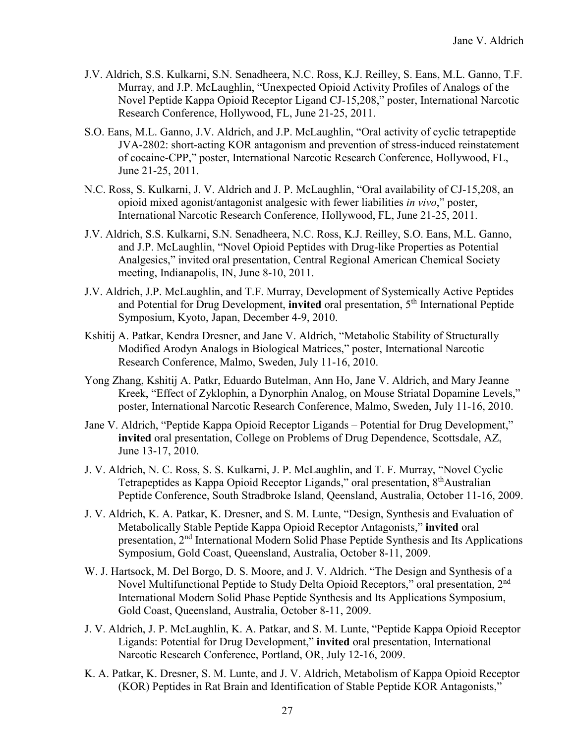- J.V. Aldrich, S.S. Kulkarni, S.N. Senadheera, N.C. Ross, K.J. Reilley, S. Eans, M.L. Ganno, T.F. Murray, and J.P. McLaughlin, "Unexpected Opioid Activity Profiles of Analogs of the Novel Peptide Kappa Opioid Receptor Ligand CJ-15,208," poster, International Narcotic Research Conference, Hollywood, FL, June 21-25, 2011.
- S.O. Eans, M.L. Ganno, J.V. Aldrich, and J.P. McLaughlin, "Oral activity of cyclic tetrapeptide JVA-2802: short-acting KOR antagonism and prevention of stress-induced reinstatement of cocaine-CPP," poster, International Narcotic Research Conference, Hollywood, FL, June 21-25, 2011.
- N.C. Ross, S. Kulkarni, J. V. Aldrich and J. P. McLaughlin, "Oral availability of CJ-15,208, an opioid mixed agonist/antagonist analgesic with fewer liabilities *in vivo*," poster, International Narcotic Research Conference, Hollywood, FL, June 21-25, 2011.
- J.V. Aldrich, S.S. Kulkarni, S.N. Senadheera, N.C. Ross, K.J. Reilley, S.O. Eans, M.L. Ganno, and J.P. McLaughlin, "Novel Opioid Peptides with Drug-like Properties as Potential Analgesics," invited oral presentation, Central Regional American Chemical Society meeting, Indianapolis, IN, June 8-10, 2011.
- J.V. Aldrich, J.P. McLaughlin, and T.F. Murray, Development of Systemically Active Peptides and Potential for Drug Development, **invited** oral presentation, 5<sup>th</sup> International Peptide Symposium, Kyoto, Japan, December 4-9, 2010.
- Kshitij A. Patkar, Kendra Dresner, and Jane V. Aldrich, "Metabolic Stability of Structurally Modified Arodyn Analogs in Biological Matrices," poster, International Narcotic Research Conference, Malmo, Sweden, July 11-16, 2010.
- Yong Zhang, Kshitij A. Patkr, Eduardo Butelman, Ann Ho, Jane V. Aldrich, and Mary Jeanne Kreek, "Effect of Zyklophin, a Dynorphin Analog, on Mouse Striatal Dopamine Levels," poster, International Narcotic Research Conference, Malmo, Sweden, July 11-16, 2010.
- Jane V. Aldrich, "Peptide Kappa Opioid Receptor Ligands Potential for Drug Development," **invited** oral presentation, College on Problems of Drug Dependence, Scottsdale, AZ, June 13-17, 2010.
- J. V. Aldrich, N. C. Ross, S. S. Kulkarni, J. P. McLaughlin, and T. F. Murray, "Novel Cyclic Tetrapeptides as Kappa Opioid Receptor Ligands," oral presentation, 8<sup>th</sup>Australian Peptide Conference, South Stradbroke Island, Qeensland, Australia, October 11-16, 2009.
- J. V. Aldrich, K. A. Patkar, K. Dresner, and S. M. Lunte, "Design, Synthesis and Evaluation of Metabolically Stable Peptide Kappa Opioid Receptor Antagonists," **invited** oral presentation, 2nd International Modern Solid Phase Peptide Synthesis and Its Applications Symposium, Gold Coast, Queensland, Australia, October 8-11, 2009.
- W. J. Hartsock, M. Del Borgo, D. S. Moore, and J. V. Aldrich. "The Design and Synthesis of a Novel Multifunctional Peptide to Study Delta Opioid Receptors," oral presentation, 2<sup>nd</sup> International Modern Solid Phase Peptide Synthesis and Its Applications Symposium, Gold Coast, Queensland, Australia, October 8-11, 2009.
- J. V. Aldrich, J. P. McLaughlin, K. A. Patkar, and S. M. Lunte, "Peptide Kappa Opioid Receptor Ligands: Potential for Drug Development," **invited** oral presentation, International Narcotic Research Conference, Portland, OR, July 12-16, 2009.
- K. A. Patkar, K. Dresner, S. M. Lunte, and J. V. Aldrich, Metabolism of Kappa Opioid Receptor (KOR) Peptides in Rat Brain and Identification of Stable Peptide KOR Antagonists,"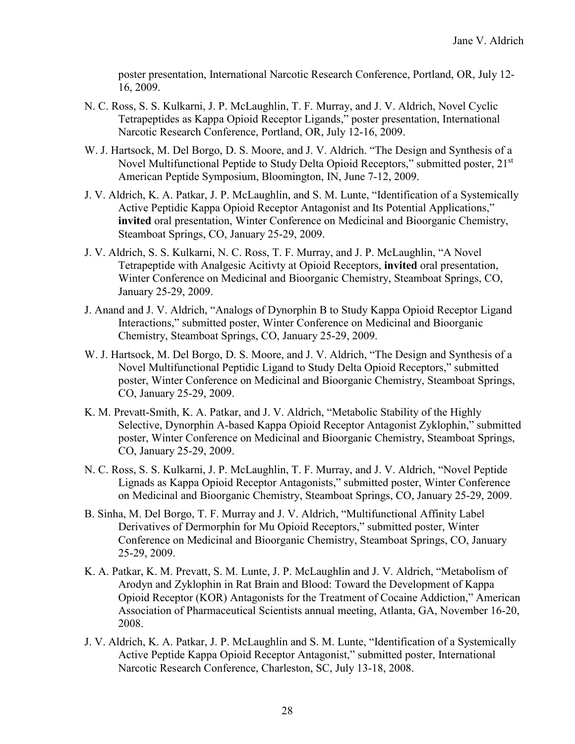poster presentation, International Narcotic Research Conference, Portland, OR, July 12- 16, 2009.

- N. C. Ross, S. S. Kulkarni, J. P. McLaughlin, T. F. Murray, and J. V. Aldrich, Novel Cyclic Tetrapeptides as Kappa Opioid Receptor Ligands," poster presentation, International Narcotic Research Conference, Portland, OR, July 12-16, 2009.
- W. J. Hartsock, M. Del Borgo, D. S. Moore, and J. V. Aldrich. "The Design and Synthesis of a Novel Multifunctional Peptide to Study Delta Opioid Receptors," submitted poster, 21<sup>st</sup> American Peptide Symposium, Bloomington, IN, June 7-12, 2009.
- J. V. Aldrich, K. A. Patkar, J. P. McLaughlin, and S. M. Lunte, "Identification of a Systemically Active Peptidic Kappa Opioid Receptor Antagonist and Its Potential Applications," **invited** oral presentation, Winter Conference on Medicinal and Bioorganic Chemistry, Steamboat Springs, CO, January 25-29, 2009.
- J. V. Aldrich, S. S. Kulkarni, N. C. Ross, T. F. Murray, and J. P. McLaughlin, "A Novel Tetrapeptide with Analgesic Acitivty at Opioid Receptors, **invited** oral presentation, Winter Conference on Medicinal and Bioorganic Chemistry, Steamboat Springs, CO, January 25-29, 2009.
- J. Anand and J. V. Aldrich, "Analogs of Dynorphin B to Study Kappa Opioid Receptor Ligand Interactions," submitted poster, Winter Conference on Medicinal and Bioorganic Chemistry, Steamboat Springs, CO, January 25-29, 2009.
- W. J. Hartsock, M. Del Borgo, D. S. Moore, and J. V. Aldrich, "The Design and Synthesis of a Novel Multifunctional Peptidic Ligand to Study Delta Opioid Receptors," submitted poster, Winter Conference on Medicinal and Bioorganic Chemistry, Steamboat Springs, CO, January 25-29, 2009.
- K. M. Prevatt-Smith, K. A. Patkar, and J. V. Aldrich, "Metabolic Stability of the Highly Selective, Dynorphin A-based Kappa Opioid Receptor Antagonist Zyklophin," submitted poster, Winter Conference on Medicinal and Bioorganic Chemistry, Steamboat Springs, CO, January 25-29, 2009.
- N. C. Ross, S. S. Kulkarni, J. P. McLaughlin, T. F. Murray, and J. V. Aldrich, "Novel Peptide Lignads as Kappa Opioid Receptor Antagonists," submitted poster, Winter Conference on Medicinal and Bioorganic Chemistry, Steamboat Springs, CO, January 25-29, 2009.
- B. Sinha, M. Del Borgo, T. F. Murray and J. V. Aldrich, "Multifunctional Affinity Label Derivatives of Dermorphin for Mu Opioid Receptors," submitted poster, Winter Conference on Medicinal and Bioorganic Chemistry, Steamboat Springs, CO, January 25-29, 2009.
- K. A. Patkar, K. M. Prevatt, S. M. Lunte, J. P. McLaughlin and J. V. Aldrich, "Metabolism of Arodyn and Zyklophin in Rat Brain and Blood: Toward the Development of Kappa Opioid Receptor (KOR) Antagonists for the Treatment of Cocaine Addiction," American Association of Pharmaceutical Scientists annual meeting, Atlanta, GA, November 16-20, 2008.
- J. V. Aldrich, K. A. Patkar, J. P. McLaughlin and S. M. Lunte, "Identification of a Systemically Active Peptide Kappa Opioid Receptor Antagonist," submitted poster, International Narcotic Research Conference, Charleston, SC, July 13-18, 2008.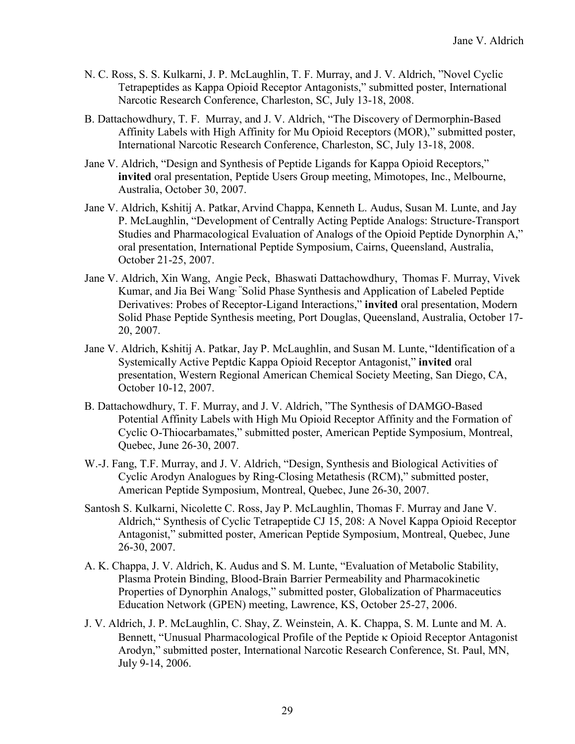- N. C. Ross, S. S. Kulkarni, J. P. McLaughlin, T. F. Murray, and J. V. Aldrich, "Novel Cyclic Tetrapeptides as Kappa Opioid Receptor Antagonists," submitted poster, International Narcotic Research Conference, Charleston, SC, July 13-18, 2008.
- B. Dattachowdhury, T. F. Murray, and J. V. Aldrich, "The Discovery of Dermorphin-Based Affinity Labels with High Affinity for Mu Opioid Receptors (MOR)," submitted poster, International Narcotic Research Conference, Charleston, SC, July 13-18, 2008.
- Jane V. Aldrich, "Design and Synthesis of Peptide Ligands for Kappa Opioid Receptors," **invited** oral presentation, Peptide Users Group meeting, Mimotopes, Inc., Melbourne, Australia, October 30, 2007.
- Jane V. Aldrich, Kshitij A. Patkar, Arvind Chappa, Kenneth L. Audus, Susan M. Lunte, and Jay P. McLaughlin, "Development of Centrally Acting Peptide Analogs: Structure-Transport Studies and Pharmacological Evaluation of Analogs of the Opioid Peptide Dynorphin A," oral presentation, International Peptide Symposium, Cairns, Queensland, Australia, October 21-25, 2007.
- Jane V. Aldrich, Xin Wang, Angie Peck, Bhaswati Dattachowdhury, Thomas F. Murray, Vivek Kumar, and Jia Bei Wang, "Solid Phase Synthesis and Application of Labeled Peptide Derivatives: Probes of Receptor-Ligand Interactions," **invited** oral presentation, Modern Solid Phase Peptide Synthesis meeting, Port Douglas, Queensland, Australia, October 17- 20, 2007.
- Jane V. Aldrich, Kshitij A. Patkar, Jay P. McLaughlin, and Susan M. Lunte, "Identification of a Systemically Active Peptdic Kappa Opioid Receptor Antagonist," **invited** oral presentation, Western Regional American Chemical Society Meeting, San Diego, CA, October 10-12, 2007.
- B. Dattachowdhury, T. F. Murray, and J. V. Aldrich, "The Synthesis of DAMGO-Based Potential Affinity Labels with High Mu Opioid Receptor Affinity and the Formation of Cyclic O-Thiocarbamates," submitted poster, American Peptide Symposium, Montreal, Quebec, June 26-30, 2007.
- W.-J. Fang, T.F. Murray, and J. V. Aldrich, "Design, Synthesis and Biological Activities of Cyclic Arodyn Analogues by Ring-Closing Metathesis (RCM)," submitted poster, American Peptide Symposium, Montreal, Quebec, June 26-30, 2007.
- Santosh S. Kulkarni, Nicolette C. Ross, Jay P. McLaughlin, Thomas F. Murray and Jane V. Aldrich," Synthesis of Cyclic Tetrapeptide CJ 15, 208: A Novel Kappa Opioid Receptor Antagonist," submitted poster, American Peptide Symposium, Montreal, Quebec, June 26-30, 2007.
- A. K. Chappa, J. V. Aldrich, K. Audus and S. M. Lunte, "Evaluation of Metabolic Stability, Plasma Protein Binding, Blood-Brain Barrier Permeability and Pharmacokinetic Properties of Dynorphin Analogs," submitted poster, Globalization of Pharmaceutics Education Network (GPEN) meeting, Lawrence, KS, October 25-27, 2006.
- J. V. Aldrich, J. P. McLaughlin, C. Shay, Z. Weinstein, A. K. Chappa, S. M. Lunte and M. A. Bennett, "Unusual Pharmacological Profile of the Peptide κ Opioid Receptor Antagonist Arodyn," submitted poster, International Narcotic Research Conference, St. Paul, MN, July 9-14, 2006.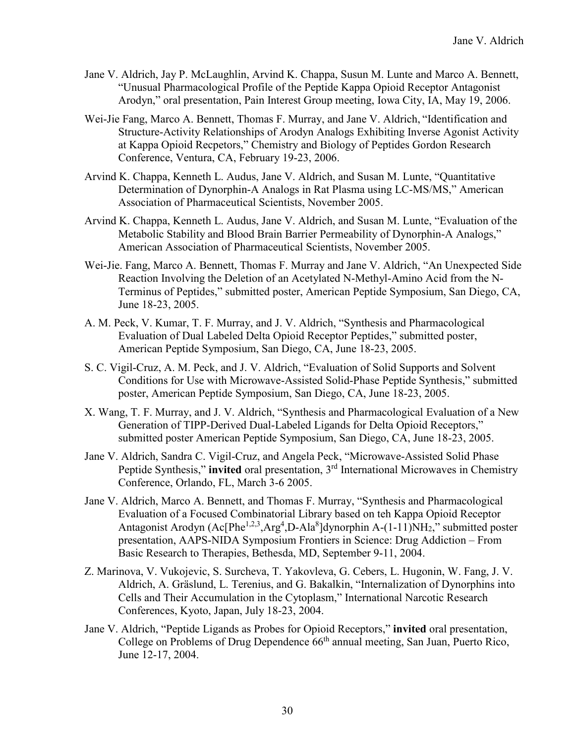- Jane V. Aldrich, Jay P. McLaughlin, Arvind K. Chappa, Susun M. Lunte and Marco A. Bennett, "Unusual Pharmacological Profile of the Peptide Kappa Opioid Receptor Antagonist Arodyn," oral presentation, Pain Interest Group meeting, Iowa City, IA, May 19, 2006.
- Wei-Jie Fang, Marco A. Bennett, Thomas F. Murray, and Jane V. Aldrich, "Identification and Structure-Activity Relationships of Arodyn Analogs Exhibiting Inverse Agonist Activity at Kappa Opioid Recpetors," Chemistry and Biology of Peptides Gordon Research Conference, Ventura, CA, February 19-23, 2006.
- Arvind K. Chappa, Kenneth L. Audus, Jane V. Aldrich, and Susan M. Lunte, "Quantitative Determination of Dynorphin-A Analogs in Rat Plasma using LC-MS/MS," American Association of Pharmaceutical Scientists, November 2005.
- Arvind K. Chappa, Kenneth L. Audus, Jane V. Aldrich, and Susan M. Lunte, "Evaluation of the Metabolic Stability and Blood Brain Barrier Permeability of Dynorphin-A Analogs," American Association of Pharmaceutical Scientists, November 2005.
- Wei-Jie. Fang, Marco A. Bennett, Thomas F. Murray and Jane V. Aldrich, "An Unexpected Side Reaction Involving the Deletion of an Acetylated N-Methyl-Amino Acid from the N-Terminus of Peptides," submitted poster, American Peptide Symposium, San Diego, CA, June 18-23, 2005.
- A. M. Peck, V. Kumar, T. F. Murray, and J. V. Aldrich, "Synthesis and Pharmacological Evaluation of Dual Labeled Delta Opioid Receptor Peptides," submitted poster, American Peptide Symposium, San Diego, CA, June 18-23, 2005.
- S. C. Vigil-Cruz, A. M. Peck, and J. V. Aldrich, "Evaluation of Solid Supports and Solvent Conditions for Use with Microwave-Assisted Solid-Phase Peptide Synthesis," submitted poster, American Peptide Symposium, San Diego, CA, June 18-23, 2005.
- X. Wang, T. F. Murray, and J. V. Aldrich, "Synthesis and Pharmacological Evaluation of a New Generation of TIPP-Derived Dual-Labeled Ligands for Delta Opioid Receptors," submitted poster American Peptide Symposium, San Diego, CA, June 18-23, 2005.
- Jane V. Aldrich, Sandra C. Vigil-Cruz, and Angela Peck, "Microwave-Assisted Solid Phase Peptide Synthesis," **invited** oral presentation, 3<sup>rd</sup> International Microwaves in Chemistry Conference, Orlando, FL, March 3-6 2005.
- Jane V. Aldrich, Marco A. Bennett, and Thomas F. Murray, "Synthesis and Pharmacological Evaluation of a Focused Combinatorial Library based on teh Kappa Opioid Receptor Antagonist Arodyn (Ac[Phe<sup>1,2,3</sup>,Arg<sup>4</sup>,D-Ala<sup>8</sup>]dynorphin A-(1-11)NH<sub>2</sub>," submitted poster presentation, AAPS-NIDA Symposium Frontiers in Science: Drug Addiction – From Basic Research to Therapies, Bethesda, MD, September 9-11, 2004.
- Z. Marinova, V. Vukojevic, S. Surcheva, T. Yakovleva, G. Cebers, L. Hugonin, W. Fang, J. V. Aldrich, A. Gräslund, L. Terenius, and G. Bakalkin, "Internalization of Dynorphins into Cells and Their Accumulation in the Cytoplasm," International Narcotic Research Conferences, Kyoto, Japan, July 18-23, 2004.
- Jane V. Aldrich, "Peptide Ligands as Probes for Opioid Receptors," **invited** oral presentation, College on Problems of Drug Dependence 66<sup>th</sup> annual meeting, San Juan, Puerto Rico, June 12-17, 2004.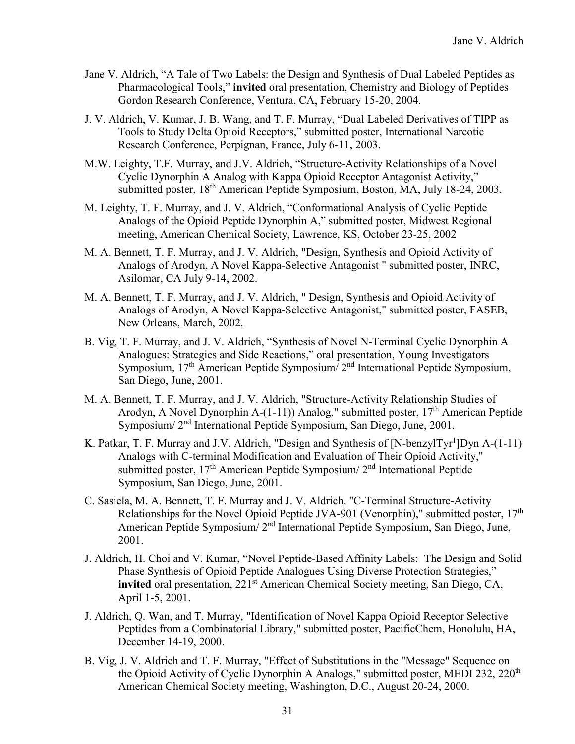- Jane V. Aldrich, "A Tale of Two Labels: the Design and Synthesis of Dual Labeled Peptides as Pharmacological Tools," **invited** oral presentation, Chemistry and Biology of Peptides Gordon Research Conference, Ventura, CA, February 15-20, 2004.
- J. V. Aldrich, V. Kumar, J. B. Wang, and T. F. Murray, "Dual Labeled Derivatives of TIPP as Tools to Study Delta Opioid Receptors," submitted poster, International Narcotic Research Conference, Perpignan, France, July 6-11, 2003.
- M.W. Leighty, T.F. Murray, and J.V. Aldrich, "Structure-Activity Relationships of a Novel Cyclic Dynorphin A Analog with Kappa Opioid Receptor Antagonist Activity," submitted poster, 18<sup>th</sup> American Peptide Symposium, Boston, MA, July 18-24, 2003.
- M. Leighty, T. F. Murray, and J. V. Aldrich, "Conformational Analysis of Cyclic Peptide Analogs of the Opioid Peptide Dynorphin A," submitted poster, Midwest Regional meeting, American Chemical Society, Lawrence, KS, October 23-25, 2002
- M. A. Bennett, T. F. Murray, and J. V. Aldrich, "Design, Synthesis and Opioid Activity of Analogs of Arodyn, A Novel Kappa-Selective Antagonist " submitted poster, INRC, Asilomar, CA July 9-14, 2002.
- M. A. Bennett, T. F. Murray, and J. V. Aldrich, " Design, Synthesis and Opioid Activity of Analogs of Arodyn, A Novel Kappa-Selective Antagonist," submitted poster, FASEB, New Orleans, March, 2002.
- B. Vig, T. F. Murray, and J. V. Aldrich, "Synthesis of Novel N-Terminal Cyclic Dynorphin A Analogues: Strategies and Side Reactions," oral presentation, Young Investigators Symposium, 17<sup>th</sup> American Peptide Symposium/ 2<sup>nd</sup> International Peptide Symposium, San Diego, June, 2001.
- M. A. Bennett, T. F. Murray, and J. V. Aldrich, "Structure-Activity Relationship Studies of Arodyn, A Novel Dynorphin A- $(1-11)$ ) Analog," submitted poster, 17<sup>th</sup> American Peptide Symposium/ 2nd International Peptide Symposium, San Diego, June, 2001.
- K. Patkar, T. F. Murray and J.V. Aldrich, "Design and Synthesis of [N-benzylTyr<sup>1</sup>]Dyn A-(1-11) Analogs with C-terminal Modification and Evaluation of Their Opioid Activity," submitted poster, 17<sup>th</sup> American Peptide Symposium/ 2<sup>nd</sup> International Peptide Symposium, San Diego, June, 2001.
- C. Sasiela, M. A. Bennett, T. F. Murray and J. V. Aldrich, "C-Terminal Structure-Activity Relationships for the Novel Opioid Peptide JVA-901 (Venorphin)," submitted poster, 17<sup>th</sup> American Peptide Symposium/ 2nd International Peptide Symposium, San Diego, June, 2001.
- J. Aldrich, H. Choi and V. Kumar, "Novel Peptide-Based Affinity Labels: The Design and Solid Phase Synthesis of Opioid Peptide Analogues Using Diverse Protection Strategies," **invited** oral presentation, 221<sup>st</sup> American Chemical Society meeting, San Diego, CA, April 1-5, 2001.
- J. Aldrich, Q. Wan, and T. Murray, "Identification of Novel Kappa Opioid Receptor Selective Peptides from a Combinatorial Library," submitted poster, PacificChem, Honolulu, HA, December 14-19, 2000.
- B. Vig, J. V. Aldrich and T. F. Murray, "Effect of Substitutions in the "Message" Sequence on the Opioid Activity of Cyclic Dynorphin A Analogs," submitted poster, MEDI 232, 220<sup>th</sup> American Chemical Society meeting, Washington, D.C., August 20-24, 2000.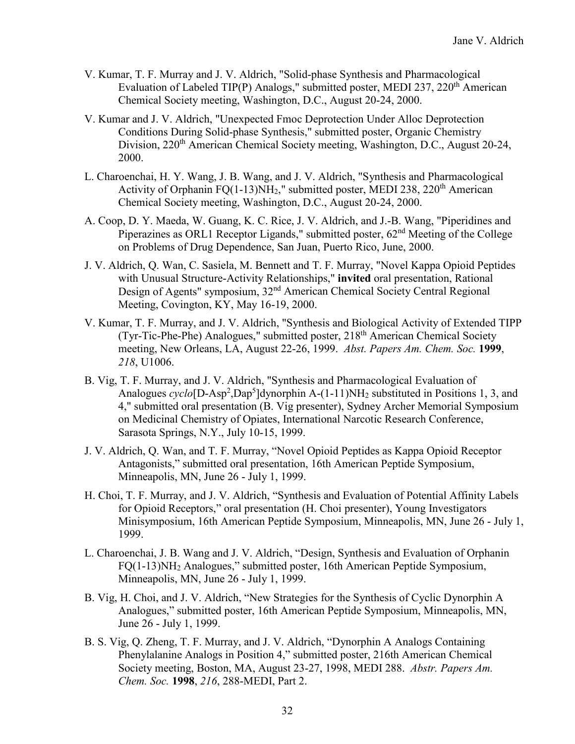- V. Kumar, T. F. Murray and J. V. Aldrich, "Solid-phase Synthesis and Pharmacological Evaluation of Labeled TIP(P) Analogs," submitted poster, MEDI 237, 220<sup>th</sup> American Chemical Society meeting, Washington, D.C., August 20-24, 2000.
- V. Kumar and J. V. Aldrich, "Unexpected Fmoc Deprotection Under Alloc Deprotection Conditions During Solid-phase Synthesis," submitted poster, Organic Chemistry Division, 220<sup>th</sup> American Chemical Society meeting, Washington, D.C., August 20-24, 2000.
- L. Charoenchai, H. Y. Wang, J. B. Wang, and J. V. Aldrich, "Synthesis and Pharmacological Activity of Orphanin FQ(1-13)NH<sub>2</sub>," submitted poster, MEDI 238, 220<sup>th</sup> American Chemical Society meeting, Washington, D.C., August 20-24, 2000.
- A. Coop, D. Y. Maeda, W. Guang, K. C. Rice, J. V. Aldrich, and J.-B. Wang, "Piperidines and Piperazines as ORL1 Receptor Ligands," submitted poster,  $62<sup>nd</sup>$  Meeting of the College on Problems of Drug Dependence, San Juan, Puerto Rico, June, 2000.
- J. V. Aldrich, Q. Wan, C. Sasiela, M. Bennett and T. F. Murray, "Novel Kappa Opioid Peptides with Unusual Structure-Activity Relationships," **invited** oral presentation, Rational Design of Agents" symposium, 32nd American Chemical Society Central Regional Meeting, Covington, KY, May 16-19, 2000.
- V. Kumar, T. F. Murray, and J. V. Aldrich, "Synthesis and Biological Activity of Extended TIPP (Tyr-Tic-Phe-Phe) Analogues," submitted poster, 218<sup>th</sup> American Chemical Society meeting, New Orleans, LA, August 22-26, 1999. *Abst. Papers Am. Chem. Soc.* **1999**, *218*, U1006.
- B. Vig, T. F. Murray, and J. V. Aldrich, "Synthesis and Pharmacological Evaluation of Analogues cyclo<sup>[D-Asp<sup>2</sup>,Dap<sup>5</sup>]dynorphin A-(1-11)NH<sub>2</sub> substituted in Positions 1, 3, and</sup> 4," submitted oral presentation (B. Vig presenter), Sydney Archer Memorial Symposium on Medicinal Chemistry of Opiates, International Narcotic Research Conference, Sarasota Springs, N.Y., July 10-15, 1999.
- J. V. Aldrich, Q. Wan, and T. F. Murray, "Novel Opioid Peptides as Kappa Opioid Receptor Antagonists," submitted oral presentation, 16th American Peptide Symposium, Minneapolis, MN, June 26 - July 1, 1999.
- H. Choi, T. F. Murray, and J. V. Aldrich, "Synthesis and Evaluation of Potential Affinity Labels for Opioid Receptors," oral presentation (H. Choi presenter), Young Investigators Minisymposium, 16th American Peptide Symposium, Minneapolis, MN, June 26 - July 1, 1999.
- L. Charoenchai, J. B. Wang and J. V. Aldrich, "Design, Synthesis and Evaluation of Orphanin FQ(1-13)NH2 Analogues," submitted poster, 16th American Peptide Symposium, Minneapolis, MN, June 26 - July 1, 1999.
- B. Vig, H. Choi, and J. V. Aldrich, "New Strategies for the Synthesis of Cyclic Dynorphin A Analogues," submitted poster, 16th American Peptide Symposium, Minneapolis, MN, June 26 - July 1, 1999.
- B. S. Vig, Q. Zheng, T. F. Murray, and J. V. Aldrich, "Dynorphin A Analogs Containing Phenylalanine Analogs in Position 4," submitted poster, 216th American Chemical Society meeting, Boston, MA, August 23-27, 1998, MEDI 288. *Abstr. Papers Am. Chem. Soc.* **1998**, *216*, 288-MEDI, Part 2.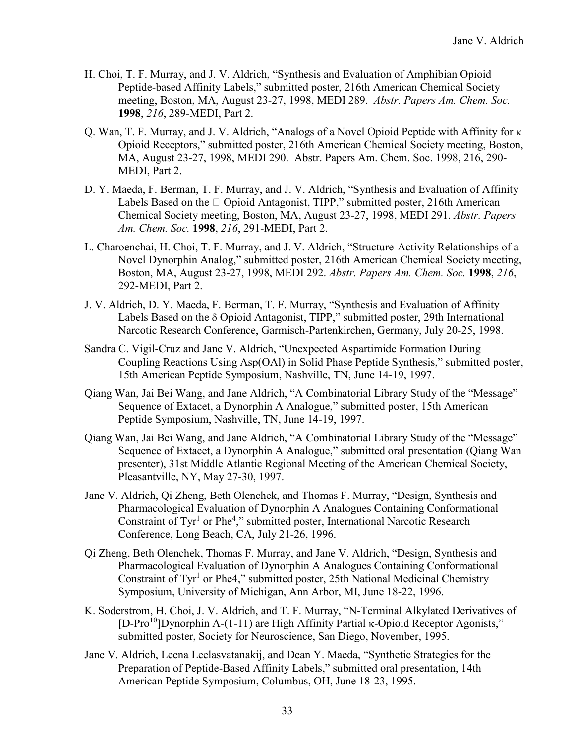- H. Choi, T. F. Murray, and J. V. Aldrich, "Synthesis and Evaluation of Amphibian Opioid Peptide-based Affinity Labels," submitted poster, 216th American Chemical Society meeting, Boston, MA, August 23-27, 1998, MEDI 289. *Abstr. Papers Am. Chem. Soc.* **1998**, *216*, 289-MEDI, Part 2.
- Q. Wan, T. F. Murray, and J. V. Aldrich, "Analogs of a Novel Opioid Peptide with Affinity for κ Opioid Receptors," submitted poster, 216th American Chemical Society meeting, Boston, MA, August 23-27, 1998, MEDI 290. Abstr. Papers Am. Chem. Soc. 1998, 216, 290- MEDI, Part 2.
- D. Y. Maeda, F. Berman, T. F. Murray, and J. V. Aldrich, "Synthesis and Evaluation of Affinity Labels Based on the  $\Box$  Opioid Antagonist, TIPP," submitted poster, 216th American Chemical Society meeting, Boston, MA, August 23-27, 1998, MEDI 291. *Abstr. Papers Am. Chem. Soc.* **1998**, *216*, 291-MEDI, Part 2.
- L. Charoenchai, H. Choi, T. F. Murray, and J. V. Aldrich, "Structure-Activity Relationships of a Novel Dynorphin Analog," submitted poster, 216th American Chemical Society meeting, Boston, MA, August 23-27, 1998, MEDI 292. *Abstr. Papers Am. Chem. Soc.* **1998**, *216*, 292-MEDI, Part 2.
- J. V. Aldrich, D. Y. Maeda, F. Berman, T. F. Murray, "Synthesis and Evaluation of Affinity Labels Based on the δ Opioid Antagonist, TIPP," submitted poster, 29th International Narcotic Research Conference, Garmisch-Partenkirchen, Germany, July 20-25, 1998.
- Sandra C. Vigil-Cruz and Jane V. Aldrich, "Unexpected Aspartimide Formation During Coupling Reactions Using Asp(OAl) in Solid Phase Peptide Synthesis," submitted poster, 15th American Peptide Symposium, Nashville, TN, June 14-19, 1997.
- Qiang Wan, Jai Bei Wang, and Jane Aldrich, "A Combinatorial Library Study of the "Message" Sequence of Extacet, a Dynorphin A Analogue," submitted poster, 15th American Peptide Symposium, Nashville, TN, June 14-19, 1997.
- Qiang Wan, Jai Bei Wang, and Jane Aldrich, "A Combinatorial Library Study of the "Message" Sequence of Extacet, a Dynorphin A Analogue," submitted oral presentation (Qiang Wan presenter), 31st Middle Atlantic Regional Meeting of the American Chemical Society, Pleasantville, NY, May 27-30, 1997.
- Jane V. Aldrich, Qi Zheng, Beth Olenchek, and Thomas F. Murray, "Design, Synthesis and Pharmacological Evaluation of Dynorphin A Analogues Containing Conformational Constraint of Tyr<sup>1</sup> or Phe<sup>4</sup>," submitted poster, International Narcotic Research Conference, Long Beach, CA, July 21-26, 1996.
- Qi Zheng, Beth Olenchek, Thomas F. Murray, and Jane V. Aldrich, "Design, Synthesis and Pharmacological Evaluation of Dynorphin A Analogues Containing Conformational Constraint of  $Tyr<sup>1</sup>$  or Phe4," submitted poster, 25th National Medicinal Chemistry Symposium, University of Michigan, Ann Arbor, MI, June 18-22, 1996.
- K. Soderstrom, H. Choi, J. V. Aldrich, and T. F. Murray, "N-Terminal Alkylated Derivatives of [D-Pro<sup>10</sup>]Dynorphin A-(1-11) are High Affinity Partial κ-Opioid Receptor Agonists," submitted poster, Society for Neuroscience, San Diego, November, 1995.
- Jane V. Aldrich, Leena Leelasvatanakij, and Dean Y. Maeda, "Synthetic Strategies for the Preparation of Peptide-Based Affinity Labels," submitted oral presentation, 14th American Peptide Symposium, Columbus, OH, June 18-23, 1995.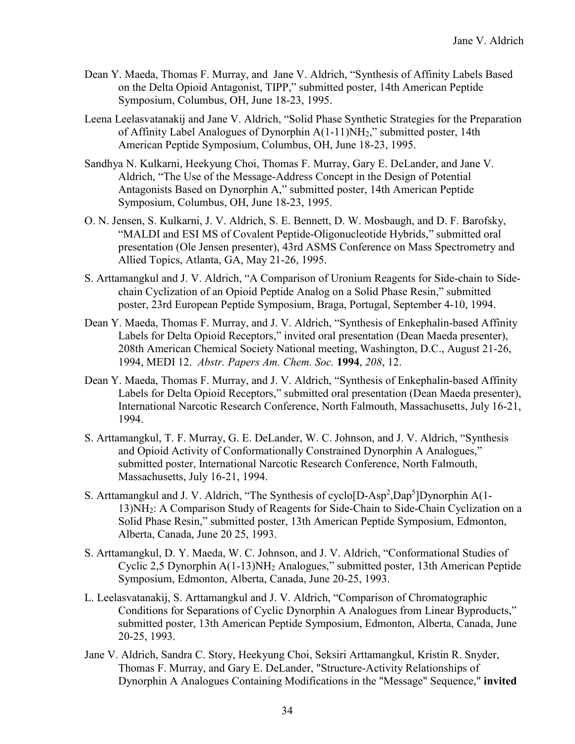- Dean Y. Maeda, Thomas F. Murray, and Jane V. Aldrich, "Synthesis of Affinity Labels Based on the Delta Opioid Antagonist, TIPP," submitted poster, 14th American Peptide Symposium, Columbus, OH, June 18-23, 1995.
- Leena Leelasvatanakij and Jane V. Aldrich, "Solid Phase Synthetic Strategies for the Preparation of Affinity Label Analogues of Dynorphin A(1-11)NH2," submitted poster, 14th American Peptide Symposium, Columbus, OH, June 18-23, 1995.
- Sandhya N. Kulkarni, Heekyung Choi, Thomas F. Murray, Gary E. DeLander, and Jane V. Aldrich, "The Use of the Message-Address Concept in the Design of Potential Antagonists Based on Dynorphin A," submitted poster, 14th American Peptide Symposium, Columbus, OH, June 18-23, 1995.
- O. N. Jensen, S. Kulkarni, J. V. Aldrich, S. E. Bennett, D. W. Mosbaugh, and D. F. Barofsky, "MALDI and ESI MS of Covalent Peptide-Oligonucleotide Hybrids," submitted oral presentation (Ole Jensen presenter), 43rd ASMS Conference on Mass Spectrometry and Allied Topics, Atlanta, GA, May 21-26, 1995.
- S. Arttamangkul and J. V. Aldrich, "A Comparison of Uronium Reagents for Side-chain to Sidechain Cyclization of an Opioid Peptide Analog on a Solid Phase Resin," submitted poster, 23rd European Peptide Symposium, Braga, Portugal, September 4-10, 1994.
- Dean Y. Maeda, Thomas F. Murray, and J. V. Aldrich, "Synthesis of Enkephalin-based Affinity Labels for Delta Opioid Receptors," invited oral presentation (Dean Maeda presenter), 208th American Chemical Society National meeting, Washington, D.C., August 21-26, 1994, MEDI 12. *Abstr. Papers Am. Chem. Soc.* **1994**, *208*, 12.
- Dean Y. Maeda, Thomas F. Murray, and J. V. Aldrich, "Synthesis of Enkephalin-based Affinity Labels for Delta Opioid Receptors," submitted oral presentation (Dean Maeda presenter), International Narcotic Research Conference, North Falmouth, Massachusetts, July 16-21, 1994.
- S. Arttamangkul, T. F. Murray, G. E. DeLander, W. C. Johnson, and J. V. Aldrich, "Synthesis and Opioid Activity of Conformationally Constrained Dynorphin A Analogues," submitted poster, International Narcotic Research Conference, North Falmouth, Massachusetts, July 16-21, 1994.
- S. Arttamangkul and J. V. Aldrich, "The Synthesis of cyclo[D-Asp<sup>2</sup>,Dap<sup>5</sup>]Dynorphin A(1-13)NH2: A Comparison Study of Reagents for Side-Chain to Side-Chain Cyclization on a Solid Phase Resin," submitted poster, 13th American Peptide Symposium, Edmonton, Alberta, Canada, June 20 25, 1993.
- S. Arttamangkul, D. Y. Maeda, W. C. Johnson, and J. V. Aldrich, "Conformational Studies of Cyclic 2,5 Dynorphin A(1-13)NH2 Analogues," submitted poster, 13th American Peptide Symposium, Edmonton, Alberta, Canada, June 20-25, 1993.
- L. Leelasvatanakij, S. Arttamangkul and J. V. Aldrich, "Comparison of Chromatographic Conditions for Separations of Cyclic Dynorphin A Analogues from Linear Byproducts," submitted poster, 13th American Peptide Symposium, Edmonton, Alberta, Canada, June 20-25, 1993.
- Jane V. Aldrich, Sandra C. Story, Heekyung Choi, Seksiri Arttamangkul, Kristin R. Snyder, Thomas F. Murray, and Gary E. DeLander, "Structure-Activity Relationships of Dynorphin A Analogues Containing Modifications in the "Message" Sequence," **invited**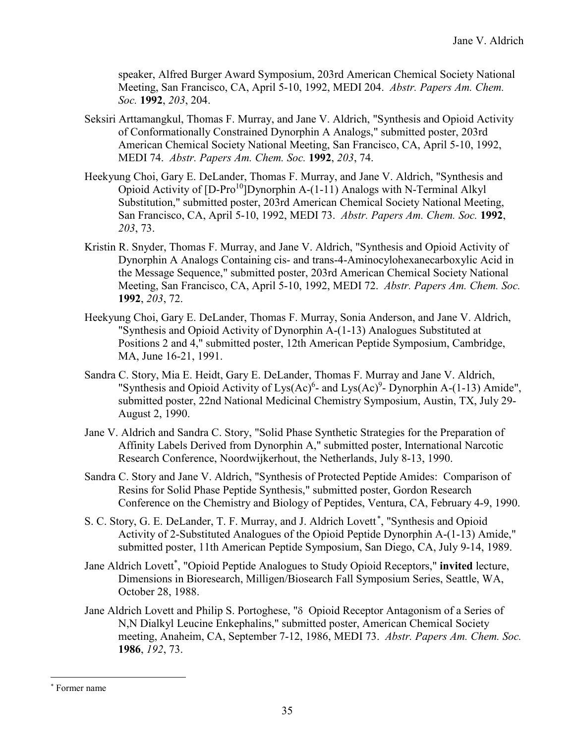speaker, Alfred Burger Award Symposium, 203rd American Chemical Society National Meeting, San Francisco, CA, April 5-10, 1992, MEDI 204. *Abstr. Papers Am. Chem. Soc.* **1992**, *203*, 204.

- Seksiri Arttamangkul, Thomas F. Murray, and Jane V. Aldrich, "Synthesis and Opioid Activity of Conformationally Constrained Dynorphin A Analogs," submitted poster, 203rd American Chemical Society National Meeting, San Francisco, CA, April 5-10, 1992, MEDI 74. *Abstr. Papers Am. Chem. Soc.* **1992**, *203*, 74.
- Heekyung Choi, Gary E. DeLander, Thomas F. Murray, and Jane V. Aldrich, "Synthesis and Opioid Activity of  $[D-Pro^{10}]$ Dynorphin A-(1-11) Analogs with N-Terminal Alkyl Substitution," submitted poster, 203rd American Chemical Society National Meeting, San Francisco, CA, April 5-10, 1992, MEDI 73. *Abstr. Papers Am. Chem. Soc.* **1992**, *203*, 73.
- Kristin R. Snyder, Thomas F. Murray, and Jane V. Aldrich, "Synthesis and Opioid Activity of Dynorphin A Analogs Containing cis- and trans-4-Aminocylohexanecarboxylic Acid in the Message Sequence," submitted poster, 203rd American Chemical Society National Meeting, San Francisco, CA, April 5-10, 1992, MEDI 72. *Abstr. Papers Am. Chem. Soc.* **1992**, *203*, 72.
- Heekyung Choi, Gary E. DeLander, Thomas F. Murray, Sonia Anderson, and Jane V. Aldrich, "Synthesis and Opioid Activity of Dynorphin A-(1-13) Analogues Substituted at Positions 2 and 4," submitted poster, 12th American Peptide Symposium, Cambridge, MA, June 16-21, 1991.
- Sandra C. Story, Mia E. Heidt, Gary E. DeLander, Thomas F. Murray and Jane V. Aldrich, "Synthesis and Opioid Activity of Lys $(Ac)^6$ - and Lys $(Ac)^9$ - Dynorphin A-(1-13) Amide", submitted poster, 22nd National Medicinal Chemistry Symposium, Austin, TX, July 29- August 2, 1990.
- Jane V. Aldrich and Sandra C. Story, "Solid Phase Synthetic Strategies for the Preparation of Affinity Labels Derived from Dynorphin A," submitted poster, International Narcotic Research Conference, Noordwijkerhout, the Netherlands, July 8-13, 1990.
- Sandra C. Story and Jane V. Aldrich, "Synthesis of Protected Peptide Amides: Comparison of Resins for Solid Phase Peptide Synthesis," submitted poster, Gordon Research Conference on the Chemistry and Biology of Peptides, Ventura, CA, February 4-9, 1990.
- S. C. Story, G. E. DeLander, T. F. Murray, and J. Aldrich Lovett<sup>\*</sup>, "Synthesis and Opioid Activity of 2-Substituted Analogues of the Opioid Peptide Dynorphin A-(1-13) Amide," submitted poster, 11th American Peptide Symposium, San Diego, CA, July 9-14, 1989.
- Jane Aldrich Lovett\* , "Opioid Peptide Analogues to Study Opioid Receptors," **invited** lecture, Dimensions in Bioresearch, Milligen/Biosearch Fall Symposium Series, Seattle, WA, October 28, 1988.
- Jane Aldrich Lovett and Philip S. Portoghese, "δ Opioid Receptor Antagonism of a Series of N,N Dialkyl Leucine Enkephalins," submitted poster, American Chemical Society meeting, Anaheim, CA, September 7-12, 1986, MEDI 73. *Abstr. Papers Am. Chem. Soc.* **1986**, *192*, 73.

 <sup>\*</sup> Former name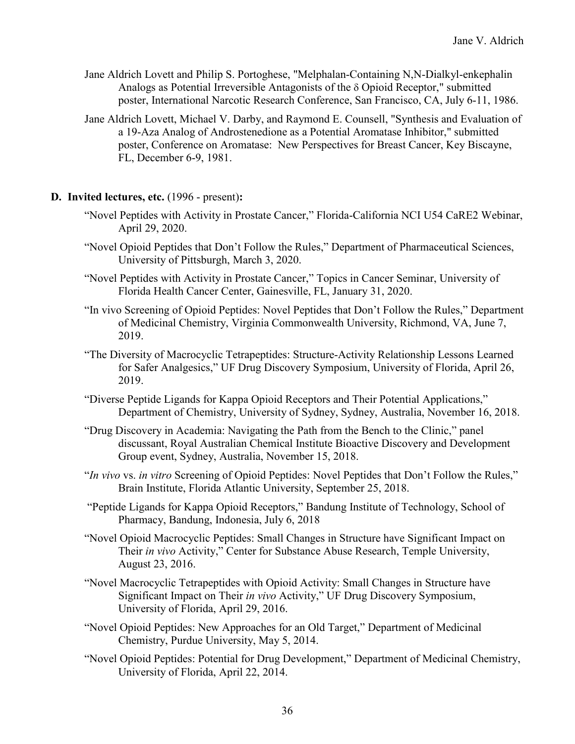- Jane Aldrich Lovett and Philip S. Portoghese, "Melphalan-Containing N,N-Dialkyl-enkephalin Analogs as Potential Irreversible Antagonists of the δ Opioid Receptor," submitted poster, International Narcotic Research Conference, San Francisco, CA, July 6-11, 1986.
- Jane Aldrich Lovett, Michael V. Darby, and Raymond E. Counsell, "Synthesis and Evaluation of a 19-Aza Analog of Androstenedione as a Potential Aromatase Inhibitor," submitted poster, Conference on Aromatase: New Perspectives for Breast Cancer, Key Biscayne, FL, December 6-9, 1981.
- **D. Invited lectures, etc.** (1996 present)**:**
	- "Novel Peptides with Activity in Prostate Cancer," Florida-California NCI U54 CaRE2 Webinar, April 29, 2020.
	- "Novel Opioid Peptides that Don't Follow the Rules," Department of Pharmaceutical Sciences, University of Pittsburgh, March 3, 2020.
	- "Novel Peptides with Activity in Prostate Cancer," Topics in Cancer Seminar, University of Florida Health Cancer Center, Gainesville, FL, January 31, 2020.
	- "In vivo Screening of Opioid Peptides: Novel Peptides that Don't Follow the Rules," Department of Medicinal Chemistry, Virginia Commonwealth University, Richmond, VA, June 7, 2019.
	- "The Diversity of Macrocyclic Tetrapeptides: Structure-Activity Relationship Lessons Learned for Safer Analgesics," UF Drug Discovery Symposium, University of Florida, April 26, 2019.
	- "Diverse Peptide Ligands for Kappa Opioid Receptors and Their Potential Applications," Department of Chemistry, University of Sydney, Sydney, Australia, November 16, 2018.
	- "Drug Discovery in Academia: Navigating the Path from the Bench to the Clinic," panel discussant, Royal Australian Chemical Institute Bioactive Discovery and Development Group event, Sydney, Australia, November 15, 2018.
	- "*In vivo* vs. *in vitro* Screening of Opioid Peptides: Novel Peptides that Don't Follow the Rules," Brain Institute, Florida Atlantic University, September 25, 2018.
	- "Peptide Ligands for Kappa Opioid Receptors," Bandung Institute of Technology, School of Pharmacy, Bandung, Indonesia, July 6, 2018
	- "Novel Opioid Macrocyclic Peptides: Small Changes in Structure have Significant Impact on Their *in vivo* Activity," Center for Substance Abuse Research, Temple University, August 23, 2016.
	- "Novel Macrocyclic Tetrapeptides with Opioid Activity: Small Changes in Structure have Significant Impact on Their *in vivo* Activity," UF Drug Discovery Symposium, University of Florida, April 29, 2016.
	- "Novel Opioid Peptides: New Approaches for an Old Target," Department of Medicinal Chemistry, Purdue University, May 5, 2014.
	- "Novel Opioid Peptides: Potential for Drug Development," Department of Medicinal Chemistry, University of Florida, April 22, 2014.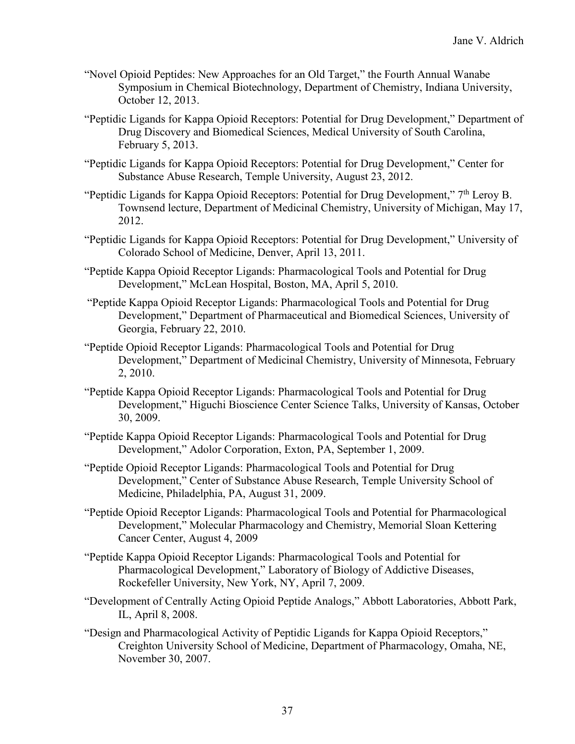- "Novel Opioid Peptides: New Approaches for an Old Target," the Fourth Annual Wanabe Symposium in Chemical Biotechnology, Department of Chemistry, Indiana University, October 12, 2013.
- "Peptidic Ligands for Kappa Opioid Receptors: Potential for Drug Development," Department of Drug Discovery and Biomedical Sciences, Medical University of South Carolina, February 5, 2013.
- "Peptidic Ligands for Kappa Opioid Receptors: Potential for Drug Development," Center for Substance Abuse Research, Temple University, August 23, 2012.
- "Peptidic Ligands for Kappa Opioid Receptors: Potential for Drug Development,"  $7<sup>th</sup>$  Leroy B. Townsend lecture, Department of Medicinal Chemistry, University of Michigan, May 17, 2012.
- "Peptidic Ligands for Kappa Opioid Receptors: Potential for Drug Development," University of Colorado School of Medicine, Denver, April 13, 2011.
- "Peptide Kappa Opioid Receptor Ligands: Pharmacological Tools and Potential for Drug Development," McLean Hospital, Boston, MA, April 5, 2010.
- "Peptide Kappa Opioid Receptor Ligands: Pharmacological Tools and Potential for Drug Development," Department of Pharmaceutical and Biomedical Sciences, University of Georgia, February 22, 2010.
- "Peptide Opioid Receptor Ligands: Pharmacological Tools and Potential for Drug Development," Department of Medicinal Chemistry, University of Minnesota, February 2, 2010.
- "Peptide Kappa Opioid Receptor Ligands: Pharmacological Tools and Potential for Drug Development," Higuchi Bioscience Center Science Talks, University of Kansas, October 30, 2009.
- "Peptide Kappa Opioid Receptor Ligands: Pharmacological Tools and Potential for Drug Development," Adolor Corporation, Exton, PA, September 1, 2009.
- "Peptide Opioid Receptor Ligands: Pharmacological Tools and Potential for Drug Development," Center of Substance Abuse Research, Temple University School of Medicine, Philadelphia, PA, August 31, 2009.
- "Peptide Opioid Receptor Ligands: Pharmacological Tools and Potential for Pharmacological Development," Molecular Pharmacology and Chemistry, Memorial Sloan Kettering Cancer Center, August 4, 2009
- "Peptide Kappa Opioid Receptor Ligands: Pharmacological Tools and Potential for Pharmacological Development," Laboratory of Biology of Addictive Diseases, Rockefeller University, New York, NY, April 7, 2009.
- "Development of Centrally Acting Opioid Peptide Analogs," Abbott Laboratories, Abbott Park, IL, April 8, 2008.
- "Design and Pharmacological Activity of Peptidic Ligands for Kappa Opioid Receptors," Creighton University School of Medicine, Department of Pharmacology, Omaha, NE, November 30, 2007.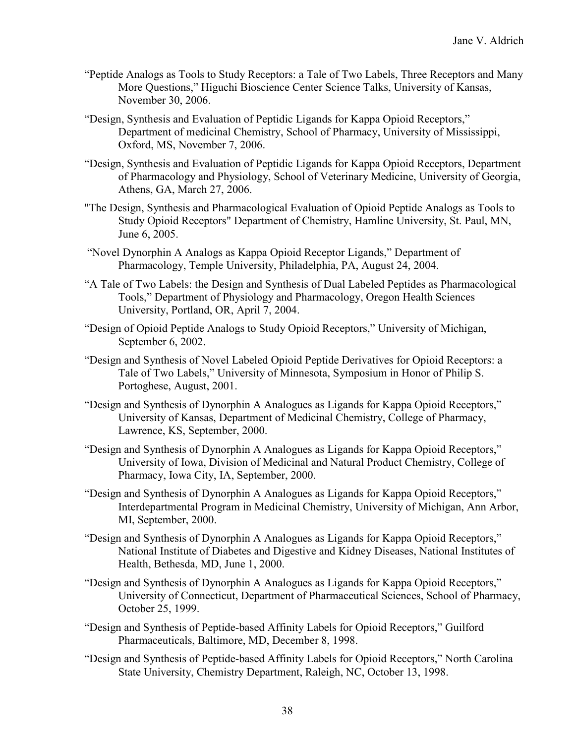- "Peptide Analogs as Tools to Study Receptors: a Tale of Two Labels, Three Receptors and Many More Questions," Higuchi Bioscience Center Science Talks, University of Kansas, November 30, 2006.
- "Design, Synthesis and Evaluation of Peptidic Ligands for Kappa Opioid Receptors," Department of medicinal Chemistry, School of Pharmacy, University of Mississippi, Oxford, MS, November 7, 2006.
- "Design, Synthesis and Evaluation of Peptidic Ligands for Kappa Opioid Receptors, Department of Pharmacology and Physiology, School of Veterinary Medicine, University of Georgia, Athens, GA, March 27, 2006.
- "The Design, Synthesis and Pharmacological Evaluation of Opioid Peptide Analogs as Tools to Study Opioid Receptors" Department of Chemistry, Hamline University, St. Paul, MN, June 6, 2005.
- "Novel Dynorphin A Analogs as Kappa Opioid Receptor Ligands," Department of Pharmacology, Temple University, Philadelphia, PA, August 24, 2004.
- "A Tale of Two Labels: the Design and Synthesis of Dual Labeled Peptides as Pharmacological Tools," Department of Physiology and Pharmacology, Oregon Health Sciences University, Portland, OR, April 7, 2004.
- "Design of Opioid Peptide Analogs to Study Opioid Receptors," University of Michigan, September 6, 2002.
- "Design and Synthesis of Novel Labeled Opioid Peptide Derivatives for Opioid Receptors: a Tale of Two Labels," University of Minnesota, Symposium in Honor of Philip S. Portoghese, August, 2001.
- "Design and Synthesis of Dynorphin A Analogues as Ligands for Kappa Opioid Receptors," University of Kansas, Department of Medicinal Chemistry, College of Pharmacy, Lawrence, KS, September, 2000.
- "Design and Synthesis of Dynorphin A Analogues as Ligands for Kappa Opioid Receptors," University of Iowa, Division of Medicinal and Natural Product Chemistry, College of Pharmacy, Iowa City, IA, September, 2000.
- "Design and Synthesis of Dynorphin A Analogues as Ligands for Kappa Opioid Receptors," Interdepartmental Program in Medicinal Chemistry, University of Michigan, Ann Arbor, MI, September, 2000.
- "Design and Synthesis of Dynorphin A Analogues as Ligands for Kappa Opioid Receptors," National Institute of Diabetes and Digestive and Kidney Diseases, National Institutes of Health, Bethesda, MD, June 1, 2000.
- "Design and Synthesis of Dynorphin A Analogues as Ligands for Kappa Opioid Receptors," University of Connecticut, Department of Pharmaceutical Sciences, School of Pharmacy, October 25, 1999.
- "Design and Synthesis of Peptide-based Affinity Labels for Opioid Receptors," Guilford Pharmaceuticals, Baltimore, MD, December 8, 1998.
- "Design and Synthesis of Peptide-based Affinity Labels for Opioid Receptors," North Carolina State University, Chemistry Department, Raleigh, NC, October 13, 1998.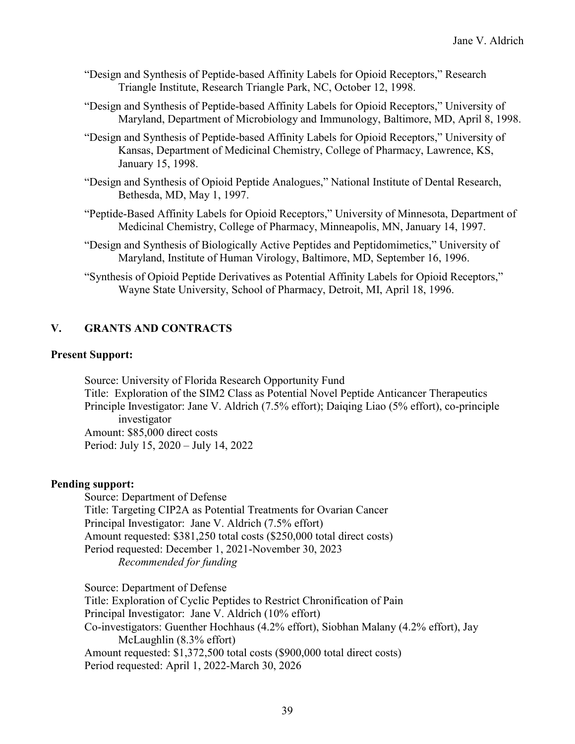- "Design and Synthesis of Peptide-based Affinity Labels for Opioid Receptors," Research Triangle Institute, Research Triangle Park, NC, October 12, 1998.
- "Design and Synthesis of Peptide-based Affinity Labels for Opioid Receptors," University of Maryland, Department of Microbiology and Immunology, Baltimore, MD, April 8, 1998.
- "Design and Synthesis of Peptide-based Affinity Labels for Opioid Receptors," University of Kansas, Department of Medicinal Chemistry, College of Pharmacy, Lawrence, KS, January 15, 1998.
- "Design and Synthesis of Opioid Peptide Analogues," National Institute of Dental Research, Bethesda, MD, May 1, 1997.
- "Peptide-Based Affinity Labels for Opioid Receptors," University of Minnesota, Department of Medicinal Chemistry, College of Pharmacy, Minneapolis, MN, January 14, 1997.
- "Design and Synthesis of Biologically Active Peptides and Peptidomimetics," University of Maryland, Institute of Human Virology, Baltimore, MD, September 16, 1996.
- "Synthesis of Opioid Peptide Derivatives as Potential Affinity Labels for Opioid Receptors," Wayne State University, School of Pharmacy, Detroit, MI, April 18, 1996.

## **V. GRANTS AND CONTRACTS**

#### **Present Support:**

Source: University of Florida Research Opportunity Fund Title: Exploration of the SIM2 Class as Potential Novel Peptide Anticancer Therapeutics Principle Investigator: Jane V. Aldrich (7.5% effort); Daiqing Liao (5% effort), co-principle investigator Amount: \$85,000 direct costs Period: July 15, 2020 – July 14, 2022

## **Pending support:**

Source: Department of Defense Title: Targeting CIP2A as Potential Treatments for Ovarian Cancer Principal Investigator: Jane V. Aldrich (7.5% effort) Amount requested: \$381,250 total costs (\$250,000 total direct costs) Period requested: December 1, 2021-November 30, 2023 *Recommended for funding*

Source: Department of Defense Title: Exploration of Cyclic Peptides to Restrict Chronification of Pain Principal Investigator: Jane V. Aldrich (10% effort) Co-investigators: Guenther Hochhaus (4.2% effort), Siobhan Malany (4.2% effort), Jay McLaughlin (8.3% effort) Amount requested: \$1,372,500 total costs (\$900,000 total direct costs) Period requested: April 1, 2022-March 30, 2026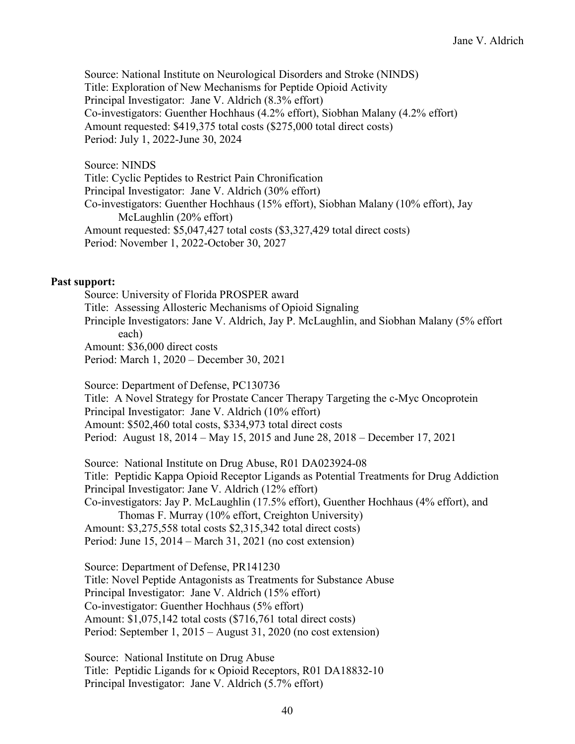Source: National Institute on Neurological Disorders and Stroke (NINDS) Title: Exploration of New Mechanisms for Peptide Opioid Activity Principal Investigator: Jane V. Aldrich (8.3% effort) Co-investigators: Guenther Hochhaus (4.2% effort), Siobhan Malany (4.2% effort) Amount requested: \$419,375 total costs (\$275,000 total direct costs) Period: July 1, 2022-June 30, 2024

Source: NINDS Title: Cyclic Peptides to Restrict Pain Chronification Principal Investigator: Jane V. Aldrich (30% effort) Co-investigators: Guenther Hochhaus (15% effort), Siobhan Malany (10% effort), Jay McLaughlin (20% effort) Amount requested: \$5,047,427 total costs (\$3,327,429 total direct costs) Period: November 1, 2022-October 30, 2027

#### **Past support:**

Source: University of Florida PROSPER award Title: Assessing Allosteric Mechanisms of Opioid Signaling Principle Investigators: Jane V. Aldrich, Jay P. McLaughlin, and Siobhan Malany (5% effort each) Amount: \$36,000 direct costs Period: March 1, 2020 – December 30, 2021

Source: Department of Defense, PC130736 Title: A Novel Strategy for Prostate Cancer Therapy Targeting the c-Myc Oncoprotein Principal Investigator: Jane V. Aldrich (10% effort) Amount: \$502,460 total costs, \$334,973 total direct costs Period: August 18, 2014 – May 15, 2015 and June 28, 2018 – December 17, 2021

Source: National Institute on Drug Abuse, R01 DA023924-08 Title: Peptidic Kappa Opioid Receptor Ligands as Potential Treatments for Drug Addiction Principal Investigator: Jane V. Aldrich (12% effort) Co-investigators: Jay P. McLaughlin (17.5% effort), Guenther Hochhaus (4% effort), and Thomas F. Murray (10% effort, Creighton University) Amount: \$3,275,558 total costs \$2,315,342 total direct costs) Period: June 15, 2014 – March 31, 2021 (no cost extension)

Source: Department of Defense, PR141230 Title: Novel Peptide Antagonists as Treatments for Substance Abuse Principal Investigator: Jane V. Aldrich (15% effort) Co-investigator: Guenther Hochhaus (5% effort) Amount: \$1,075,142 total costs (\$716,761 total direct costs) Period: September 1, 2015 – August 31, 2020 (no cost extension)

Source: National Institute on Drug Abuse Title: Peptidic Ligands for κ Opioid Receptors, R01 DA18832-10 Principal Investigator: Jane V. Aldrich (5.7% effort)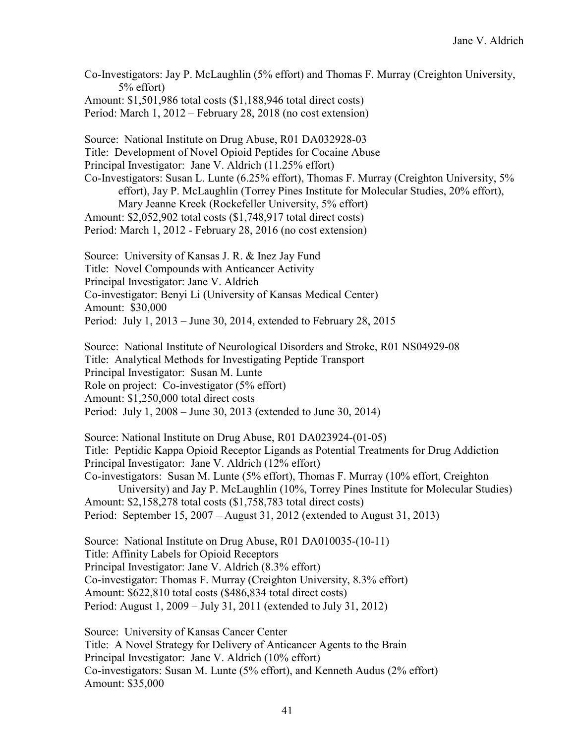Co-Investigators: Jay P. McLaughlin (5% effort) and Thomas F. Murray (Creighton University, 5% effort) Amount: \$1,501,986 total costs (\$1,188,946 total direct costs)

Period: March 1, 2012 – February 28, 2018 (no cost extension)

Source: National Institute on Drug Abuse, R01 DA032928-03 Title: Development of Novel Opioid Peptides for Cocaine Abuse Principal Investigator: Jane V. Aldrich (11.25% effort) Co-Investigators: Susan L. Lunte (6.25% effort), Thomas F. Murray (Creighton University, 5% effort), Jay P. McLaughlin (Torrey Pines Institute for Molecular Studies, 20% effort), Mary Jeanne Kreek (Rockefeller University, 5% effort) Amount: \$2,052,902 total costs (\$1,748,917 total direct costs) Period: March 1, 2012 - February 28, 2016 (no cost extension)

Source: University of Kansas J. R. & Inez Jay Fund Title: Novel Compounds with Anticancer Activity Principal Investigator: Jane V. Aldrich Co-investigator: Benyi Li (University of Kansas Medical Center) Amount: \$30,000 Period: July 1, 2013 – June 30, 2014, extended to February 28, 2015

Source: National Institute of Neurological Disorders and Stroke, R01 NS04929-08 Title: Analytical Methods for Investigating Peptide Transport Principal Investigator: Susan M. Lunte Role on project: Co-investigator (5% effort) Amount: \$1,250,000 total direct costs Period: July 1, 2008 – June 30, 2013 (extended to June 30, 2014)

Source: National Institute on Drug Abuse, R01 DA023924-(01-05) Title: Peptidic Kappa Opioid Receptor Ligands as Potential Treatments for Drug Addiction Principal Investigator: Jane V. Aldrich (12% effort) Co-investigators: Susan M. Lunte (5% effort), Thomas F. Murray (10% effort, Creighton University) and Jay P. McLaughlin (10%, Torrey Pines Institute for Molecular Studies) Amount: \$2,158,278 total costs (\$1,758,783 total direct costs)

Period: September 15, 2007 – August 31, 2012 (extended to August 31, 2013)

Source: National Institute on Drug Abuse, R01 DA010035-(10-11) Title: Affinity Labels for Opioid Receptors Principal Investigator: Jane V. Aldrich (8.3% effort) Co-investigator: Thomas F. Murray (Creighton University, 8.3% effort) Amount: \$622,810 total costs (\$486,834 total direct costs) Period: August 1, 2009 – July 31, 2011 (extended to July 31, 2012)

Source: University of Kansas Cancer Center Title: A Novel Strategy for Delivery of Anticancer Agents to the Brain Principal Investigator: Jane V. Aldrich (10% effort) Co-investigators: Susan M. Lunte (5% effort), and Kenneth Audus (2% effort) Amount: \$35,000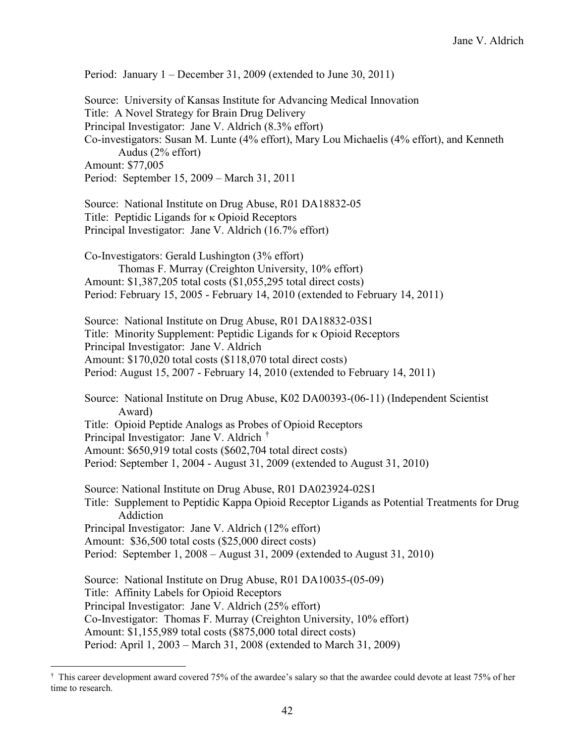Period: January 1 – December 31, 2009 (extended to June 30, 2011) Source: University of Kansas Institute for Advancing Medical Innovation Title: A Novel Strategy for Brain Drug Delivery Principal Investigator: Jane V. Aldrich (8.3% effort) Co-investigators: Susan M. Lunte (4% effort), Mary Lou Michaelis (4% effort), and Kenneth Audus (2% effort) Amount: \$77,005 Period: September 15, 2009 – March 31, 2011 Source: National Institute on Drug Abuse, R01 DA18832-05 Title: Peptidic Ligands for κ Opioid Receptors Principal Investigator: Jane V. Aldrich (16.7% effort) Co-Investigators: Gerald Lushington (3% effort) Thomas F. Murray (Creighton University, 10% effort) Amount: \$1,387,205 total costs (\$1,055,295 total direct costs) Period: February 15, 2005 - February 14, 2010 (extended to February 14, 2011) Source: National Institute on Drug Abuse, R01 DA18832-03S1 Title: Minority Supplement: Peptidic Ligands for κ Opioid Receptors Principal Investigator: Jane V. Aldrich Amount: \$170,020 total costs (\$118,070 total direct costs) Period: August 15, 2007 - February 14, 2010 (extended to February 14, 2011) Source: National Institute on Drug Abuse, K02 DA00393-(06-11) (Independent Scientist Award) Title: Opioid Peptide Analogs as Probes of Opioid Receptors Principal Investigator: Jane V. Aldrich <sup>†</sup> Amount: \$650,919 total costs (\$602,704 total direct costs) Period: September 1, 2004 - August 31, 2009 (extended to August 31, 2010) Source: National Institute on Drug Abuse, R01 DA023924-02S1 Title: Supplement to Peptidic Kappa Opioid Receptor Ligands as Potential Treatments for Drug Addiction Principal Investigator: Jane V. Aldrich (12% effort) Amount: \$36,500 total costs (\$25,000 direct costs) Period: September 1, 2008 – August 31, 2009 (extended to August 31, 2010) Source: National Institute on Drug Abuse, R01 DA10035-(05-09) Title: Affinity Labels for Opioid Receptors Principal Investigator: Jane V. Aldrich (25% effort) Co-Investigator: Thomas F. Murray (Creighton University, 10% effort) Amount: \$1,155,989 total costs (\$875,000 total direct costs) Period: April 1, 2003 – March 31, 2008 (extended to March 31, 2009)

<sup>–&</sup>lt;br>†  $\dagger$  This career development award covered 75% of the awardee's salary so that the awardee could devote at least 75% of her time to research.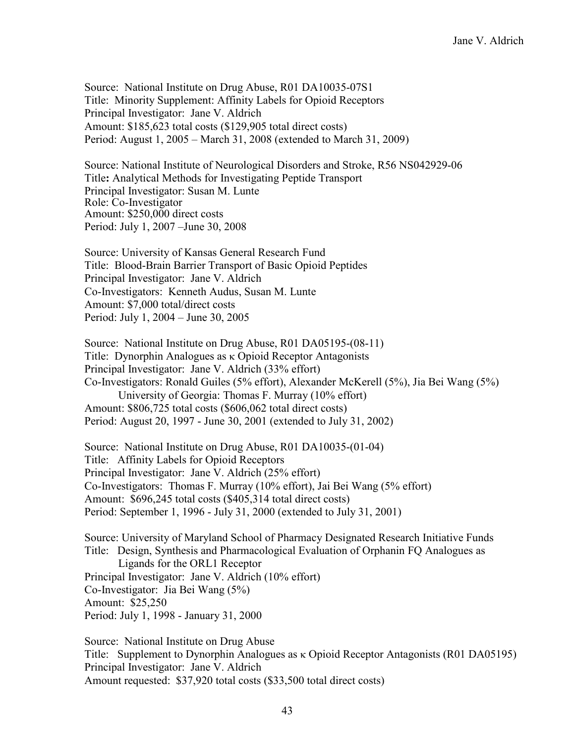Source: National Institute on Drug Abuse, R01 DA10035-07S1 Title: Minority Supplement: Affinity Labels for Opioid Receptors Principal Investigator: Jane V. Aldrich Amount: \$185,623 total costs (\$129,905 total direct costs) Period: August 1, 2005 – March 31, 2008 (extended to March 31, 2009)

Source: National Institute of Neurological Disorders and Stroke, R56 NS042929-06 Title**:** Analytical Methods for Investigating Peptide Transport Principal Investigator: Susan M. Lunte Role: Co-Investigator Amount: \$250,000 direct costs Period: July 1, 2007 –June 30, 2008

Source: University of Kansas General Research Fund Title: Blood-Brain Barrier Transport of Basic Opioid Peptides Principal Investigator: Jane V. Aldrich Co-Investigators: Kenneth Audus, Susan M. Lunte Amount: \$7,000 total/direct costs Period: July 1, 2004 – June 30, 2005

Source: National Institute on Drug Abuse, R01 DA05195-(08-11) Title: Dynorphin Analogues as κ Opioid Receptor Antagonists Principal Investigator: Jane V. Aldrich (33% effort) Co-Investigators: Ronald Guiles (5% effort), Alexander McKerell (5%), Jia Bei Wang (5%) University of Georgia: Thomas F. Murray (10% effort) Amount: \$806,725 total costs (\$606,062 total direct costs) Period: August 20, 1997 - June 30, 2001 (extended to July 31, 2002)

Source: National Institute on Drug Abuse, R01 DA10035-(01-04) Title: Affinity Labels for Opioid Receptors Principal Investigator: Jane V. Aldrich (25% effort) Co-Investigators: Thomas F. Murray (10% effort), Jai Bei Wang (5% effort) Amount: \$696,245 total costs (\$405,314 total direct costs) Period: September 1, 1996 - July 31, 2000 (extended to July 31, 2001)

Source: University of Maryland School of Pharmacy Designated Research Initiative Funds Title: Design, Synthesis and Pharmacological Evaluation of Orphanin FQ Analogues as Ligands for the ORL1 Receptor Principal Investigator: Jane V. Aldrich (10% effort) Co-Investigator: Jia Bei Wang (5%) Amount: \$25,250 Period: July 1, 1998 - January 31, 2000

Source: National Institute on Drug Abuse Title: Supplement to Dynorphin Analogues as κ Opioid Receptor Antagonists (R01 DA05195) Principal Investigator: Jane V. Aldrich Amount requested: \$37,920 total costs (\$33,500 total direct costs)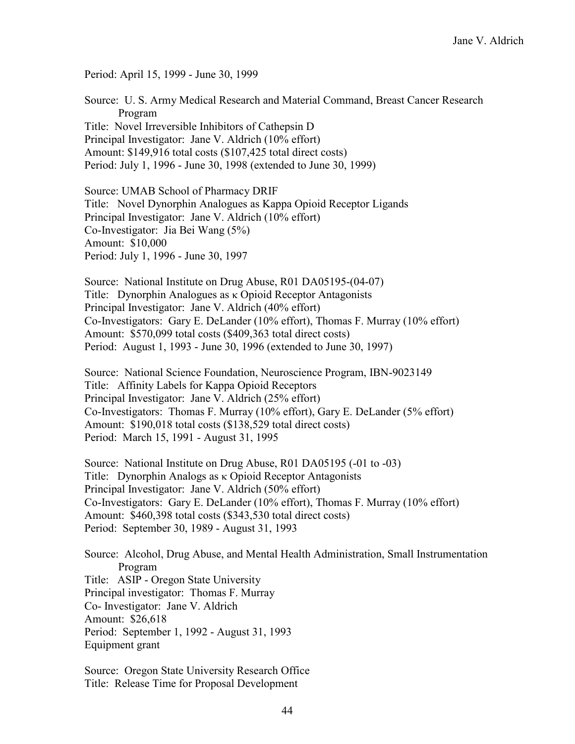Period: April 15, 1999 - June 30, 1999

Source: U. S. Army Medical Research and Material Command, Breast Cancer Research Program Title: Novel Irreversible Inhibitors of Cathepsin D Principal Investigator: Jane V. Aldrich (10% effort) Amount: \$149,916 total costs (\$107,425 total direct costs) Period: July 1, 1996 - June 30, 1998 (extended to June 30, 1999)

Source: UMAB School of Pharmacy DRIF Title: Novel Dynorphin Analogues as Kappa Opioid Receptor Ligands Principal Investigator: Jane V. Aldrich (10% effort) Co-Investigator: Jia Bei Wang (5%) Amount: \$10,000 Period: July 1, 1996 - June 30, 1997

Source: National Institute on Drug Abuse, R01 DA05195-(04-07) Title: Dynorphin Analogues as κ Opioid Receptor Antagonists Principal Investigator: Jane V. Aldrich (40% effort) Co-Investigators: Gary E. DeLander (10% effort), Thomas F. Murray (10% effort) Amount: \$570,099 total costs (\$409,363 total direct costs) Period: August 1, 1993 - June 30, 1996 (extended to June 30, 1997)

Source: National Science Foundation, Neuroscience Program, IBN-9023149 Title: Affinity Labels for Kappa Opioid Receptors Principal Investigator: Jane V. Aldrich (25% effort) Co-Investigators: Thomas F. Murray (10% effort), Gary E. DeLander (5% effort) Amount: \$190,018 total costs (\$138,529 total direct costs) Period: March 15, 1991 - August 31, 1995

Source: National Institute on Drug Abuse, R01 DA05195 (-01 to -03) Title: Dynorphin Analogs as κ Opioid Receptor Antagonists Principal Investigator: Jane V. Aldrich (50% effort) Co-Investigators: Gary E. DeLander (10% effort), Thomas F. Murray (10% effort) Amount: \$460,398 total costs (\$343,530 total direct costs) Period: September 30, 1989 - August 31, 1993

Source: Alcohol, Drug Abuse, and Mental Health Administration, Small Instrumentation Program Title: ASIP - Oregon State University Principal investigator: Thomas F. Murray Co- Investigator: Jane V. Aldrich Amount: \$26,618 Period: September 1, 1992 - August 31, 1993 Equipment grant

Source: Oregon State University Research Office Title: Release Time for Proposal Development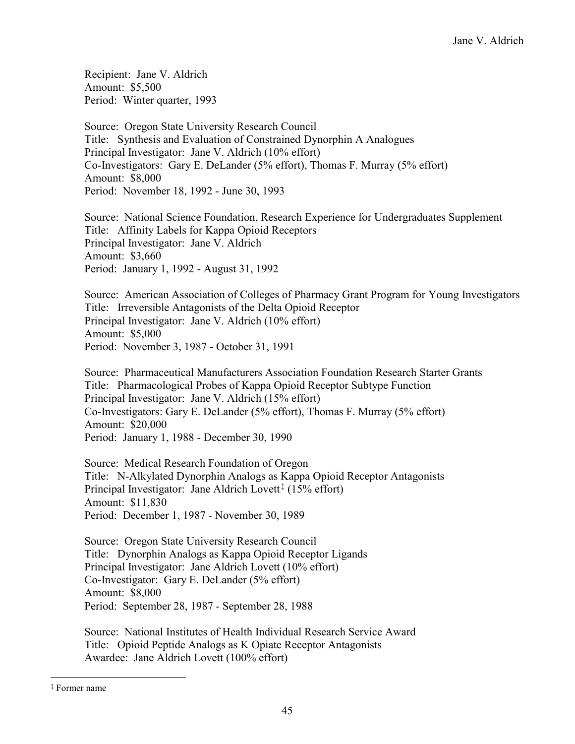Recipient: Jane V. Aldrich Amount: \$5,500 Period: Winter quarter, 1993

Source: Oregon State University Research Council Title: Synthesis and Evaluation of Constrained Dynorphin A Analogues Principal Investigator: Jane V. Aldrich (10% effort) Co-Investigators: Gary E. DeLander (5% effort), Thomas F. Murray (5% effort) Amount: \$8,000 Period: November 18, 1992 - June 30, 1993

Source: National Science Foundation, Research Experience for Undergraduates Supplement Title: Affinity Labels for Kappa Opioid Receptors Principal Investigator: Jane V. Aldrich Amount: \$3,660 Period: January 1, 1992 - August 31, 1992

Source: American Association of Colleges of Pharmacy Grant Program for Young Investigators Title: Irreversible Antagonists of the Delta Opioid Receptor Principal Investigator: Jane V. Aldrich (10% effort) Amount: \$5,000 Period: November 3, 1987 - October 31, 1991

Source: Pharmaceutical Manufacturers Association Foundation Research Starter Grants Title: Pharmacological Probes of Kappa Opioid Receptor Subtype Function Principal Investigator: Jane V. Aldrich (15% effort) Co-Investigators: Gary E. DeLander (5% effort), Thomas F. Murray (5% effort) Amount: \$20,000 Period: January 1, 1988 - December 30, 1990

Source: Medical Research Foundation of Oregon Title: N-Alkylated Dynorphin Analogs as Kappa Opioid Receptor Antagonists Principal Investigator: Jane Aldrich Lovett<sup>‡</sup> (15% effort) Amount: \$11,830 Period: December 1, 1987 - November 30, 1989

Source: Oregon State University Research Council Title: Dynorphin Analogs as Kappa Opioid Receptor Ligands Principal Investigator: Jane Aldrich Lovett (10% effort) Co-Investigator: Gary E. DeLander (5% effort) Amount: \$8,000 Period: September 28, 1987 - September 28, 1988

Source: National Institutes of Health Individual Research Service Award Title: Opioid Peptide Analogs as K Opiate Receptor Antagonists Awardee: Jane Aldrich Lovett (100% effort)

 <sup>‡</sup> Former name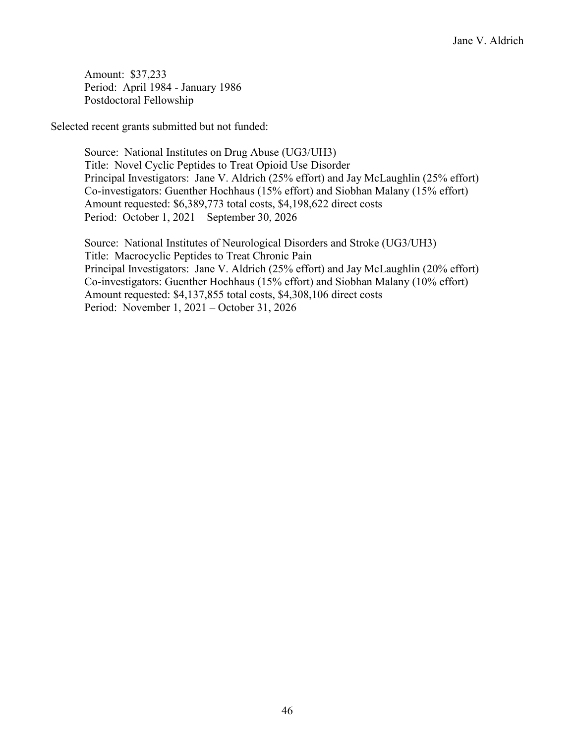Amount: \$37,233 Period: April 1984 - January 1986 Postdoctoral Fellowship

Selected recent grants submitted but not funded:

Source: National Institutes on Drug Abuse (UG3/UH3) Title: Novel Cyclic Peptides to Treat Opioid Use Disorder Principal Investigators: Jane V. Aldrich (25% effort) and Jay McLaughlin (25% effort) Co-investigators: Guenther Hochhaus (15% effort) and Siobhan Malany (15% effort) Amount requested: \$6,389,773 total costs, \$4,198,622 direct costs Period: October 1, 2021 – September 30, 2026

Source: National Institutes of Neurological Disorders and Stroke (UG3/UH3) Title: Macrocyclic Peptides to Treat Chronic Pain Principal Investigators: Jane V. Aldrich (25% effort) and Jay McLaughlin (20% effort) Co-investigators: Guenther Hochhaus (15% effort) and Siobhan Malany (10% effort) Amount requested: \$4,137,855 total costs, \$4,308,106 direct costs Period: November 1, 2021 – October 31, 2026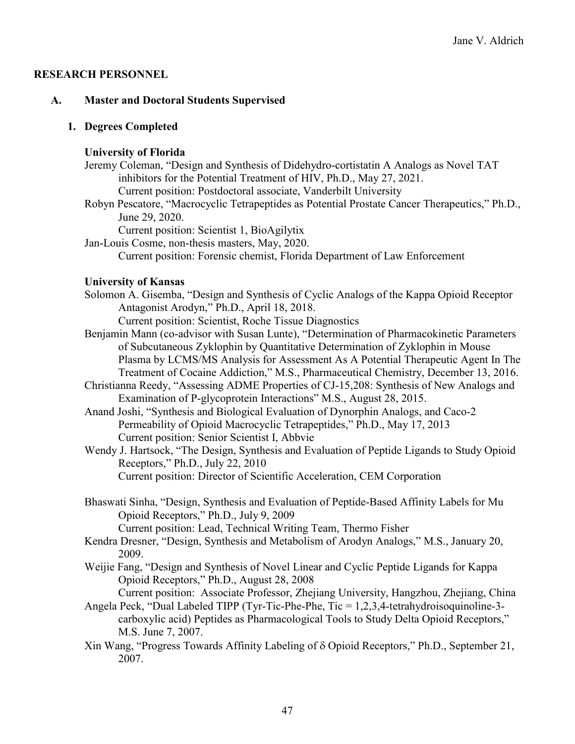## **RESEARCH PERSONNEL**

## **A. Master and Doctoral Students Supervised**

## **1. Degrees Completed**

#### **University of Florida**

- Jeremy Coleman, "Design and Synthesis of Didehydro-cortistatin A Analogs as Novel TAT inhibitors for the Potential Treatment of HIV, Ph.D., May 27, 2021. Current position: Postdoctoral associate, Vanderbilt University
- Robyn Pescatore, "Macrocyclic Tetrapeptides as Potential Prostate Cancer Therapeutics," Ph.D., June 29, 2020.

Current position: Scientist 1, BioAgilytix

Jan-Louis Cosme, non-thesis masters, May, 2020. Current position: Forensic chemist, Florida Department of Law Enforcement

## **University of Kansas**

Solomon A. Gisemba, "Design and Synthesis of Cyclic Analogs of the Kappa Opioid Receptor Antagonist Arodyn," Ph.D., April 18, 2018.

Current position: Scientist, Roche Tissue Diagnostics

- Benjamin Mann (co-advisor with Susan Lunte), "Determination of Pharmacokinetic Parameters of Subcutaneous Zyklophin by Quantitative Determination of Zyklophin in Mouse Plasma by LCMS/MS Analysis for Assessment As A Potential Therapeutic Agent In The Treatment of Cocaine Addiction," M.S., Pharmaceutical Chemistry, December 13, 2016.
- Christianna Reedy, "Assessing ADME Properties of CJ-15,208: Synthesis of New Analogs and Examination of P-glycoprotein Interactions" M.S., August 28, 2015.
- Anand Joshi, "Synthesis and Biological Evaluation of Dynorphin Analogs, and Caco-2 Permeability of Opioid Macrocyclic Tetrapeptides," Ph.D., May 17, 2013 Current position: Senior Scientist I, Abbvie
- Wendy J. Hartsock, "The Design, Synthesis and Evaluation of Peptide Ligands to Study Opioid Receptors," Ph.D., July 22, 2010 Current position: Director of Scientific Acceleration, CEM Corporation
- Bhaswati Sinha, "Design, Synthesis and Evaluation of Peptide-Based Affinity Labels for Mu Opioid Receptors," Ph.D., July 9, 2009 Current position: Lead, Technical Writing Team, Thermo Fisher
- Kendra Dresner, "Design, Synthesis and Metabolism of Arodyn Analogs," M.S., January 20, 2009.
- Weijie Fang, "Design and Synthesis of Novel Linear and Cyclic Peptide Ligands for Kappa Opioid Receptors," Ph.D., August 28, 2008

Current position: Associate Professor, Zhejiang University, Hangzhou, Zhejiang, China

- Angela Peck, "Dual Labeled TIPP (Tyr-Tic-Phe-Phe, Tic = 1,2,3,4-tetrahydroisoquinoline-3 carboxylic acid) Peptides as Pharmacological Tools to Study Delta Opioid Receptors," M.S. June 7, 2007.
- Xin Wang, "Progress Towards Affinity Labeling of δ Opioid Receptors," Ph.D., September 21, 2007.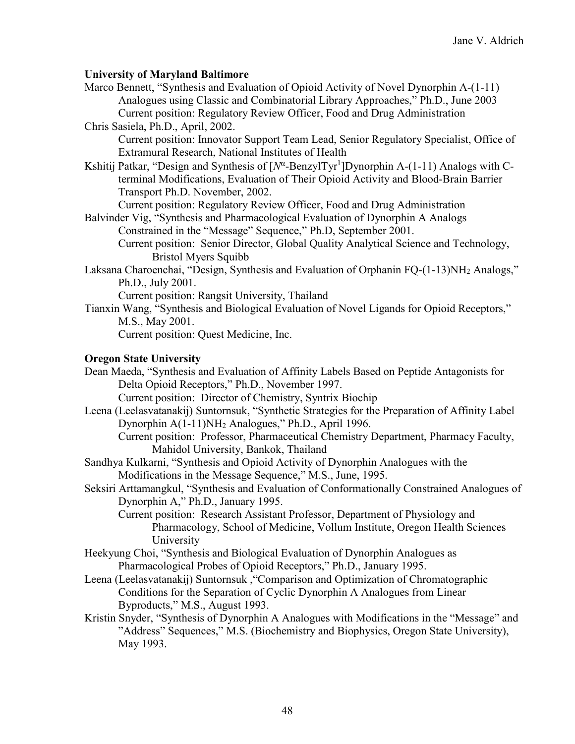## **University of Maryland Baltimore**

Marco Bennett, "Synthesis and Evaluation of Opioid Activity of Novel Dynorphin A-(1-11) Analogues using Classic and Combinatorial Library Approaches," Ph.D., June 2003 Current position: Regulatory Review Officer, Food and Drug Administration Chris Sasiela, Ph.D., April, 2002.

Current position: Innovator Support Team Lead, Senior Regulatory Specialist, Office of Extramural Research, National Institutes of Health

Kshitij Patkar, "Design and Synthesis of [N<sup>α</sup>-BenzylTyr<sup>1</sup>]Dynorphin A-(1-11) Analogs with Cterminal Modifications, Evaluation of Their Opioid Activity and Blood-Brain Barrier Transport Ph.D. November, 2002.

Current position: Regulatory Review Officer, Food and Drug Administration

- Balvinder Vig, "Synthesis and Pharmacological Evaluation of Dynorphin A Analogs Constrained in the "Message" Sequence," Ph.D, September 2001. Current position: Senior Director, Global Quality Analytical Science and Technology, Bristol Myers Squibb
- Laksana Charoenchai, "Design, Synthesis and Evaluation of Orphanin FQ-(1-13)NH<sub>2</sub> Analogs," Ph.D., July 2001.

Current position: Rangsit University, Thailand

Tianxin Wang, "Synthesis and Biological Evaluation of Novel Ligands for Opioid Receptors," M.S., May 2001.

Current position: Quest Medicine, Inc.

# **Oregon State University**

Dean Maeda, "Synthesis and Evaluation of Affinity Labels Based on Peptide Antagonists for Delta Opioid Receptors," Ph.D., November 1997.

Current position: Director of Chemistry, Syntrix Biochip

Leena (Leelasvatanakij) Suntornsuk, "Synthetic Strategies for the Preparation of Affinity Label Dynorphin A(1-11)NH2 Analogues," Ph.D., April 1996.

Current position: Professor, Pharmaceutical Chemistry Department, Pharmacy Faculty, Mahidol University, Bankok, Thailand

- Sandhya Kulkarni, "Synthesis and Opioid Activity of Dynorphin Analogues with the Modifications in the Message Sequence," M.S., June, 1995.
- Seksiri Arttamangkul, "Synthesis and Evaluation of Conformationally Constrained Analogues of Dynorphin A," Ph.D., January 1995.

Current position: Research Assistant Professor, Department of Physiology and Pharmacology, School of Medicine, Vollum Institute, Oregon Health Sciences University

Heekyung Choi, "Synthesis and Biological Evaluation of Dynorphin Analogues as Pharmacological Probes of Opioid Receptors," Ph.D., January 1995.

- Leena (Leelasvatanakij) Suntornsuk ,"Comparison and Optimization of Chromatographic Conditions for the Separation of Cyclic Dynorphin A Analogues from Linear Byproducts," M.S., August 1993.
- Kristin Snyder, "Synthesis of Dynorphin A Analogues with Modifications in the "Message" and "Address" Sequences," M.S. (Biochemistry and Biophysics, Oregon State University), May 1993.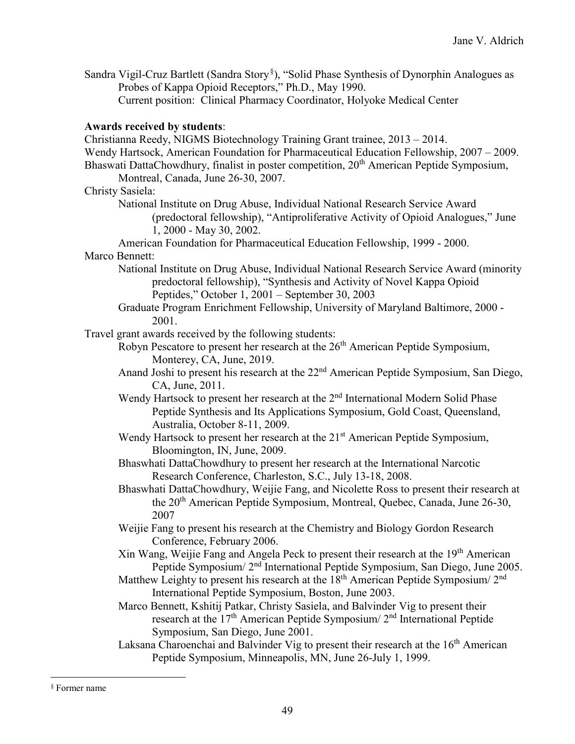Sandra Vigil-Cruz Bartlett (Sandra Story.<sup>§</sup>), "Solid Phase Synthesis of Dynorphin Analogues as Probes of Kappa Opioid Receptors," Ph.D., May 1990. Current position: Clinical Pharmacy Coordinator, Holyoke Medical Center

## **Awards received by students**:

Christianna Reedy, NIGMS Biotechnology Training Grant trainee, 2013 – 2014. Wendy Hartsock, American Foundation for Pharmaceutical Education Fellowship, 2007 – 2009. Bhaswati DattaChowdhury, finalist in poster competition, 20<sup>th</sup> American Peptide Symposium, Montreal, Canada, June 26-30, 2007. Christy Sasiela: National Institute on Drug Abuse, Individual National Research Service Award (predoctoral fellowship), "Antiproliferative Activity of Opioid Analogues," June 1, 2000 - May 30, 2002. American Foundation for Pharmaceutical Education Fellowship, 1999 - 2000. Marco Bennett: National Institute on Drug Abuse, Individual National Research Service Award (minority predoctoral fellowship), "Synthesis and Activity of Novel Kappa Opioid Peptides," October 1, 2001 – September 30, 2003 Graduate Program Enrichment Fellowship, University of Maryland Baltimore, 2000 - 2001. Travel grant awards received by the following students: Robyn Pescatore to present her research at the  $26<sup>th</sup>$  American Peptide Symposium, Monterey, CA, June, 2019. Anand Joshi to present his research at the 22nd American Peptide Symposium, San Diego, CA, June, 2011. Wendy Hartsock to present her research at the 2<sup>nd</sup> International Modern Solid Phase Peptide Synthesis and Its Applications Symposium, Gold Coast, Queensland, Australia, October 8-11, 2009. Wendy Hartsock to present her research at the 21<sup>st</sup> American Peptide Symposium, Bloomington, IN, June, 2009. Bhaswhati DattaChowdhury to present her research at the International Narcotic Research Conference, Charleston, S.C., July 13-18, 2008. Bhaswhati DattaChowdhury, Weijie Fang, and Nicolette Ross to present their research at the 20th American Peptide Symposium, Montreal, Quebec, Canada, June 26-30, 2007 Weijie Fang to present his research at the Chemistry and Biology Gordon Research Conference, February 2006. Xin Wang, Weijie Fang and Angela Peck to present their research at the  $19<sup>th</sup>$  American Peptide Symposium/ 2nd International Peptide Symposium, San Diego, June 2005. Matthew Leighty to present his research at the  $18<sup>th</sup>$  American Peptide Symposium/  $2<sup>nd</sup>$ International Peptide Symposium, Boston, June 2003. Marco Bennett, Kshitij Patkar, Christy Sasiela, and Balvinder Vig to present their research at the 17th American Peptide Symposium/ 2nd International Peptide Symposium, San Diego, June 2001. Laksana Charoenchai and Balvinder Vig to present their research at the 16<sup>th</sup> American Peptide Symposium, Minneapolis, MN, June 26-July 1, 1999.

 <sup>§</sup> Former name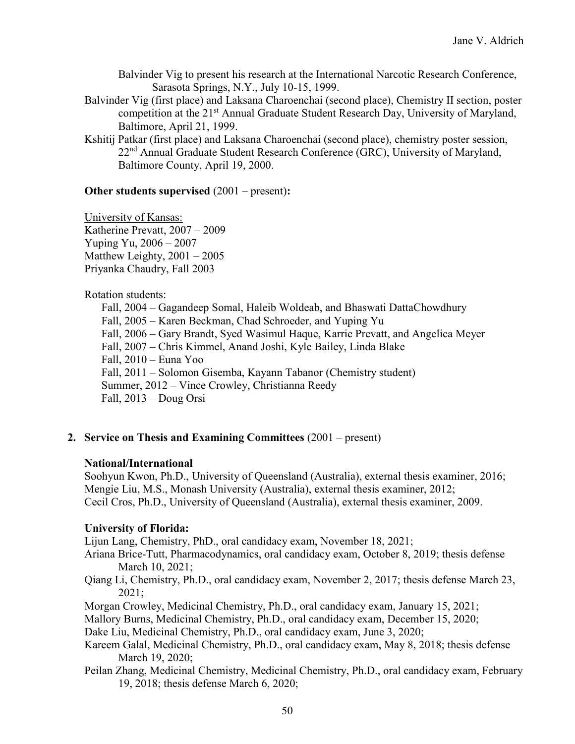Balvinder Vig to present his research at the International Narcotic Research Conference, Sarasota Springs, N.Y., July 10-15, 1999.

- Balvinder Vig (first place) and Laksana Charoenchai (second place), Chemistry II section, poster competition at the 21<sup>st</sup> Annual Graduate Student Research Day, University of Maryland, Baltimore, April 21, 1999.
- Kshitij Patkar (first place) and Laksana Charoenchai (second place), chemistry poster session, 22<sup>nd</sup> Annual Graduate Student Research Conference (GRC), University of Maryland, Baltimore County, April 19, 2000.

## **Other students supervised** (2001 – present)**:**

University of Kansas: Katherine Prevatt, 2007 – 2009 Yuping Yu, 2006 – 2007 Matthew Leighty, 2001 – 2005 Priyanka Chaudry, Fall 2003

## Rotation students:

Fall, 2004 – Gagandeep Somal, Haleib Woldeab, and Bhaswati DattaChowdhury Fall, 2005 – Karen Beckman, Chad Schroeder, and Yuping Yu Fall, 2006 – Gary Brandt, Syed Wasimul Haque, Karrie Prevatt, and Angelica Meyer Fall, 2007 – Chris Kimmel, Anand Joshi, Kyle Bailey, Linda Blake Fall, 2010 – Euna Yoo Fall, 2011 – Solomon Gisemba, Kayann Tabanor (Chemistry student) Summer, 2012 – Vince Crowley, Christianna Reedy Fall, 2013 – Doug Orsi

# **2. Service on Thesis and Examining Committees** (2001 – present)

# **National/International**

Soohyun Kwon, Ph.D., University of Queensland (Australia), external thesis examiner, 2016; Mengie Liu, M.S., Monash University (Australia), external thesis examiner, 2012; Cecil Cros, Ph.D., University of Queensland (Australia), external thesis examiner, 2009.

# **University of Florida:**

Lijun Lang, Chemistry, PhD., oral candidacy exam, November 18, 2021;

Ariana Brice-Tutt, Pharmacodynamics, oral candidacy exam, October 8, 2019; thesis defense March 10, 2021;

- Qiang Li, Chemistry, Ph.D., oral candidacy exam, November 2, 2017; thesis defense March 23, 2021;
- Morgan Crowley, Medicinal Chemistry, Ph.D., oral candidacy exam, January 15, 2021;

Mallory Burns, Medicinal Chemistry, Ph.D., oral candidacy exam, December 15, 2020;

Dake Liu, Medicinal Chemistry, Ph.D., oral candidacy exam, June 3, 2020;

- Kareem Galal, Medicinal Chemistry, Ph.D., oral candidacy exam, May 8, 2018; thesis defense March 19, 2020;
- Peilan Zhang, Medicinal Chemistry, Medicinal Chemistry, Ph.D., oral candidacy exam, February 19, 2018; thesis defense March 6, 2020;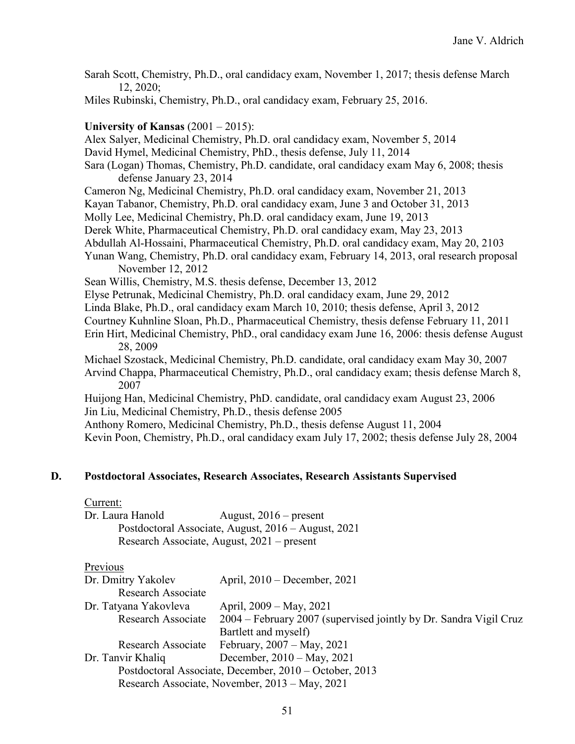Sarah Scott, Chemistry, Ph.D., oral candidacy exam, November 1, 2017; thesis defense March 12, 2020; Miles Rubinski, Chemistry, Ph.D., oral candidacy exam, February 25, 2016. **University of Kansas** (2001 – 2015): Alex Salyer, Medicinal Chemistry, Ph.D. oral candidacy exam, November 5, 2014 David Hymel, Medicinal Chemistry, PhD., thesis defense, July 11, 2014 Sara (Logan) Thomas, Chemistry, Ph.D. candidate, oral candidacy exam May 6, 2008; thesis defense January 23, 2014 Cameron Ng, Medicinal Chemistry, Ph.D. oral candidacy exam, November 21, 2013 Kayan Tabanor, Chemistry, Ph.D. oral candidacy exam, June 3 and October 31, 2013 Molly Lee, Medicinal Chemistry, Ph.D. oral candidacy exam, June 19, 2013 Derek White, Pharmaceutical Chemistry, Ph.D. oral candidacy exam, May 23, 2013 Abdullah Al-Hossaini, Pharmaceutical Chemistry, Ph.D. oral candidacy exam, May 20, 2103 Yunan Wang, Chemistry, Ph.D. oral candidacy exam, February 14, 2013, oral research proposal November 12, 2012 Sean Willis, Chemistry, M.S. thesis defense, December 13, 2012 Elyse Petrunak, Medicinal Chemistry, Ph.D. oral candidacy exam, June 29, 2012 Linda Blake, Ph.D., oral candidacy exam March 10, 2010; thesis defense, April 3, 2012 Courtney Kuhnline Sloan, Ph.D., Pharmaceutical Chemistry, thesis defense February 11, 2011 Erin Hirt, Medicinal Chemistry, PhD., oral candidacy exam June 16, 2006: thesis defense August 28, 2009 Michael Szostack, Medicinal Chemistry, Ph.D. candidate, oral candidacy exam May 30, 2007 Arvind Chappa, Pharmaceutical Chemistry, Ph.D., oral candidacy exam; thesis defense March 8, 2007 Huijong Han, Medicinal Chemistry, PhD. candidate, oral candidacy exam August 23, 2006 Jin Liu, Medicinal Chemistry, Ph.D., thesis defense 2005 Anthony Romero, Medicinal Chemistry, Ph.D., thesis defense August 11, 2004 Kevin Poon, Chemistry, Ph.D., oral candidacy exam July 17, 2002; thesis defense July 28, 2004

#### **D. Postdoctoral Associates, Research Associates, Research Assistants Supervised**

#### Current:

| Dr. Laura Hanold | August, $2016$ – present                            |
|------------------|-----------------------------------------------------|
|                  | Postdoctoral Associate, August, 2016 – August, 2021 |
|                  | Research Associate, August, 2021 – present          |

#### Previous

| Dr. Dmitry Yakolev                                     | April, 2010 – December, 2021                                      |  |  |  |
|--------------------------------------------------------|-------------------------------------------------------------------|--|--|--|
| Research Associate                                     |                                                                   |  |  |  |
| Dr. Tatyana Yakovleva                                  | April, 2009 – May, 2021                                           |  |  |  |
| Research Associate                                     | 2004 – February 2007 (supervised jointly by Dr. Sandra Vigil Cruz |  |  |  |
|                                                        | Bartlett and myself)                                              |  |  |  |
| Research Associate                                     | February, $2007 - May$ , $2021$                                   |  |  |  |
| Dr. Tanvir Khaliq                                      | December, 2010 - May, 2021                                        |  |  |  |
| Postdoctoral Associate, December, 2010 – October, 2013 |                                                                   |  |  |  |
|                                                        | Research Associate, November, 2013 – May, 2021                    |  |  |  |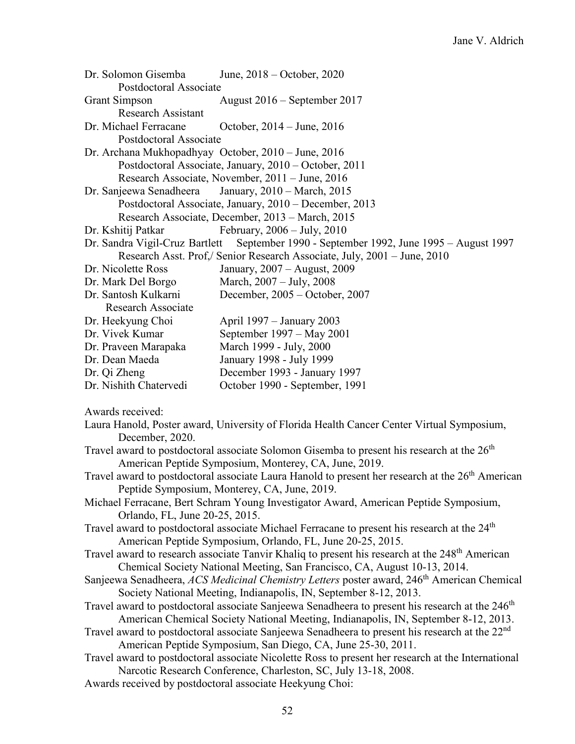| Dr. Solomon Gisemba<br>Postdoctoral Associate       | June, 2018 – October, 2020                                                                                                                                                                         |
|-----------------------------------------------------|----------------------------------------------------------------------------------------------------------------------------------------------------------------------------------------------------|
| <b>Grant Simpson</b><br><b>Research Assistant</b>   | August $2016$ – September 2017                                                                                                                                                                     |
| Dr. Michael Ferracane<br>Postdoctoral Associate     | October, 2014 – June, 2016                                                                                                                                                                         |
| Dr. Archana Mukhopadhyay October, 2010 – June, 2016 |                                                                                                                                                                                                    |
|                                                     | Postdoctoral Associate, January, 2010 – October, 2011                                                                                                                                              |
|                                                     | Research Associate, November, 2011 – June, 2016                                                                                                                                                    |
| Dr. Sanjeewa Senadheera                             | January, 2010 – March, 2015                                                                                                                                                                        |
|                                                     | Postdoctoral Associate, January, 2010 – December, 2013                                                                                                                                             |
|                                                     | Research Associate, December, 2013 - March, 2015                                                                                                                                                   |
| Dr. Kshitij Patkar                                  | February, $2006 - July, 2010$                                                                                                                                                                      |
|                                                     | Dr. Sandra Vigil-Cruz Bartlett September 1990 - September 1992, June 1995 - August 1997                                                                                                            |
|                                                     | Research Asst. Prof./ Senior Research Associate, July, 2001 - June, 2010                                                                                                                           |
| Dr. Nicolette Ross                                  | January, 2007 - August, 2009                                                                                                                                                                       |
| Dr. Mark Del Borgo                                  | March, 2007 – July, 2008                                                                                                                                                                           |
| Dr. Santosh Kulkarni                                | December, 2005 - October, 2007                                                                                                                                                                     |
| <b>Research Associate</b>                           |                                                                                                                                                                                                    |
| Dr. Heekyung Choi                                   | April 1997 – January 2003                                                                                                                                                                          |
| Dr. Vivek Kumar                                     | September 1997 – May 2001                                                                                                                                                                          |
| Dr. Praveen Marapaka                                | March 1999 - July, 2000                                                                                                                                                                            |
| Dr. Dean Maeda                                      | January 1998 - July 1999                                                                                                                                                                           |
| Dr. Qi Zheng                                        | December 1993 - January 1997                                                                                                                                                                       |
| Dr. Nishith Chatervedi                              | October 1990 - September, 1991                                                                                                                                                                     |
|                                                     |                                                                                                                                                                                                    |
| Awards received:                                    |                                                                                                                                                                                                    |
| December, 2020.                                     | Laura Hanold, Poster award, University of Florida Health Cancer Center Virtual Symposium,                                                                                                          |
|                                                     | Travel award to postdoctoral associate Solomon Gisemba to present his research at the $26th$<br>American Peptide Symposium, Monterey, CA, June, 2019.                                              |
|                                                     | Travel award to postdoctoral associate Laura Hanold to present her research at the 26 <sup>th</sup> American<br>Peptide Symposium, Monterey, CA, June, 2019.                                       |
| Orlando, FL, June 20-25, 2015.                      | Michael Ferracane, Bert Schram Young Investigator Award, American Peptide Symposium,                                                                                                               |
|                                                     | Travel award to postdoctoral associate Michael Ferracane to present his research at the 24 <sup>th</sup><br>American Peptide Symposium, Orlando, FL, June 20-25, 2015.                             |
|                                                     | Travel award to research associate Tanvir Khaliq to present his research at the 248 <sup>th</sup> American<br>Chemical Society National Meeting, San Francisco, CA, August 10-13, 2014.            |
|                                                     | Sanjeewa Senadheera, ACS Medicinal Chemistry Letters poster award, 246 <sup>th</sup> American Chemical<br>Society National Meeting, Indianapolis, IN, September 8-12, 2013.                        |
|                                                     | Travel award to postdoctoral associate Sanjeewa Senadheera to present his research at the 246 <sup>th</sup><br>American Chemical Society National Meeting, Indianapolis, IN, September 8-12, 2013. |
|                                                     | Travel award to postdoctoral associate Sanjeewa Senadheera to present his research at the 22 <sup>nd</sup><br>American Peptide Symposium, San Diego, CA, June 25-30, 2011.                         |
|                                                     | Travel award to postdoctoral associate Nicolette Ross to present her research at the International<br>Narcotic Research Conference, Charleston, SC, July 13-18, 2008.                              |

Awards received by postdoctoral associate Heekyung Choi: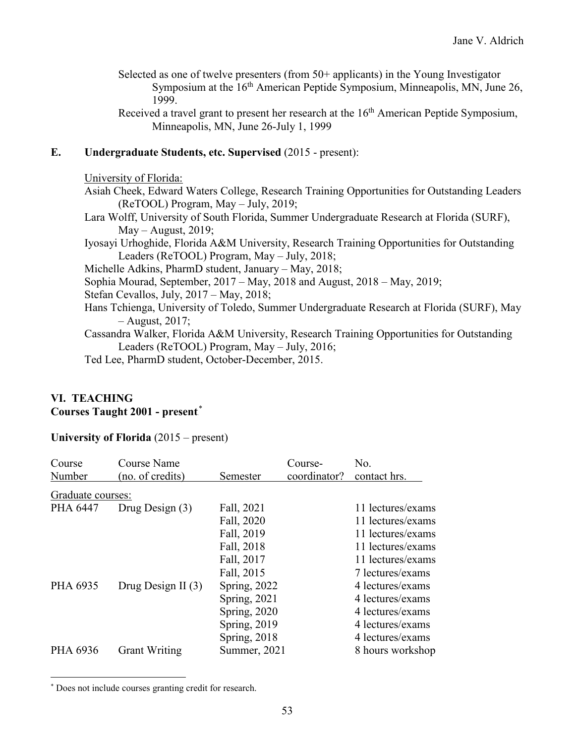- Selected as one of twelve presenters (from 50+ applicants) in the Young Investigator Symposium at the 16<sup>th</sup> American Peptide Symposium, Minneapolis, MN, June 26, 1999.
- Received a travel grant to present her research at the  $16<sup>th</sup>$  American Peptide Symposium, Minneapolis, MN, June 26-July 1, 1999

## **E. Undergraduate Students, etc. Supervised** (2015 - present):

#### University of Florida:

- Asiah Cheek, Edward Waters College, Research Training Opportunities for Outstanding Leaders (ReTOOL) Program, May – July, 2019;
- Lara Wolff, University of South Florida, Summer Undergraduate Research at Florida (SURF),  $May - August, 2019;$
- Iyosayi Urhoghide, Florida A&M University, Research Training Opportunities for Outstanding Leaders (ReTOOL) Program, May – July, 2018;
- Michelle Adkins, PharmD student, January May, 2018;
- Sophia Mourad, September, 2017 May, 2018 and August, 2018 May, 2019;
- Stefan Cevallos, July, 2017 May, 2018;
- Hans Tchienga, University of Toledo, Summer Undergraduate Research at Florida (SURF), May – August, 2017;
- Cassandra Walker, Florida A&M University, Research Training Opportunities for Outstanding Leaders (ReTOOL) Program, May – July, 2016;
- Ted Lee, PharmD student, October-December, 2015.

## **VI. TEACHING**  $\textbf{C}$ ourses Taught 2001 - present<sup>\*</sup>

#### **University of Florida** (2015 – present)

| Course Name<br>(no. of credits) | Semester            | Course-<br>coordinator? | No.<br>contact hrs. |
|---------------------------------|---------------------|-------------------------|---------------------|
|                                 |                     |                         |                     |
| Drug Design $(3)$               | Fall, 2021          |                         | 11 lectures/exams   |
|                                 | Fall, 2020          |                         | 11 lectures/exams   |
|                                 | Fall, 2019          |                         | 11 lectures/exams   |
|                                 | Fall, 2018          |                         | 11 lectures/exams   |
|                                 | Fall, 2017          |                         | 11 lectures/exams   |
|                                 | Fall, 2015          |                         | 7 lectures/exams    |
| Drug Design II $(3)$            | <b>Spring, 2022</b> |                         | 4 lectures/exams    |
|                                 | Spring, $2021$      |                         | 4 lectures/exams    |
|                                 | <b>Spring, 2020</b> |                         | 4 lectures/exams    |
|                                 | <b>Spring, 2019</b> |                         | 4 lectures/exams    |
|                                 | Spring, $2018$      |                         | 4 lectures/exams    |
| <b>Grant Writing</b>            |                     |                         | 8 hours workshop    |
|                                 | Graduate courses:   |                         | Summer, 2021        |

\* Does not include courses granting credit for research.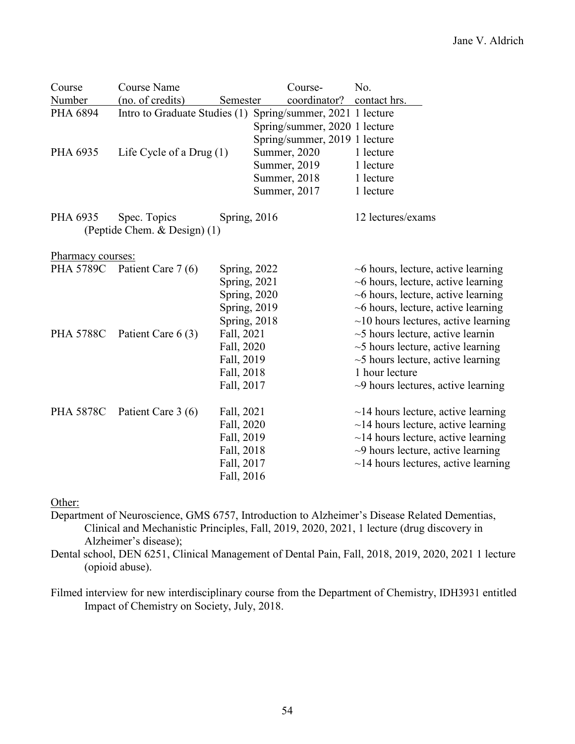| Course                                 | <b>Course Name</b>                                          |                      |  | Course-                       | No.                                       |
|----------------------------------------|-------------------------------------------------------------|----------------------|--|-------------------------------|-------------------------------------------|
| Number                                 | (no. of credits)                                            | Semester             |  | coordinator?                  | contact hrs.                              |
| PHA 6894                               | Intro to Graduate Studies (1) Spring/summer, 2021 1 lecture |                      |  |                               |                                           |
|                                        |                                                             |                      |  | Spring/summer, 2020 1 lecture |                                           |
|                                        |                                                             |                      |  | Spring/summer, 2019 1 lecture |                                           |
| PHA 6935<br>Life Cycle of a Drug $(1)$ |                                                             |                      |  | Summer, 2020                  | 1 lecture                                 |
|                                        |                                                             |                      |  | Summer, 2019                  | 1 lecture                                 |
|                                        |                                                             |                      |  | Summer, 2018                  | 1 lecture                                 |
|                                        |                                                             |                      |  | Summer, 2017                  | 1 lecture                                 |
| PHA 6935                               | Spec. Topics                                                | Spring, $2016$       |  |                               | 12 lectures/exams                         |
|                                        | (Peptide Chem. & Design) (1)                                |                      |  |                               |                                           |
| Pharmacy courses:                      |                                                             |                      |  |                               |                                           |
|                                        | PHA 5789C Patient Care 7 (6)<br><b>Spring, 2022</b>         |                      |  |                               | $\sim$ 6 hours, lecture, active learning  |
|                                        |                                                             | <b>Spring</b> , 2021 |  |                               | $\sim$ 6 hours, lecture, active learning  |
|                                        |                                                             | Spring, 2020         |  |                               | $\sim$ 6 hours, lecture, active learning  |
|                                        |                                                             | <b>Spring</b> , 2019 |  |                               | $\sim$ 6 hours, lecture, active learning  |
|                                        |                                                             | Spring, 2018         |  |                               | $\sim$ 10 hours lectures, active learning |
| <b>PHA 5788C</b>                       | Patient Care 6 (3)                                          | Fall, 2021           |  |                               | $\sim$ 5 hours lecture, active learnin    |
|                                        |                                                             | Fall, 2020           |  |                               | $\sim$ 5 hours lecture, active learning   |
|                                        |                                                             | Fall, 2019           |  |                               | $\sim$ 5 hours lecture, active learning   |
|                                        |                                                             | Fall, 2018           |  |                               | 1 hour lecture                            |
|                                        |                                                             | Fall, 2017           |  |                               | $\sim$ 9 hours lectures, active learning  |
| <b>PHA 5878C</b>                       | Patient Care 3 (6)<br>Fall, 2021                            |                      |  |                               | $\sim$ 14 hours lecture, active learning  |
|                                        |                                                             | Fall, 2020           |  |                               | $\sim$ 14 hours lecture, active learning  |
|                                        |                                                             | Fall, 2019           |  |                               | $\sim$ 14 hours lecture, active learning  |
|                                        |                                                             | Fall, 2018           |  |                               | $\sim$ 9 hours lecture, active learning   |
|                                        |                                                             | Fall, 2017           |  |                               | $\sim$ 14 hours lectures, active learning |
|                                        |                                                             | Fall, 2016           |  |                               |                                           |

Other:

Department of Neuroscience, GMS 6757, Introduction to Alzheimer's Disease Related Dementias, Clinical and Mechanistic Principles, Fall, 2019, 2020, 2021, 1 lecture (drug discovery in Alzheimer's disease);

Dental school, DEN 6251, Clinical Management of Dental Pain, Fall, 2018, 2019, 2020, 2021 1 lecture (opioid abuse).

Filmed interview for new interdisciplinary course from the Department of Chemistry, IDH3931 entitled Impact of Chemistry on Society, July, 2018.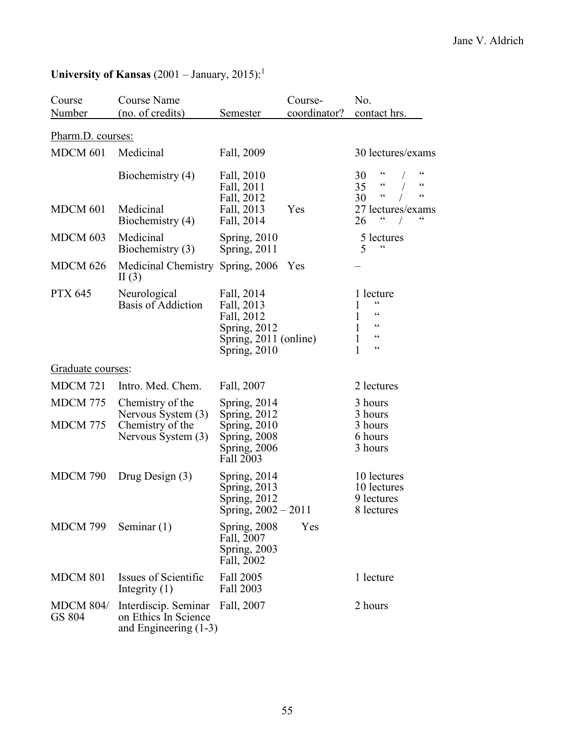| Course                     | <b>Course Name</b>                                                      |                                                                                                 | Course-      | No.                                                                                                                          |
|----------------------------|-------------------------------------------------------------------------|-------------------------------------------------------------------------------------------------|--------------|------------------------------------------------------------------------------------------------------------------------------|
| Number                     | (no. of credits)                                                        | Semester                                                                                        | coordinator? | contact hrs.                                                                                                                 |
| Pharm.D. courses:          |                                                                         |                                                                                                 |              |                                                                                                                              |
| MDCM 601                   | Medicinal                                                               | Fall, 2009                                                                                      |              | 30 lectures/exams                                                                                                            |
| MDCM 601                   | Biochemistry (4)<br>Medicinal                                           | Fall, 2010<br>Fall, 2011<br>Fall, 2012<br>Fall, 2013                                            | Yes          | 66<br>30<br>$\zeta\,\zeta$<br>$\zeta\,\zeta$<br>35<br>$\zeta$ $\zeta$<br>$\,$ $\,$ $\,$ $\,$ $\,$<br>30<br>27 lectures/exams |
|                            | Biochemistry (4)                                                        | Fall, 2014                                                                                      |              | 26                                                                                                                           |
| MDCM 603                   | Medicinal<br>Biochemistry (3)                                           | Spring, $2010$<br>Spring, 2011                                                                  |              | 5 lectures<br>$\zeta$ $\zeta$<br>5                                                                                           |
| <b>MDCM 626</b>            | Medicinal Chemistry Spring, 2006<br>II(3)                               |                                                                                                 | Yes          |                                                                                                                              |
| <b>PTX 645</b>             | Neurological<br>Basis of Addiction                                      | Fall, 2014<br>Fall, 2013<br>Fall, 2012<br>Spring, 2012<br>Spring, 2011 (online)<br>Spring, 2010 |              | 1 lecture<br>66<br>66<br>1<br>$\zeta$ $\zeta$<br>1<br>$\zeta$ $\zeta$<br>1<br>66<br>1                                        |
| Graduate courses:          |                                                                         |                                                                                                 |              |                                                                                                                              |
| <b>MDCM 721</b>            | Intro. Med. Chem.                                                       | Fall, 2007                                                                                      |              | 2 lectures                                                                                                                   |
| <b>MDCM 775</b>            | Chemistry of the<br>Nervous System (3)                                  | Spring, $2014$<br>Spring, 2012                                                                  |              | 3 hours<br>3 hours                                                                                                           |
| <b>MDCM 775</b>            | Chemistry of the<br>Nervous System (3)                                  | Spring, 2010<br>Spring, 2008<br>Spring, 2006<br>Fall 2003                                       |              | 3 hours<br>6 hours<br>3 hours                                                                                                |
| MDCM 790                   | Drug Design $(3)$                                                       | Spring, 2014<br>Spring, 2013<br>Spring, 2012<br>Spring, $2002 - 2011$                           |              | 10 lectures<br>10 lectures<br>9 lectures<br>8 lectures                                                                       |
| MDCM 799                   | Seminar $(1)$                                                           | Spring, 2008<br>Fall, 2007<br>Spring, 2003<br>Fall, 2002                                        | Yes          |                                                                                                                              |
| <b>MDCM 801</b>            | Issues of Scientific<br>Integrity $(1)$                                 | Fall 2005<br>Fall 2003                                                                          |              | 1 lecture                                                                                                                    |
| <b>MDCM 804/</b><br>GS 804 | Interdiscip. Seminar<br>on Ethics In Science<br>and Engineering $(1-3)$ | Fall, 2007                                                                                      |              | 2 hours                                                                                                                      |

# University of Kansas (2001 – January, 2015):<sup>1</sup>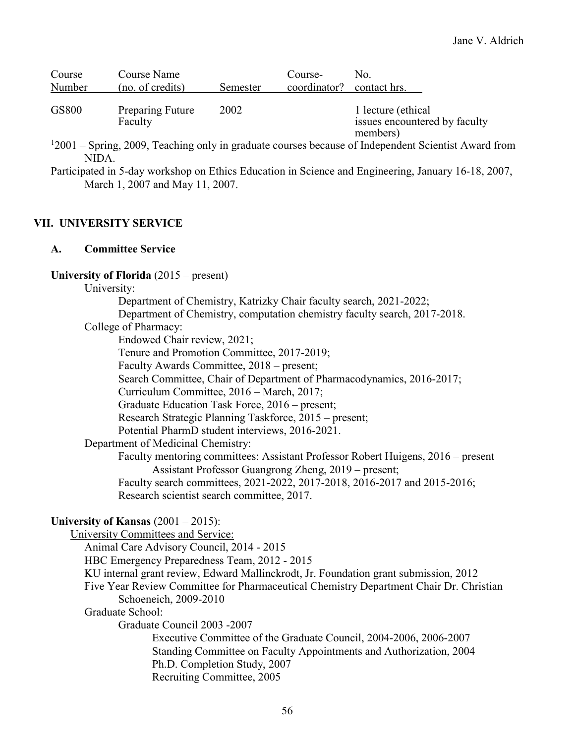| Course       | Course Name                 |          | Course-                   | No.                                                             |
|--------------|-----------------------------|----------|---------------------------|-----------------------------------------------------------------|
| Number       | (no. of credits)            | Semester | coordinator? contact hrs. |                                                                 |
| <b>GS800</b> | Preparing Future<br>Faculty | 2002     |                           | 1 lecture (ethical<br>issues encountered by faculty<br>members) |

- <sup>1</sup>2001 Spring, 2009, Teaching only in graduate courses because of Independent Scientist Award from NIDA.
- Participated in 5-day workshop on Ethics Education in Science and Engineering, January 16-18, 2007, March 1, 2007 and May 11, 2007.

## **VII. UNIVERSITY SERVICE**

## **A. Committee Service**

#### **University of Florida** (2015 – present)

#### University:

Department of Chemistry, Katrizky Chair faculty search, 2021-2022;

Department of Chemistry, computation chemistry faculty search, 2017-2018.

College of Pharmacy:

Endowed Chair review, 2021;

Tenure and Promotion Committee, 2017-2019;

Faculty Awards Committee, 2018 – present;

Search Committee, Chair of Department of Pharmacodynamics, 2016-2017;

Curriculum Committee, 2016 – March, 2017;

Graduate Education Task Force, 2016 – present;

Research Strategic Planning Taskforce, 2015 – present;

Potential PharmD student interviews, 2016-2021.

Department of Medicinal Chemistry:

Faculty mentoring committees: Assistant Professor Robert Huigens, 2016 – present Assistant Professor Guangrong Zheng, 2019 – present;

Faculty search committees, 2021-2022, 2017-2018, 2016-2017 and 2015-2016; Research scientist search committee, 2017.

#### **University of Kansas** (2001 – 2015):

University Committees and Service: Animal Care Advisory Council, 2014 - 2015 HBC Emergency Preparedness Team, 2012 - 2015 KU internal grant review, Edward Mallinckrodt, Jr. Foundation grant submission, 2012 Five Year Review Committee for Pharmaceutical Chemistry Department Chair Dr. Christian Schoeneich, 2009-2010 Graduate School: Graduate Council 2003 -2007 Executive Committee of the Graduate Council, 2004-2006, 2006-2007 Standing Committee on Faculty Appointments and Authorization, 2004 Ph.D. Completion Study, 2007 Recruiting Committee, 2005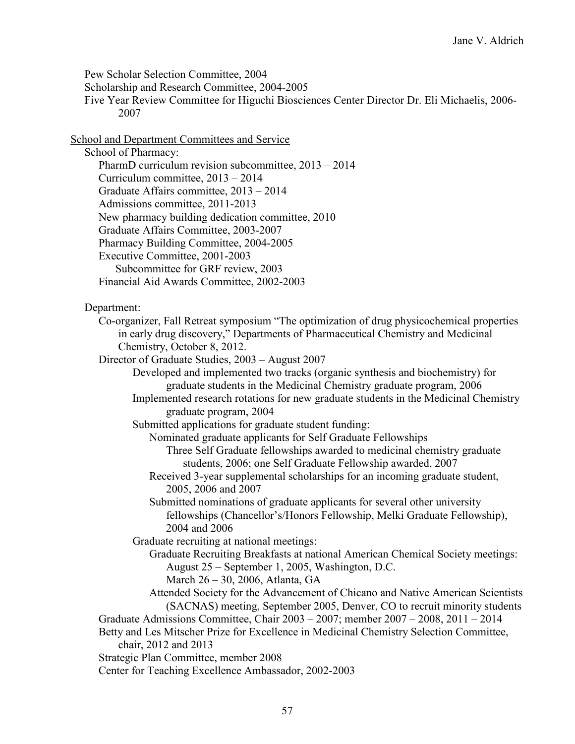Pew Scholar Selection Committee, 2004

Scholarship and Research Committee, 2004-2005

Five Year Review Committee for Higuchi Biosciences Center Director Dr. Eli Michaelis, 2006- 2007

School and Department Committees and Service

School of Pharmacy:

PharmD curriculum revision subcommittee, 2013 – 2014 Curriculum committee, 2013 – 2014

Graduate Affairs committee, 2013 – 2014

Admissions committee, 2011-2013

New pharmacy building dedication committee, 2010

Graduate Affairs Committee, 2003-2007

Pharmacy Building Committee, 2004-2005

Executive Committee, 2001-2003

Subcommittee for GRF review, 2003

Financial Aid Awards Committee, 2002-2003

Department:

Co-organizer, Fall Retreat symposium "The optimization of drug physicochemical properties in early drug discovery," Departments of Pharmaceutical Chemistry and Medicinal Chemistry, October 8, 2012.

Director of Graduate Studies, 2003 – August 2007

Developed and implemented two tracks (organic synthesis and biochemistry) for graduate students in the Medicinal Chemistry graduate program, 2006

Implemented research rotations for new graduate students in the Medicinal Chemistry graduate program, 2004

Submitted applications for graduate student funding:

Nominated graduate applicants for Self Graduate Fellowships

Three Self Graduate fellowships awarded to medicinal chemistry graduate students, 2006; one Self Graduate Fellowship awarded, 2007

Received 3-year supplemental scholarships for an incoming graduate student, 2005, 2006 and 2007

Submitted nominations of graduate applicants for several other university fellowships (Chancellor's/Honors Fellowship, Melki Graduate Fellowship), 2004 and 2006

Graduate recruiting at national meetings:

Graduate Recruiting Breakfasts at national American Chemical Society meetings: August 25 – September 1, 2005, Washington, D.C.

March 26 – 30, 2006, Atlanta, GA

Attended Society for the Advancement of Chicano and Native American Scientists (SACNAS) meeting, September 2005, Denver, CO to recruit minority students

Graduate Admissions Committee, Chair 2003 – 2007; member 2007 – 2008, 2011 – 2014

Betty and Les Mitscher Prize for Excellence in Medicinal Chemistry Selection Committee, chair, 2012 and 2013

Strategic Plan Committee, member 2008

Center for Teaching Excellence Ambassador, 2002-2003